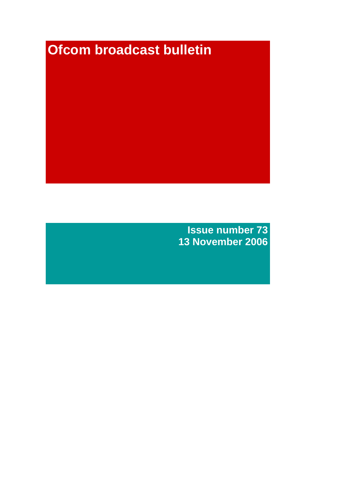# **Ofcom broadcast bulletin**

**Issue number 73 13 November 2006**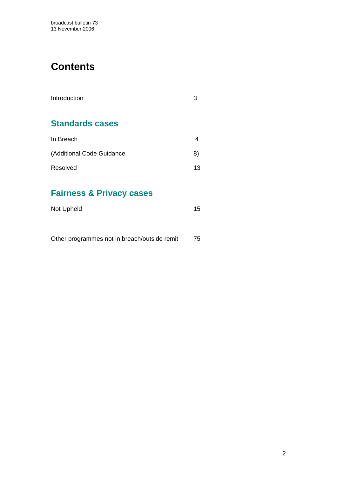# **Contents**

| Introduction              |    |
|---------------------------|----|
| <b>Standards cases</b>    |    |
| In Breach                 |    |
| (Additional Code Guidance | 8) |
| Resolved                  | 13 |

# **Fairness & Privacy cases**

| Not Upheld | 15 |
|------------|----|
|------------|----|

|  |  | Other programmes not in breach/outside remit | 75 |
|--|--|----------------------------------------------|----|
|--|--|----------------------------------------------|----|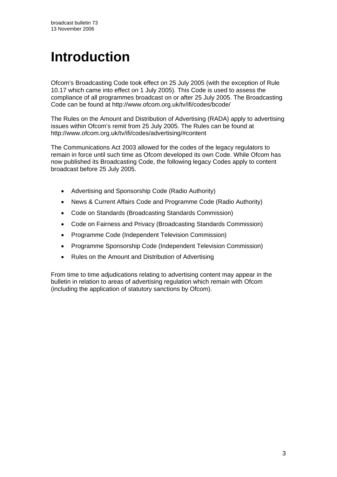# **Introduction**

Ofcom's Broadcasting Code took effect on 25 July 2005 (with the exception of Rule 10.17 which came into effect on 1 July 2005). This Code is used to assess the compliance of all programmes broadcast on or after 25 July 2005. The Broadcasting Code can be found at http://www.ofcom.org.uk/tv/ifi/codes/bcode/

The Rules on the Amount and Distribution of Advertising (RADA) apply to advertising issues within Ofcom's remit from 25 July 2005. The Rules can be found at http://www.ofcom.org.uk/tv/ifi/codes/advertising/#content

The Communications Act 2003 allowed for the codes of the legacy regulators to remain in force until such time as Ofcom developed its own Code. While Ofcom has now published its Broadcasting Code, the following legacy Codes apply to content broadcast before 25 July 2005.

- Advertising and Sponsorship Code (Radio Authority)
- News & Current Affairs Code and Programme Code (Radio Authority)
- Code on Standards (Broadcasting Standards Commission)
- Code on Fairness and Privacy (Broadcasting Standards Commission)
- Programme Code (Independent Television Commission)
- Programme Sponsorship Code (Independent Television Commission)
- Rules on the Amount and Distribution of Advertising

From time to time adjudications relating to advertising content may appear in the bulletin in relation to areas of advertising regulation which remain with Ofcom (including the application of statutory sanctions by Ofcom).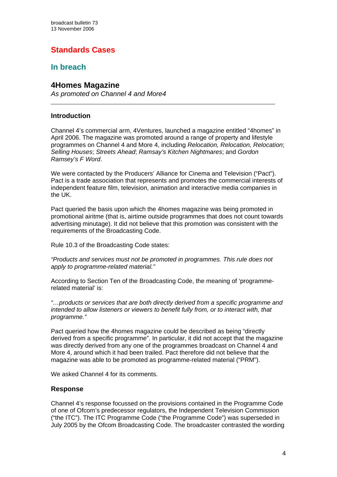# **Standards Cases**

# **In breach**

## **4Homes Magazine**

*As promoted on Channel 4 and More4*

#### **Introduction**

 $\overline{a}$ 

Channel 4's commercial arm, 4Ventures, launched a magazine entitled "4homes" in April 2006. The magazine was promoted around a range of property and lifestyle programmes on Channel 4 and More 4, including *Relocation, Relocation, Relocation*; *Selling Houses*; *Streets Ahead*; *Ramsay's Kitchen Nightmares*; and *Gordon Ramsey's F Word*.

We were contacted by the Producers' Alliance for Cinema and Television ("Pact"). Pact is a trade association that represents and promotes the commercial interests of independent feature film, television, animation and interactive media companies in the UK.

Pact queried the basis upon which the 4homes magazine was being promoted in promotional airitme (that is, airtime outside programmes that does not count towards advertising minutage). It did not believe that this promotion was consistent with the requirements of the Broadcasting Code.

Rule 10.3 of the Broadcasting Code states:

*"Products and services must not be promoted in programmes. This rule does not apply to programme-related material."* 

According to Section Ten of the Broadcasting Code, the meaning of 'programmerelated material' is:

*"…products or services that are both directly derived from a specific programme and intended to allow listeners or viewers to benefit fully from, or to interact with, that programme."* 

Pact queried how the 4homes magazine could be described as being "directly derived from a specific programme". In particular, it did not accept that the magazine was directly derived from any one of the programmes broadcast on Channel 4 and More 4, around which it had been trailed. Pact therefore did not believe that the magazine was able to be promoted as programme-related material ("PRM").

We asked Channel 4 for its comments.

#### **Response**

Channel 4's response focussed on the provisions contained in the Programme Code of one of Ofcom's predecessor regulators, the Independent Television Commission ("the ITC"). The ITC Programme Code ("the Programme Code") was superseded in July 2005 by the Ofcom Broadcasting Code. The broadcaster contrasted the wording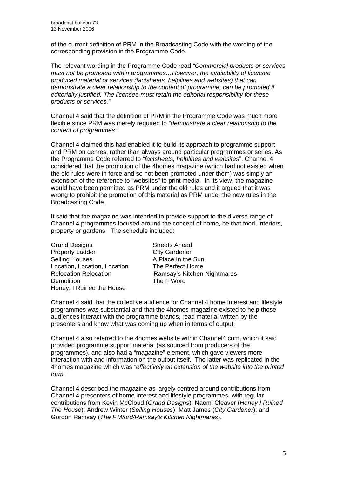of the current definition of PRM in the Broadcasting Code with the wording of the corresponding provision in the Programme Code.

The relevant wording in the Programme Code read *"Commercial products or services must not be promoted within programmes…However, the availability of licensee produced material or services (factsheets, helplines and websites) that can demonstrate a clear relationship to the content of programme, can be promoted if editorially justified. The licensee must retain the editorial responsibility for these products or services."* 

Channel 4 said that the definition of PRM in the Programme Code was much more flexible since PRM was merely required to *"demonstrate a clear relationship to the content of programmes"*.

Channel 4 claimed this had enabled it to build its approach to programme support and PRM on genres, rather than always around particular programmes or series. As the Programme Code referred to *"factsheets, helplines and websites*", Channel 4 considered that the promotion of the 4homes magazine (which had not existed when the old rules were in force and so not been promoted under them) was simply an extension of the reference to "websites" to print media. In its view, the magazine would have been permitted as PRM under the old rules and it argued that it was wrong to prohibit the promotion of this material as PRM under the new rules in the Broadcasting Code.

It said that the magazine was intended to provide support to the diverse range of Channel 4 programmes focused around the concept of home, be that food, interiors, property or gardens. The schedule included:

Grand Designs Streets Ahead Property Ladder City Gardener Selling Houses A Place In the Sun Location, Location, Location The Perfect Home Demolition **The F Word** Honey, I Ruined the House

Relocation Relocation Ramsay's Kitchen Nightmares

Channel 4 said that the collective audience for Channel 4 home interest and lifestyle programmes was substantial and that the 4homes magazine existed to help those audiences interact with the programme brands, read material written by the presenters and know what was coming up when in terms of output.

Channel 4 also referred to the 4homes website within Channel4.com, which it said provided programme support material (as sourced from producers of the programmes), and also had a "magazine" element, which gave viewers more interaction with and information on the output itself. The latter was replicated in the 4homes magazine which was *"effectively an extension of the website into the printed form."* 

Channel 4 described the magazine as largely centred around contributions from Channel 4 presenters of home interest and lifestyle programmes, with regular contributions from Kevin McCloud (*Grand Designs*); Naomi Cleaver (*Honey I Ruined The House*); Andrew Winter (*Selling Houses*); Matt James (*City Gardener*); and Gordon Ramsay (*The F Word/Ramsay's Kitchen Nightmares*).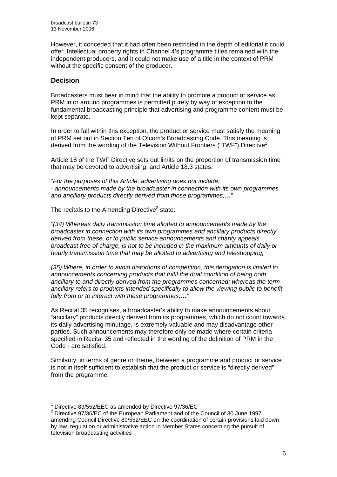However, it conceded that it had often been restricted in the depth of editorial it could offer. Intellectual property rights in Channel 4's programme titles remained with the independent producers, and it could not make use of a title in the context of PRM without the specific consent of the producer.

#### **Decision**

Broadcasters must bear in mind that the ability to promote a product or service as PRM in or around programmes is permitted purely by way of exception to the fundamental broadcasting principle that advertising and programme content must be kept separate.

In order to fall within this exception, the product or service must satisfy the meaning of PRM set out in Section Ten of Ofcom's Broadcasting Code. This meaning is derived from the wording of the Television Without Frontiers ("TWF") Directive<sup>1</sup>.

Article 18 of the TWF Directive sets out limits on the proportion of transmission time that may be devoted to advertising, and Article 18.3 states:

*"For the purposes of this Article, advertising does not include: - announcements made by the broadcaster in connection with its own programmes and ancillary products directly derived from those programmes;…"* 

The recitals to the Amending Directive $2$  state:

*"(34) Whereas daily transmission time allotted to announcements made by the broadcaster in connection with its own programmes and ancillary products directly derived from these, or to public service announcements and charity appeals broadcast free of charge, is not to be included in the maximum amounts of daily or hourly transmission time that may be allotted to advertising and teleshopping;* 

*(35) Where, in order to avoid distortions of competition, this derogation is limited to announcements concerning products that fulfil the dual condition of being both ancillary to and directly derived from the programmes concerned; whereas the term ancillary refers to products intended specifically to allow the viewing public to benefit fully from or to interact with these programmes;…"* 

As Recital 35 recognises, a broadcaster's ability to make announcements about "ancillary" products directly derived from its programmes, which do not count towards its daily advertising minutage, is extremely valuable and may disadvantage other parties. Such announcements may therefore only be made where certain criteria – specified in Recital 35 and reflected in the wording of the definition of PRM in the Code - are satisfied.

Similarity, in terms of genre or theme, between a programme and product or service is not in itself sufficient to establish that the product or service is "directly derived" from the programme.

 1 Directive 89/552/EEC as amended by Directive 97/36/EC 2

<sup>&</sup>lt;sup>2</sup> Directive 97/36/EC of the European Parliament and of the Council of 30 June 1997 amending Council Directive 89/552/EEC on the coordination of certain provisions laid down by law, regulation or administrative action in Member States concerning the pursuit of television broadcasting activities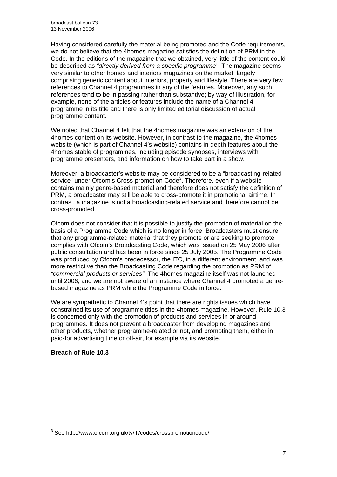Having considered carefully the material being promoted and the Code requirements, we do not believe that the 4homes magazine satisfies the definition of PRM in the Code. In the editions of the magazine that we obtained, very little of the content could be described as *"directly derived from a specific programme"*. The magazine seems very similar to other homes and interiors magazines on the market, largely comprising generic content about interiors, property and lifestyle. There are very few references to Channel 4 programmes in any of the features. Moreover, any such references tend to be in passing rather than substantive; by way of illustration, for example, none of the articles or features include the name of a Channel 4 programme in its title and there is only limited editorial discussion of actual programme content.

We noted that Channel 4 felt that the 4homes magazine was an extension of the 4homes content on its website. However, in contrast to the magazine, the 4homes website (which is part of Channel 4's website) contains in-depth features about the 4homes stable of programmes, including episode synopses, interviews with programme presenters, and information on how to take part in a show.

Moreover, a broadcaster's website may be considered to be a "broadcasting-related service" under Ofcom's Cross-promotion Code<sup>3</sup>. Therefore, even if a website contains mainly genre-based material and therefore does not satisfy the definition of PRM, a broadcaster may still be able to cross-promote it in promotional airtime. In contrast, a magazine is not a broadcasting-related service and therefore cannot be cross-promoted.

Ofcom does not consider that it is possible to justify the promotion of material on the basis of a Programme Code which is no longer in force. Broadcasters must ensure that any programme-related material that they promote or are seeking to promote complies with Ofcom's Broadcasting Code, which was issued on 25 May 2006 after public consultation and has been in force since 25 July 2005. The Programme Code was produced by Ofcom's predecessor, the ITC, in a different environment, and was more restrictive than the Broadcasting Code regarding the promotion as PRM of *"commercial products or services"*. The 4homes magazine itself was not launched until 2006, and we are not aware of an instance where Channel 4 promoted a genrebased magazine as PRM while the Programme Code in force.

We are sympathetic to Channel 4's point that there are rights issues which have constrained its use of programme titles in the 4homes magazine. However, Rule 10.3 is concerned only with the promotion of products and services in or around programmes. It does not prevent a broadcaster from developing magazines and other products, whether programme-related or not, and promoting them, either in paid-for advertising time or off-air, for example via its website.

#### **Breach of Rule 10.3**

 3 See http://www.ofcom.org.uk/tv/ifi/codes/crosspromotioncode/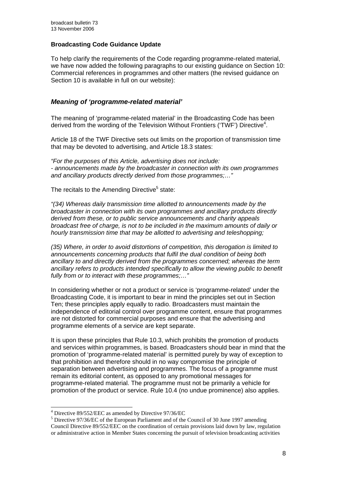#### **Broadcasting Code Guidance Update**

To help clarify the requirements of the Code regarding programme-related material, we have now added the following paragraphs to our existing guidance on Section 10: Commercial references in programmes and other matters (the revised guidance on Section 10 is available in full on our website):

#### *Meaning of 'programme-related material'*

The meaning of 'programme-related material' in the Broadcasting Code has been derived from the wording of the Television Without Frontiers ('TWF') Directive<sup>4</sup>.

Article 18 of the TWF Directive sets out limits on the proportion of transmission time that may be devoted to advertising, and Article 18.3 states:

*"For the purposes of this Article, advertising does not include: - announcements made by the broadcaster in connection with its own programmes and ancillary products directly derived from those programmes;…"* 

The recitals to the Amending Directive<sup>5</sup> state:

*"(34) Whereas daily transmission time allotted to announcements made by the broadcaster in connection with its own programmes and ancillary products directly derived from these, or to public service announcements and charity appeals broadcast free of charge, is not to be included in the maximum amounts of daily or hourly transmission time that may be allotted to advertising and teleshopping;* 

*(35) Where, in order to avoid distortions of competition, this derogation is limited to announcements concerning products that fulfil the dual condition of being both ancillary to and directly derived from the programmes concerned; whereas the term ancillary refers to products intended specifically to allow the viewing public to benefit fully from or to interact with these programmes;…"* 

In considering whether or not a product or service is 'programme-related' under the Broadcasting Code, it is important to bear in mind the principles set out in Section Ten; these principles apply equally to radio. Broadcasters must maintain the independence of editorial control over programme content, ensure that programmes are not distorted for commercial purposes and ensure that the advertising and programme elements of a service are kept separate.

It is upon these principles that Rule 10.3, which prohibits the promotion of products and services within programmes, is based. Broadcasters should bear in mind that the promotion of 'programme-related material' is permitted purely by way of exception to that prohibition and therefore should in no way compromise the principle of separation between advertising and programmes. The focus of a programme must remain its editorial content, as opposed to any promotional messages for programme-related material. The programme must not be primarily a vehicle for promotion of the product or service. Rule 10.4 (no undue prominence) also applies.

 $\overline{a}$ 

<sup>4</sup> Directive 89/552/EEC as amended by Directive 97/36/EC

<sup>&</sup>lt;sup>5</sup> Directive 97/36/EC of the European Parliament and of the Council of 30 June 1997 amending Council Directive 89/552/EEC on the coordination of certain provisions laid down by law, regulation or administrative action in Member States concerning the pursuit of television broadcasting activities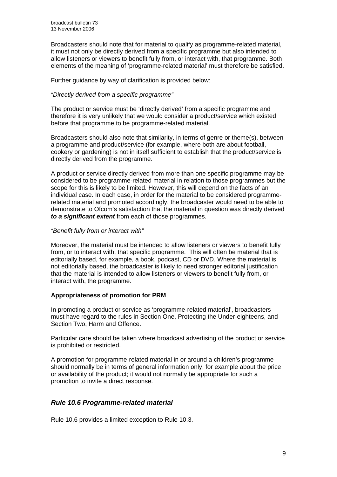Broadcasters should note that for material to qualify as programme-related material, it must not only be directly derived from a specific programme but also intended to allow listeners or viewers to benefit fully from, or interact with, that programme. Both elements of the meaning of 'programme-related material' must therefore be satisfied.

Further guidance by way of clarification is provided below:

#### *"Directly derived from a specific programme"*

The product or service must be 'directly derived' from a specific programme and therefore it is very unlikely that we would consider a product/service which existed before that programme to be programme-related material.

Broadcasters should also note that similarity, in terms of genre or theme(s), between a programme and product/service (for example, where both are about football, cookery or gardening) is not in itself sufficient to establish that the product/service is directly derived from the programme.

A product or service directly derived from more than one specific programme may be considered to be programme-related material in relation to those programmes but the scope for this is likely to be limited. However, this will depend on the facts of an individual case. In each case, in order for the material to be considered programmerelated material and promoted accordingly, the broadcaster would need to be able to demonstrate to Ofcom's satisfaction that the material in question was directly derived *to a significant extent* from each of those programmes.

#### *"Benefit fully from or interact with"*

Moreover, the material must be intended to allow listeners or viewers to benefit fully from, or to interact with, that specific programme. This will often be material that is editorially based, for example, a book, podcast, CD or DVD. Where the material is not editorially based, the broadcaster is likely to need stronger editorial justification that the material is intended to allow listeners or viewers to benefit fully from, or interact with, the programme.

#### **Appropriateness of promotion for PRM**

In promoting a product or service as 'programme-related material', broadcasters must have regard to the rules in Section One, Protecting the Under-eighteens, and Section Two, Harm and Offence.

Particular care should be taken where broadcast advertising of the product or service is prohibited or restricted.

A promotion for programme-related material in or around a children's programme should normally be in terms of general information only, for example about the price or availability of the product; it would not normally be appropriate for such a promotion to invite a direct response.

#### *Rule 10.6 Programme-related material*

Rule 10.6 provides a limited exception to Rule 10.3.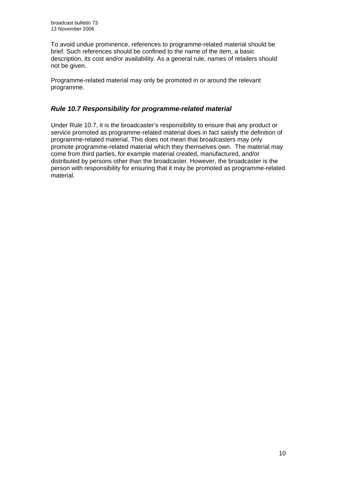To avoid undue prominence, references to programme-related material should be brief. Such references should be confined to the name of the item, a basic description, its cost and/or availability. As a general rule, names of retailers should not be given.

Programme-related material may only be promoted in or around the relevant programme.

#### *Rule 10.7 Responsibility for programme-related material*

Under Rule 10.7, it is the broadcaster's responsibility to ensure that any product or service promoted as programme-related material does in fact satisfy the definition of programme-related material. This does not mean that broadcasters may only promote programme-related material which they themselves own. The material may come from third parties, for example material created, manufactured, and/or distributed by persons other than the broadcaster. However, the broadcaster is the person with responsibility for ensuring that it may be promoted as programme-related material.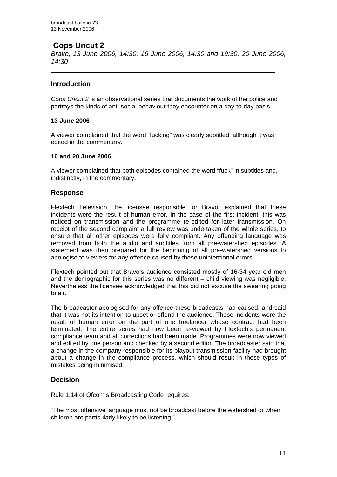# **Cops Uncut 2**

*Bravo, 13 June 2006, 14:30, 16 June 2006, 14:30 and 19:30, 20 June 2006, 14:30* 

#### **Introduction**

 $\overline{a}$ 

*Cops Uncut 2* is an observational series that documents the work of the police and portrays the kinds of anti-social behaviour they encounter on a day-to-day basis.

#### **13 June 2006**

A viewer complained that the word "fucking" was clearly subtitled, although it was edited in the commentary.

#### **16 and 20 June 2006**

A viewer complained that both episodes contained the word "fuck" in subtitles and, indistinctly, in the commentary.

#### **Response**

Flextech Television, the licensee responsible for Bravo, explained that these incidents were the result of human error. In the case of the first incident, this was noticed on transmission and the programme re-edited for later transmission. On receipt of the second complaint a full review was undertaken of the whole series, to ensure that all other episodes were fully compliant. Any offending language was removed from both the audio and subtitles from all pre-watershed episodes. A statement was then prepared for the beginning of all pre-watershed versions to apologise to viewers for any offence caused by these unintentional errors.

Flextech pointed out that Bravo's audience consisted mostly of 16-34 year old men and the demographic for this series was no different – child viewing was negligible. Nevertheless the licensee acknowledged that this did not excuse the swearing going to air.

The broadcaster apologised for any offence these broadcasts had caused, and said that it was not its intention to upset or offend the audience. These incidents were the result of human error on the part of one freelancer whose contract had been terminated. The entire series had now been re-viewed by Flextech's permanent compliance team and all corrections had been made. Programmes were now viewed and edited by one person and checked by a second editor. The broadcaster said that a change in the company responsible for its playout transmission facility had brought about a change in the compliance process, which should result in these types of mistakes being minimised.

#### **Decision**

Rule 1.14 of Ofcom's Broadcasting Code requires:

"The most offensive language must not be broadcast before the watershed or when children are particularly likely to be listening."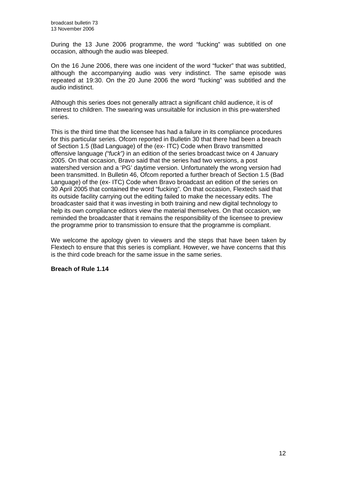During the 13 June 2006 programme, the word "fucking" was subtitled on one occasion, although the audio was bleeped.

On the 16 June 2006, there was one incident of the word "fucker" that was subtitled, although the accompanying audio was very indistinct. The same episode was repeated at 19:30. On the 20 June 2006 the word "fucking" was subtitled and the audio indistinct.

Although this series does not generally attract a significant child audience, it is of interest to children. The swearing was unsuitable for inclusion in this pre-watershed series.

This is the third time that the licensee has had a failure in its compliance procedures for this particular series. Ofcom reported in Bulletin 30 that there had been a breach of Section 1.5 (Bad Language) of the (ex- ITC) Code when Bravo transmitted offensive language *("fuck")* in an edition of the series broadcast twice on 4 January 2005. On that occasion, Bravo said that the series had two versions, a post watershed version and a 'PG' daytime version. Unfortunately the wrong version had been transmitted. In Bulletin 46, Ofcom reported a further breach of Section 1.5 (Bad Language) of the (ex- ITC) Code when Bravo broadcast an edition of the series on 30 April 2005 that contained the word "fucking". On that occasion, Flextech said that its outside facility carrying out the editing failed to make the necessary edits. The broadcaster said that it was investing in both training and new digital technology to help its own compliance editors view the material themselves. On that occasion, we reminded the broadcaster that it remains the responsibility of the licensee to preview the programme prior to transmission to ensure that the programme is compliant.

We welcome the apology given to viewers and the steps that have been taken by Flextech to ensure that this series is compliant. However, we have concerns that this is the third code breach for the same issue in the same series.

#### **Breach of Rule 1.14**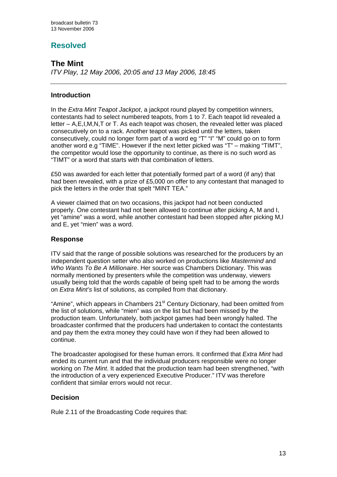# **Resolved**

## **The Mint**

*ITV Play, 12 May 2006, 20:05 and 13 May 2006, 18:45*

#### **Introduction**

In the *Extra Mint Teapot Jackpot*, a jackpot round played by competition winners, contestants had to select numbered teapots, from 1 to 7. Each teapot lid revealed a letter – A,E,I,M,N,T or T. As each teapot was chosen, the revealed letter was placed consecutively on to a rack. Another teapot was picked until the letters, taken consecutively, could no longer form part of a word eg "T" "I" "M" could go on to form another word e.g "TIME". However if the next letter picked was "T" – making "TIMT", the competitor would lose the opportunity to continue, as there is no such word as "TIMT" or a word that starts with that combination of letters.

£50 was awarded for each letter that potentially formed part of a word (if any) that had been revealed, with a prize of £5,000 on offer to any contestant that managed to pick the letters in the order that spelt "MINT TEA."

A viewer claimed that on two occasions, this jackpot had not been conducted properly. One contestant had not been allowed to continue after picking A, M and I, yet "amine" was a word, while another contestant had been stopped after picking M,I and E, yet "mien" was a word.

#### **Response**

ITV said that the range of possible solutions was researched for the producers by an independent question setter who also worked on productions like *Mastermind* and *Who Wants To Be A Millionaire*. Her source was Chambers Dictionary. This was normally mentioned by presenters while the competition was underway, viewers usually being told that the words capable of being spelt had to be among the words on *Extra Mint's* list of solutions, as compiled from that dictionary.

"Amine", which appears in Chambers 21<sup>st</sup> Century Dictionary, had been omitted from the list of solutions, while "mien" was on the list but had been missed by the production team. Unfortunately, both jackpot games had been wrongly halted. The broadcaster confirmed that the producers had undertaken to contact the contestants and pay them the extra money they could have won if they had been allowed to continue.

The broadcaster apologised for these human errors. It confirmed that *Extra Mint* had ended its current run and that the individual producers responsible were no longer working on *The Mint*. It added that the production team had been strengthened, "with the introduction of a very experienced Executive Producer." ITV was therefore confident that similar errors would not recur.

#### **Decision**

Rule 2.11 of the Broadcasting Code requires that: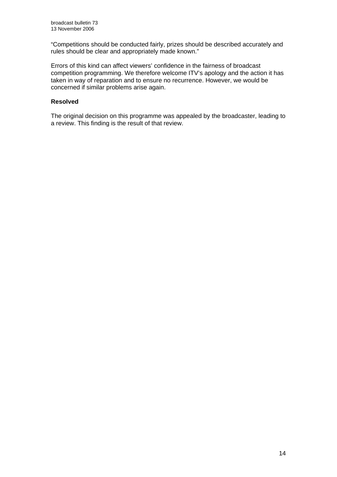"Competitions should be conducted fairly, prizes should be described accurately and rules should be clear and appropriately made known."

Errors of this kind can affect viewers' confidence in the fairness of broadcast competition programming. We therefore welcome ITV's apology and the action it has taken in way of reparation and to ensure no recurrence. However, we would be concerned if similar problems arise again.

#### **Resolved**

The original decision on this programme was appealed by the broadcaster, leading to a review. This finding is the result of that review.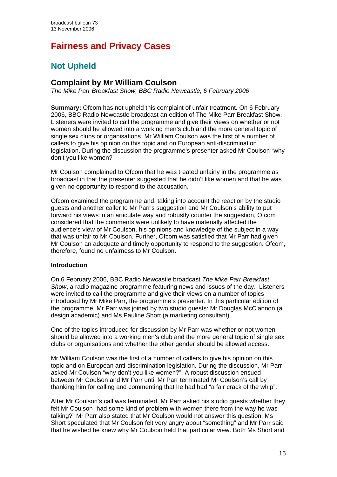# **Fairness and Privacy Cases**

# **Not Upheld**

# **Complaint by Mr William Coulson**

*The Mike Parr Breakfast Show, BBC Radio Newcastle, 6 February 2006* 

**Summary:** Ofcom has not upheld this complaint of unfair treatment. On 6 February 2006, BBC Radio Newcastle broadcast an edition of The Mike Parr Breakfast Show. Listeners were invited to call the programme and give their views on whether or not women should be allowed into a working men's club and the more general topic of single sex clubs or organisations. Mr William Coulson was the first of a number of callers to give his opinion on this topic and on European anti-discrimination legislation. During the discussion the programme's presenter asked Mr Coulson "why don't you like women?"

Mr Coulson complained to Ofcom that he was treated unfairly in the programme as broadcast in that the presenter suggested that he didn't like women and that he was given no opportunity to respond to the accusation.

Ofcom examined the programme and, taking into account the reaction by the studio guests and another caller to Mr Parr's suggestion and Mr Coulson's ability to put forward his views in an articulate way and robustly counter the suggestion, Ofcom considered that the comments were unlikely to have materially affected the audience's view of Mr Coulson, his opinions and knowledge of the subject in a way that was unfair to Mr Coulson. Further, Ofcom was satisfied that Mr Parr had given Mr Coulson an adequate and timely opportunity to respond to the suggestion. Ofcom, therefore, found no unfairness to Mr Coulson.

#### **Introduction**

On 6 February 2006, BBC Radio Newcastle broadcast *The Mike Parr Breakfast Show*, a radio magazine programme featuring news and issues of the day. Listeners were invited to call the programme and give their views on a number of topics introduced by Mr Mike Parr, the programme's presenter. In this particular edition of the programme, Mr Parr was joined by two studio guests: Mr Douglas McClannon (a design academic) and Ms Pauline Short (a marketing consultant).

One of the topics introduced for discussion by Mr Parr was whether or not women should be allowed into a working men's club and the more general topic of single sex clubs or organisations and whether the other gender should be allowed access.

Mr William Coulson was the first of a number of callers to give his opinion on this topic and on European anti-discrimination legislation. During the discussion, Mr Parr asked Mr Coulson "why don't you like women?" A robust discussion ensued between Mr Coulson and Mr Parr until Mr Parr terminated Mr Coulson's call by thanking him for calling and commenting that he had had "a fair crack of the whip".

After Mr Coulson's call was terminated, Mr Parr asked his studio guests whether they felt Mr Coulson "had some kind of problem with women there from the way he was talking?" Mr Parr also stated that Mr Coulson would not answer this question. Ms Short speculated that Mr Coulson felt very angry about "something" and Mr Parr said that he wished he knew why Mr Coulson held that particular view. Both Ms Short and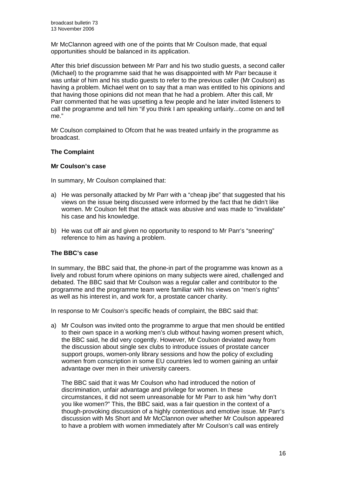Mr McClannon agreed with one of the points that Mr Coulson made, that equal opportunities should be balanced in its application.

After this brief discussion between Mr Parr and his two studio guests, a second caller (Michael) to the programme said that he was disappointed with Mr Parr because it was unfair of him and his studio guests to refer to the previous caller (Mr Coulson) as having a problem. Michael went on to say that a man was entitled to his opinions and that having those opinions did not mean that he had a problem. After this call, Mr Parr commented that he was upsetting a few people and he later invited listeners to call the programme and tell him "if you think I am speaking unfairly...come on and tell me."

Mr Coulson complained to Ofcom that he was treated unfairly in the programme as broadcast.

#### **The Complaint**

#### **Mr Coulson's case**

In summary, Mr Coulson complained that:

- a) He was personally attacked by Mr Parr with a "cheap jibe" that suggested that his views on the issue being discussed were informed by the fact that he didn't like women. Mr Coulson felt that the attack was abusive and was made to "invalidate" his case and his knowledge.
- b) He was cut off air and given no opportunity to respond to Mr Parr's "sneering" reference to him as having a problem.

#### **The BBC's case**

In summary, the BBC said that, the phone-in part of the programme was known as a lively and robust forum where opinions on many subjects were aired, challenged and debated. The BBC said that Mr Coulson was a regular caller and contributor to the programme and the programme team were familiar with his views on "men's rights" as well as his interest in, and work for, a prostate cancer charity.

In response to Mr Coulson's specific heads of complaint, the BBC said that:

a) Mr Coulson was invited onto the programme to argue that men should be entitled to their own space in a working men's club without having women present which, the BBC said, he did very cogently. However, Mr Coulson deviated away from the discussion about single sex clubs to introduce issues of prostate cancer support groups, women-only library sessions and how the policy of excluding women from conscription in some EU countries led to women gaining an unfair advantage over men in their university careers.

The BBC said that it was Mr Coulson who had introduced the notion of discrimination, unfair advantage and privilege for women. In these circumstances, it did not seem unreasonable for Mr Parr to ask him "why don't you like women?" This, the BBC said, was a fair question in the context of a though-provoking discussion of a highly contentious and emotive issue. Mr Parr's discussion with Ms Short and Mr McClannon over whether Mr Coulson appeared to have a problem with women immediately after Mr Coulson's call was entirely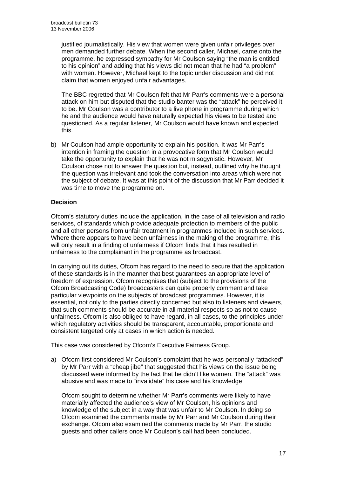justified journalistically. His view that women were given unfair privileges over men demanded further debate. When the second caller, Michael, came onto the programme, he expressed sympathy for Mr Coulson saying "the man is entitled to his opinion" and adding that his views did not mean that he had "a problem" with women. However, Michael kept to the topic under discussion and did not claim that women enjoyed unfair advantages.

The BBC regretted that Mr Coulson felt that Mr Parr's comments were a personal attack on him but disputed that the studio banter was the "attack" he perceived it to be. Mr Coulson was a contributor to a live phone in programme during which he and the audience would have naturally expected his views to be tested and questioned. As a regular listener, Mr Coulson would have known and expected this.

b) Mr Coulson had ample opportunity to explain his position. It was Mr Parr's intention in framing the question in a provocative form that Mr Coulson would take the opportunity to explain that he was not misogynistic. However, Mr Coulson chose not to answer the question but, instead, outlined why he thought the question was irrelevant and took the conversation into areas which were not the subject of debate. It was at this point of the discussion that Mr Parr decided it was time to move the programme on.

#### **Decision**

Ofcom's statutory duties include the application, in the case of all television and radio services, of standards which provide adequate protection to members of the public and all other persons from unfair treatment in programmes included in such services. Where there appears to have been unfairness in the making of the programme, this will only result in a finding of unfairness if Ofcom finds that it has resulted in unfairness to the complainant in the programme as broadcast.

In carrying out its duties, Ofcom has regard to the need to secure that the application of these standards is in the manner that best guarantees an appropriate level of freedom of expression. Ofcom recognises that (subject to the provisions of the Ofcom Broadcasting Code) broadcasters can quite properly comment and take particular viewpoints on the subjects of broadcast programmes. However, it is essential, not only to the parties directly concerned but also to listeners and viewers, that such comments should be accurate in all material respects so as not to cause unfairness. Ofcom is also obliged to have regard, in all cases, to the principles under which regulatory activities should be transparent, accountable, proportionate and consistent targeted only at cases in which action is needed.

This case was considered by Ofcom's Executive Fairness Group.

a) Ofcom first considered Mr Coulson's complaint that he was personally "attacked" by Mr Parr with a "cheap jibe" that suggested that his views on the issue being discussed were informed by the fact that he didn't like women. The "attack" was abusive and was made to "invalidate" his case and his knowledge.

Ofcom sought to determine whether Mr Parr's comments were likely to have materially affected the audience's view of Mr Coulson, his opinions and knowledge of the subject in a way that was unfair to Mr Coulson. In doing so Ofcom examined the comments made by Mr Parr and Mr Coulson during their exchange. Ofcom also examined the comments made by Mr Parr, the studio guests and other callers once Mr Coulson's call had been concluded.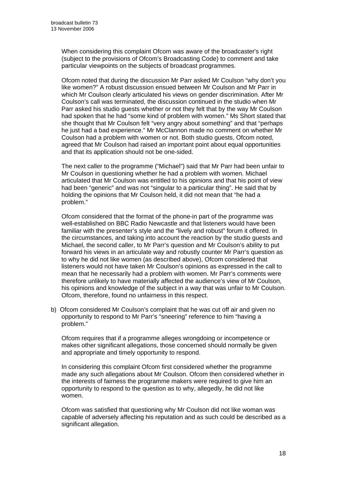When considering this complaint Ofcom was aware of the broadcaster's right (subject to the provisions of Ofcom's Broadcasting Code) to comment and take particular viewpoints on the subjects of broadcast programmes.

Ofcom noted that during the discussion Mr Parr asked Mr Coulson "why don't you like women?" A robust discussion ensued between Mr Coulson and Mr Parr in which Mr Coulson clearly articulated his views on gender discrimination. After Mr Coulson's call was terminated, the discussion continued in the studio when Mr Parr asked his studio guests whether or not they felt that by the way Mr Coulson had spoken that he had "some kind of problem with women." Ms Short stated that she thought that Mr Coulson felt "very angry about something" and that "perhaps he just had a bad experience." Mr McClannon made no comment on whether Mr Coulson had a problem with women or not. Both studio guests, Ofcom noted, agreed that Mr Coulson had raised an important point about equal opportunities and that its application should not be one-sided.

The next caller to the programme ("Michael") said that Mr Parr had been unfair to Mr Coulson in questioning whether he had a problem with women. Michael articulated that Mr Coulson was entitled to his opinions and that his point of view had been "generic" and was not "singular to a particular thing". He said that by holding the opinions that Mr Coulson held, it did not mean that "he had a problem."

 Ofcom considered that the format of the phone-in part of the programme was well-established on BBC Radio Newcastle and that listeners would have been familiar with the presenter's style and the "lively and robust" forum it offered. In the circumstances, and taking into account the reaction by the studio guests and Michael, the second caller, to Mr Parr's question and Mr Coulson's ability to put forward his views in an articulate way and robustly counter Mr Parr's question as to why he did not like women (as described above), Ofcom considered that listeners would not have taken Mr Coulson's opinions as expressed in the call to mean that he necessarily had a problem with women. Mr Parr's comments were therefore unlikely to have materially affected the audience's view of Mr Coulson, his opinions and knowledge of the subject in a way that was unfair to Mr Coulson. Ofcom, therefore, found no unfairness in this respect.

b) Ofcom considered Mr Coulson's complaint that he was cut off air and given no opportunity to respond to Mr Parr's "sneering" reference to him "having a problem."

Ofcom requires that if a programme alleges wrongdoing or incompetence or makes other significant allegations, those concerned should normally be given and appropriate and timely opportunity to respond.

 In considering this complaint Ofcom first considered whether the programme made any such allegations about Mr Coulson. Ofcom then considered whether in the interests of fairness the programme makers were required to give him an opportunity to respond to the question as to why, allegedly, he did not like women.

 Ofcom was satisfied that questioning why Mr Coulson did not like woman was capable of adversely affecting his reputation and as such could be described as a significant allegation.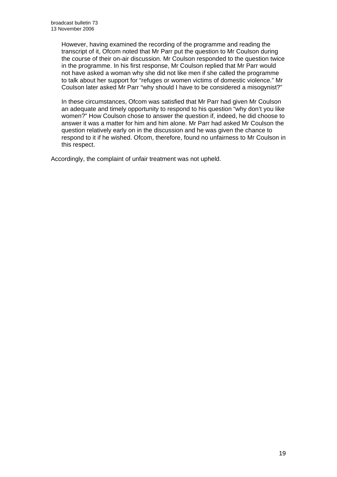However, having examined the recording of the programme and reading the transcript of it, Ofcom noted that Mr Parr put the question to Mr Coulson during the course of their on-air discussion. Mr Coulson responded to the question twice in the programme. In his first response, Mr Coulson replied that Mr Parr would not have asked a woman why she did not like men if she called the programme to talk about her support for "refuges or women victims of domestic violence." Mr Coulson later asked Mr Parr "why should I have to be considered a misogynist?"

 In these circumstances, Ofcom was satisfied that Mr Parr had given Mr Coulson an adequate and timely opportunity to respond to his question "why don't you like women?" How Coulson chose to answer the question if, indeed, he did choose to answer it was a matter for him and him alone. Mr Parr had asked Mr Coulson the question relatively early on in the discussion and he was given the chance to respond to it if he wished. Ofcom, therefore, found no unfairness to Mr Coulson in this respect.

Accordingly, the complaint of unfair treatment was not upheld.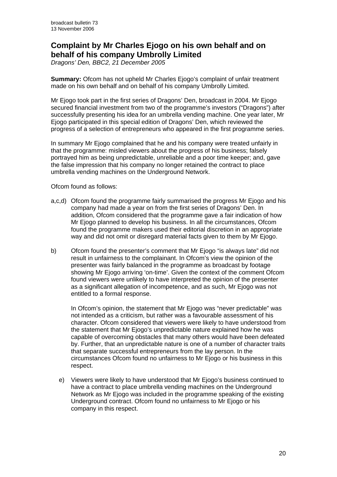# **Complaint by Mr Charles Ejogo on his own behalf and on behalf of his company Umbrolly Limited**

*Dragons' Den, BBC2, 21 December 2005* 

**Summary:** Ofcom has not upheld Mr Charles Ejogo's complaint of unfair treatment made on his own behalf and on behalf of his company Umbrolly Limited.

Mr Ejogo took part in the first series of Dragons' Den, broadcast in 2004. Mr Ejogo secured financial investment from two of the programme's investors ("Dragons") after successfully presenting his idea for an umbrella vending machine. One year later, Mr Ejogo participated in this special edition of Dragons' Den, which reviewed the progress of a selection of entrepreneurs who appeared in the first programme series.

In summary Mr Ejogo complained that he and his company were treated unfairly in that the programme: misled viewers about the progress of his business; falsely portrayed him as being unpredictable, unreliable and a poor time keeper; and, gave the false impression that his company no longer retained the contract to place umbrella vending machines on the Underground Network.

Ofcom found as follows:

- a,c,d) Ofcom found the programme fairly summarised the progress Mr Ejogo and his company had made a year on from the first series of Dragons' Den. In addition, Ofcom considered that the programme gave a fair indication of how Mr Ejogo planned to develop his business. In all the circumstances, Ofcom found the programme makers used their editorial discretion in an appropriate way and did not omit or disregard material facts given to them by Mr Ejogo.
- b) Ofcom found the presenter's comment that Mr Ejogo "is always late" did not result in unfairness to the complainant. In Ofcom's view the opinion of the presenter was fairly balanced in the programme as broadcast by footage showing Mr Ejogo arriving 'on-time'. Given the context of the comment Ofcom found viewers were unlikely to have interpreted the opinion of the presenter as a significant allegation of incompetence, and as such, Mr Ejogo was not entitled to a formal response.

In Ofcom's opinion, the statement that Mr Ejogo was "never predictable" was not intended as a criticism, but rather was a favourable assessment of his character. Ofcom considered that viewers were likely to have understood from the statement that Mr Ejogo's unpredictable nature explained how he was capable of overcoming obstacles that many others would have been defeated by. Further, that an unpredictable nature is one of a number of character traits that separate successful entrepreneurs from the lay person. In the circumstances Ofcom found no unfairness to Mr Ejogo or his business in this respect.

e) Viewers were likely to have understood that Mr Ejogo's business continued to have a contract to place umbrella vending machines on the Underground Network as Mr Ejogo was included in the programme speaking of the existing Underground contract. Ofcom found no unfairness to Mr Ejogo or his company in this respect.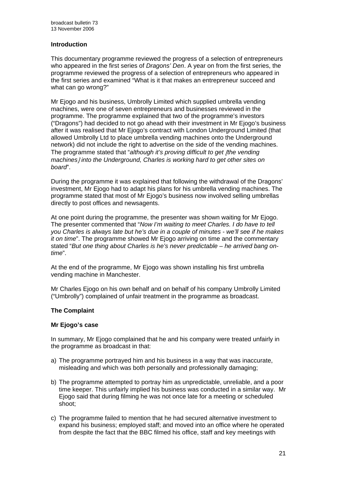#### **Introduction**

This documentary programme reviewed the progress of a selection of entrepreneurs who appeared in the first series of *Dragons' Den*. A year on from the first series, the programme reviewed the progress of a selection of entrepreneurs who appeared in the first series and examined "What is it that makes an entrepreneur succeed and what can go wrong?"

Mr Ejogo and his business, Umbrolly Limited which supplied umbrella vending machines, were one of seven entrepreneurs and businesses reviewed in the programme. The programme explained that two of the programme's investors ("Dragons") had decided to not go ahead with their investment in Mr Ejogo's business after it was realised that Mr Ejogo's contract with London Underground Limited (that allowed Umbrolly Ltd to place umbrella vending machines onto the Underground network) did not include the right to advertise on the side of the vending machines. The programme stated that "*although it's proving difficult to get* [*the vending machines*] *into the Underground, Charles is working hard to get other sites on board*".

During the programme it was explained that following the withdrawal of the Dragons' investment, Mr Ejogo had to adapt his plans for his umbrella vending machines. The programme stated that most of Mr Ejogo's business now involved selling umbrellas directly to post offices and newsagents.

At one point during the programme, the presenter was shown waiting for Mr Ejogo. The presenter commented that "*Now I'm waiting to meet Charles. I do have to tell you Charles is always late but he's due in a couple of minutes - we'll see if he makes it on time*". The programme showed Mr Ejogo arriving on time and the commentary stated "*But one thing about Charles is he's never predictable – he arrived bang ontime*".

At the end of the programme, Mr Ejogo was shown installing his first umbrella vending machine in Manchester.

Mr Charles Ejogo on his own behalf and on behalf of his company Umbrolly Limited ("Umbrolly") complained of unfair treatment in the programme as broadcast.

#### **The Complaint**

#### **Mr Ejogo's case**

In summary, Mr Ejogo complained that he and his company were treated unfairly in the programme as broadcast in that:

- a) The programme portrayed him and his business in a way that was inaccurate, misleading and which was both personally and professionally damaging;
- b) The programme attempted to portray him as unpredictable, unreliable, and a poor time keeper. This unfairly implied his business was conducted in a similar way. Mr Ejogo said that during filming he was not once late for a meeting or scheduled shoot;
- c) The programme failed to mention that he had secured alternative investment to expand his business; employed staff; and moved into an office where he operated from despite the fact that the BBC filmed his office, staff and key meetings with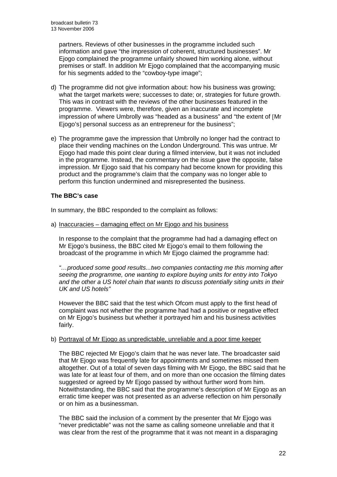partners. Reviews of other businesses in the programme included such information and gave "the impression of coherent, structured businesses". Mr Ejogo complained the programme unfairly showed him working alone, without premises or staff. In addition Mr Ejogo complained that the accompanying music for his segments added to the "cowboy-type image";

- d) The programme did not give information about: how his business was growing; what the target markets were; successes to date; or, strategies for future growth. This was in contrast with the reviews of the other businesses featured in the programme. Viewers were, therefore, given an inaccurate and incomplete impression of where Umbrolly was "headed as a business" and "the extent of [Mr Ejogo's] personal success as an entrepreneur for the business":
- e) The programme gave the impression that Umbrolly no longer had the contract to place their vending machines on the London Underground. This was untrue. Mr Ejogo had made this point clear during a filmed interview, but it was not included in the programme. Instead, the commentary on the issue gave the opposite, false impression. Mr Ejogo said that his company had become known for providing this product and the programme's claim that the company was no longer able to perform this function undermined and misrepresented the business.

#### **The BBC's case**

In summary, the BBC responded to the complaint as follows:

a) Inaccuracies – damaging effect on Mr Ejogo and his business

In response to the complaint that the programme had had a damaging effect on Mr Ejogo's business, the BBC cited Mr Ejogo's email to them following the broadcast of the programme in which Mr Ejogo claimed the programme had:

*"…produced some good results...two companies contacting me this morning after seeing the programme, one wanting to explore buying units for entry into Tokyo and the other a US hotel chain that wants to discuss potentially siting units in their UK and US hotels"* 

However the BBC said that the test which Ofcom must apply to the first head of complaint was not whether the programme had had a positive or negative effect on Mr Ejogo's business but whether it portrayed him and his business activities fairly.

#### b) Portrayal of Mr Ejogo as unpredictable, unreliable and a poor time keeper

 The BBC rejected Mr Ejogo's claim that he was never late. The broadcaster said that Mr Ejogo was frequently late for appointments and sometimes missed them altogether. Out of a total of seven days filming with Mr Ejogo, the BBC said that he was late for at least four of them, and on more than one occasion the filming dates suggested or agreed by Mr Ejogo passed by without further word from him. Notwithstanding, the BBC said that the programme's description of Mr Ejogo as an erratic time keeper was not presented as an adverse reflection on him personally or on him as a businessman.

The BBC said the inclusion of a comment by the presenter that Mr Ejogo was "never predictable" was not the same as calling someone unreliable and that it was clear from the rest of the programme that it was not meant in a disparaging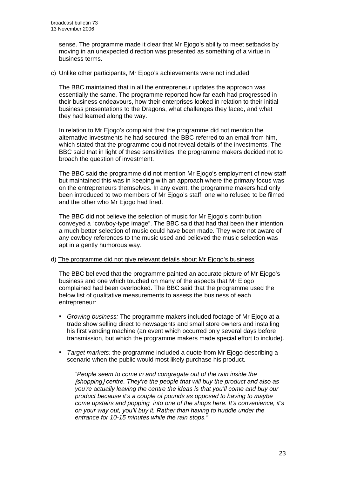sense. The programme made it clear that Mr Ejogo's ability to meet setbacks by moving in an unexpected direction was presented as something of a virtue in business terms.

#### c) Unlike other participants, Mr Ejogo's achievements were not included

The BBC maintained that in all the entrepreneur updates the approach was essentially the same. The programme reported how far each had progressed in their business endeavours, how their enterprises looked in relation to their initial business presentations to the Dragons, what challenges they faced, and what they had learned along the way.

In relation to Mr Ejogo's complaint that the programme did not mention the alternative investments he had secured, the BBC referred to an email from him, which stated that the programme could not reveal details of the investments. The BBC said that in light of these sensitivities, the programme makers decided not to broach the question of investment.

The BBC said the programme did not mention Mr Ejogo's employment of new staff but maintained this was in keeping with an approach where the primary focus was on the entrepreneurs themselves. In any event, the programme makers had only been introduced to two members of Mr Ejogo's staff, one who refused to be filmed and the other who Mr Ejogo had fired.

The BBC did not believe the selection of music for Mr Ejogo's contribution conveyed a "cowboy-type image". The BBC said that had that been their intention, a much better selection of music could have been made. They were not aware of any cowboy references to the music used and believed the music selection was apt in a gently humorous way.

#### d) The programme did not give relevant details about Mr Ejogo's business

 The BBC believed that the programme painted an accurate picture of Mr Ejogo's business and one which touched on many of the aspects that Mr Ejogo complained had been overlooked. The BBC said that the programme used the below list of qualitative measurements to assess the business of each entrepreneur:

- *Growing business:* The programme makers included footage of Mr Ejogo at a trade show selling direct to newsagents and small store owners and installing his first vending machine (an event which occurred only several days before transmission, but which the programme makers made special effort to include).
- *Target markets:* the programme included a quote from Mr Ejogo describing a scenario when the public would most likely purchase his product.

*"People seem to come in and congregate out of the rain inside the*  [*shopping*] *centre. They're the people that will buy the product and also as you're actually leaving the centre the ideas is that you'll come and buy our product because it's a couple of pounds as opposed to having to maybe come upstairs and popping into one of the shops here. It's convenience, it's on your way out, you'll buy it. Rather than having to huddle under the entrance for 10-15 minutes while the rain stops."*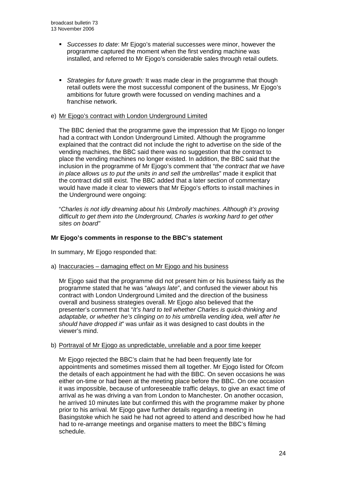- *Successes to date*: Mr Ejogo's material successes were minor, however the programme captured the moment when the first vending machine was installed, and referred to Mr Ejogo's considerable sales through retail outlets.
- *Strategies for future growth:* It was made clear in the programme that though retail outlets were the most successful component of the business, Mr Ejogo's ambitions for future growth were focussed on vending machines and a franchise network.

#### e) Mr Ejogo's contract with London Underground Limited

 The BBC denied that the programme gave the impression that Mr Ejogo no longer had a contract with London Underground Limited. Although the programme explained that the contract did not include the right to advertise on the side of the vending machines, the BBC said there was no suggestion that the contract to place the vending machines no longer existed. In addition, the BBC said that the inclusion in the programme of Mr Ejogo's comment that "*the contract that we have in place allows us to put the units in and sell the umbrellas*" made it explicit that the contract did still exist. The BBC added that a later section of commentary would have made it clear to viewers that Mr Ejogo's efforts to install machines in the Underground were ongoing:

 "*Charles is not idly dreaming about his Umbrolly machines. Although it's proving difficult to get them into the Underground, Charles is working hard to get other sites on board"*

#### **Mr Ejogo's comments in response to the BBC's statement**

In summary, Mr Ejogo responded that:

a) Inaccuracies – damaging effect on Mr Ejogo and his business

Mr Ejogo said that the programme did not present him or his business fairly as the programme stated that he was "*always late*", and confused the viewer about his contract with London Underground Limited and the direction of the business overall and business strategies overall. Mr Ejogo also believed that the presenter's comment that "*It's hard to tell whether Charles is quick-thinking and adaptable, or whether he's clinging on to his umbrella vending idea, well after he should have dropped it*" was unfair as it was designed to cast doubts in the viewer's mind.

#### b) Portrayal of Mr Ejogo as unpredictable, unreliable and a poor time keeper

 Mr Ejogo rejected the BBC's claim that he had been frequently late for appointments and sometimes missed them all together. Mr Ejogo listed for Ofcom the details of each appointment he had with the BBC. On seven occasions he was either on-time or had been at the meeting place before the BBC. On one occasion it was impossible, because of unforeseeable traffic delays, to give an exact time of arrival as he was driving a van from London to Manchester. On another occasion, he arrived 10 minutes late but confirmed this with the programme maker by phone prior to his arrival. Mr Ejogo gave further details regarding a meeting in Basingstoke which he said he had not agreed to attend and described how he had had to re-arrange meetings and organise matters to meet the BBC's filming schedule.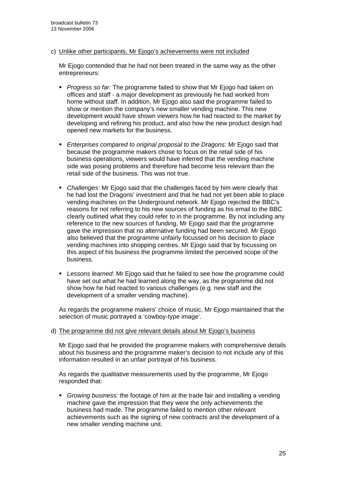#### c) Unlike other participants, Mr Ejogo's achievements were not included

Mr Ejogo contended that he had not been treated in the same way as the other entrepreneurs:

- *Progress so far:* The programme failed to show that Mr Ejogo had taken on offices and staff - a major development as previously he had worked from home without staff. In addition, Mr Ejogo also said the programme failed to show or mention the company's new smaller vending machine. This new development would have shown viewers how he had reacted to the market by developing and refining his product, and also how the new product design had opened new markets for the business.
- *Enterprises compared to original proposal to the Dragons*: Mr Ejogo said that because the programme makers chose to focus on the retail side of his business operations, viewers would have inferred that the vending machine side was posing problems and therefore had become less relevant than the retail side of the business. This was not true.
- *Challenges*: Mr Ejogo said that the challenges faced by him were clearly that he had lost the Dragons' investment and that he had not yet been able to place vending machines on the Underground network. Mr Ejogo rejected the BBC's reasons for not referring to his new sources of funding as his email to the BBC clearly outlined what they could refer to in the programme. By not including any reference to the new sources of funding, Mr Ejogo said that the programme gave the impression that no alternative funding had been secured. Mr Ejogo also believed that the programme unfairly focussed on his decision to place vending machines into shopping centres. Mr Ejogo said that by focussing on this aspect of his business the programme limited the perceived scope of the business.
- *Lessons learned*: Mr Ejogo said that he failed to see how the programme could have set out what he had learned along the way, as the programme did not show how he had reacted to various challenges (e.g. new staff and the development of a smaller vending machine).

 As regards the programme makers' choice of music, Mr Ejogo maintained that the selection of music portrayed a 'cowboy-type image'.

#### d) The programme did not give relevant details about Mr Ejogo's business

Mr Ejogo said that he provided the programme makers with comprehensive details about his business and the programme maker's decision to not include any of this information resulted in an unfair portrayal of his business.

 As regards the qualitative measurements used by the programme, Mr Ejogo responded that:

 *Growing business:* the footage of him at the trade fair and installing a vending machine gave the impression that they were the only achievements the business had made. The programme failed to mention other relevant achievements such as the signing of new contracts and the development of a new smaller vending machine unit.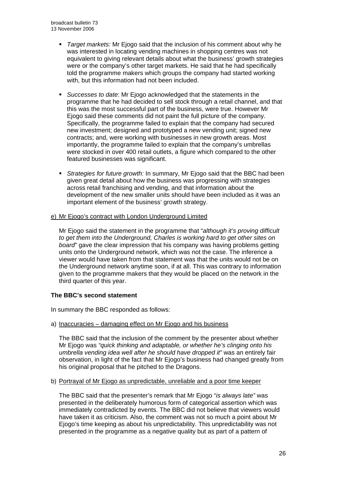- *Target markets:* Mr Ejogo said that the inclusion of his comment about why he was interested in locating vending machines in shopping centres was not equivalent to giving relevant details about what the business' growth strategies were or the company's other target markets. He said that he had specifically told the programme makers which groups the company had started working with, but this information had not been included.
- *Successes to date*: Mr Ejogo acknowledged that the statements in the programme that he had decided to sell stock through a retail channel, and that this was the most successful part of the business, were true. However Mr Ejogo said these comments did not paint the full picture of the company. Specifically, the programme failed to explain that the company had secured new investment; designed and prototyped a new vending unit; signed new contracts; and, were working with businesses in new growth areas. Most importantly, the programme failed to explain that the company's umbrellas were stocked in over 400 retail outlets, a figure which compared to the other featured businesses was significant.
- *Strategies for future growth:* In summary, Mr Ejogo said that the BBC had been given great detail about how the business was progressing with strategies across retail franchising and vending, and that information about the development of the new smaller units should have been included as it was an important element of the business' growth strategy.

#### e) Mr Ejogo's contract with London Underground Limited

Mr Ejogo said the statement in the programme that "*although it's proving difficult to get them into the Underground, Charles is working hard to get other sites on board*" gave the clear impression that his company was having problems getting units onto the Underground network, which was not the case. The inference a viewer would have taken from that statement was that the units would not be on the Underground network anytime soon, if at all. This was contrary to information given to the programme makers that they would be placed on the network in the third quarter of this year.

#### **The BBC's second statement**

In summary the BBC responded as follows:

a) Inaccuracies – damaging effect on Mr Ejogo and his business

The BBC said that the inclusion of the comment by the presenter about whether Mr Ejogo was *"quick thinking and adaptable, or whether he's clinging onto his umbrella vending idea well after he should have dropped it"* was an entirely fair observation, in light of the fact that Mr Ejogo's business had changed greatly from his original proposal that he pitched to the Dragons.

#### b) Portrayal of Mr Ejogo as unpredictable, unreliable and a poor time keeper

 The BBC said that the presenter's remark that Mr Ejogo "*is always late"* was presented in the deliberately humorous form of categorical assertion which was immediately contradicted by events. The BBC did not believe that viewers would have taken it as criticism. Also, the comment was not so much a point about Mr Ejogo's time keeping as about his unpredictability. This unpredictability was not presented in the programme as a negative quality but as part of a pattern of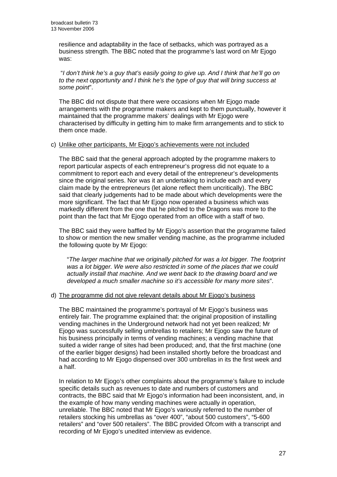resilience and adaptability in the face of setbacks, which was portrayed as a business strength. The BBC noted that the programme's last word on Mr Ejogo was:

 "*I don't think he's a guy that's easily going to give up. And I think that he'll go on to the next opportunity and I think he's the type of guy that will bring success at some point*".

 The BBC did not dispute that there were occasions when Mr Ejogo made arrangements with the programme makers and kept to them punctually, however it maintained that the programme makers' dealings with Mr Ejogo were characterised by difficulty in getting him to make firm arrangements and to stick to them once made.

#### c) Unlike other participants, Mr Ejogo's achievements were not included

The BBC said that the general approach adopted by the programme makers to report particular aspects of each entrepreneur's progress did not equate to a commitment to report each and every detail of the entrepreneur's developments since the original series. Nor was it an undertaking to include each and every claim made by the entrepreneurs (let alone reflect them uncritically). The BBC said that clearly judgements had to be made about which developments were the more significant. The fact that Mr Ejogo now operated a business which was markedly different from the one that he pitched to the Dragons was more to the point than the fact that Mr Ejogo operated from an office with a staff of two.

The BBC said they were baffled by Mr Ejogo's assertion that the programme failed to show or mention the new smaller vending machine, as the programme included the following quote by Mr Ejogo:

"*The larger machine that we originally pitched for was a lot bigger. The footprint was a lot bigger. We were also restricted in some of the places that we could actually install that machine. And we went back to the drawing board and we developed a much smaller machine so it's accessible for many more sites*".

#### d) The programme did not give relevant details about Mr Ejogo's business

The BBC maintained the programme's portrayal of Mr Ejogo's business was entirely fair. The programme explained that: the original proposition of installing vending machines in the Underground network had not yet been realized; Mr Ejogo was successfully selling umbrellas to retailers; Mr Ejogo saw the future of his business principally in terms of vending machines; a vending machine that suited a wider range of sites had been produced; and, that the first machine (one of the earlier bigger designs) had been installed shortly before the broadcast and had according to Mr Ejogo dispensed over 300 umbrellas in its the first week and a half.

In relation to Mr Ejogo's other complaints about the programme's failure to include specific details such as revenues to date and numbers of customers and contracts, the BBC said that Mr Ejogo's information had been inconsistent, and, in the example of how many vending machines were actually in operation, unreliable. The BBC noted that Mr Ejogo's variously referred to the number of retailers stocking his umbrellas as "over 400", "about 500 customers", "5-600 retailers" and "over 500 retailers". The BBC provided Ofcom with a transcript and recording of Mr Ejogo's unedited interview as evidence.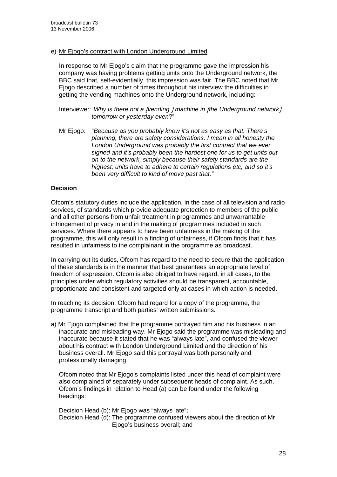e) Mr Ejogo's contract with London Underground Limited

In response to Mr Ejogo's claim that the programme gave the impression his company was having problems getting units onto the Underground network, the BBC said that, self-evidentially, this impression was fair. The BBC noted that Mr Ejogo described a number of times throughout his interview the difficulties in getting the vending machines onto the Underground network, including:

Interviewer: "*Why is there not a* [*vending* ] *machine in* [*the Underground network*] *tomorrow or yesterday even*?"

Mr Ejogo: "*Because as you probably know it's not as easy as that. There's planning, there are safety considerations. I mean in all honesty the London Underground was probably the first contract that we ever signed and it's probably been the hardest one for us to get units out on to the network, simply because their safety standards are the highest; units have to adhere to certain regulations etc, and so it's been very difficult to kind of move past that."* 

#### **Decision**

Ofcom's statutory duties include the application, in the case of all television and radio services, of standards which provide adequate protection to members of the public and all other persons from unfair treatment in programmes and unwarrantable infringement of privacy in and in the making of programmes included in such services. Where there appears to have been unfairness in the making of the programme, this will only result in a finding of unfairness, if Ofcom finds that it has resulted in unfairness to the complainant in the programme as broadcast.

In carrying out its duties, Ofcom has regard to the need to secure that the application of these standards is in the manner that best guarantees an appropriate level of freedom of expression. Ofcom is also obliged to have regard, in all cases, to the principles under which regulatory activities should be transparent, accountable, proportionate and consistent and targeted only at cases in which action is needed.

In reaching its decision, Ofcom had regard for a copy of the programme, the programme transcript and both parties' written submissions.

a) Mr Ejogo complained that the programme portrayed him and his business in an inaccurate and misleading way. Mr Ejogo said the programme was misleading and inaccurate because it stated that he was "always late", and confused the viewer about his contract with London Underground Limited and the direction of his business overall. Mr Ejogo said this portrayal was both personally and professionally damaging.

Ofcom noted that Mr Ejogo's complaints listed under this head of complaint were also complained of separately under subsequent heads of complaint. As such, Ofcom's findings in relation to Head (a) can be found under the following headings:

Decision Head (b): Mr Ejogo was "always late"; Decision Head (d): The programme confused viewers about the direction of Mr Ejogo's business overall; and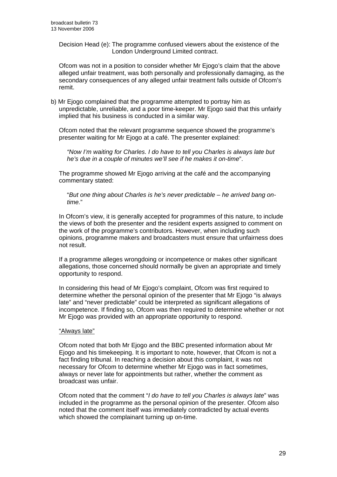Decision Head (e): The programme confused viewers about the existence of the London Underground Limited contract.

 Ofcom was not in a position to consider whether Mr Ejogo's claim that the above alleged unfair treatment, was both personally and professionally damaging, as the secondary consequences of any alleged unfair treatment falls outside of Ofcom's remit.

b) Mr Ejogo complained that the programme attempted to portray him as unpredictable, unreliable, and a poor time-keeper. Mr Ejogo said that this unfairly implied that his business is conducted in a similar way.

Ofcom noted that the relevant programme sequence showed the programme's presenter waiting for Mr Ejogo at a café. The presenter explained:

*"Now I'm waiting for Charles. I do have to tell you Charles is always late but he's due in a couple of minutes we'll see if he makes it on-time*".

The programme showed Mr Ejogo arriving at the café and the accompanying commentary stated:

"*But one thing about Charles is he's never predictable – he arrived bang ontime.*"

In Ofcom's view, it is generally accepted for programmes of this nature, to include the views of both the presenter and the resident experts assigned to comment on the work of the programme's contributors. However, when including such opinions, programme makers and broadcasters must ensure that unfairness does not result.

If a programme alleges wrongdoing or incompetence or makes other significant allegations, those concerned should normally be given an appropriate and timely opportunity to respond.

In considering this head of Mr Ejogo's complaint, Ofcom was first required to determine whether the personal opinion of the presenter that Mr Ejogo "is always late" and "never predictable" could be interpreted as significant allegations of incompetence. If finding so, Ofcom was then required to determine whether or not Mr Ejogo was provided with an appropriate opportunity to respond.

#### "Always late"

Ofcom noted that both Mr Ejogo and the BBC presented information about Mr Ejogo and his timekeeping. It is important to note, however, that Ofcom is not a fact finding tribunal. In reaching a decision about this complaint, it was not necessary for Ofcom to determine whether Mr Ejogo was in fact sometimes, always or never late for appointments but rather, whether the comment as broadcast was unfair.

Ofcom noted that the comment "*I do have to tell you Charles is always late*" was included in the programme as the personal opinion of the presenter. Ofcom also noted that the comment itself was immediately contradicted by actual events which showed the complainant turning up on-time.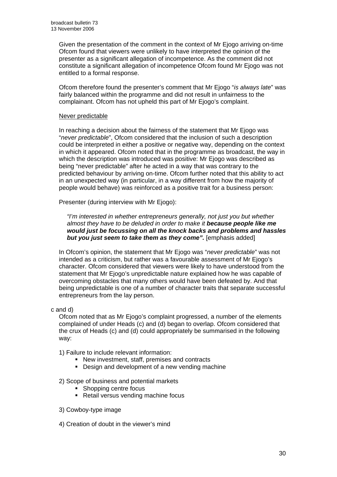Given the presentation of the comment in the context of Mr Ejogo arriving on-time Ofcom found that viewers were unlikely to have interpreted the opinion of the presenter as a significant allegation of incompetence. As the comment did not constitute a significant allegation of incompetence Ofcom found Mr Ejogo was not entitled to a formal response.

Ofcom therefore found the presenter's comment that Mr Ejogo "*is always late*" was fairly balanced within the programme and did not result in unfairness to the complainant. Ofcom has not upheld this part of Mr Ejogo's complaint.

#### Never predictable

In reaching a decision about the fairness of the statement that Mr Ejogo was "*never predictable*", Ofcom considered that the inclusion of such a description could be interpreted in either a positive or negative way, depending on the context in which it appeared. Ofcom noted that in the programme as broadcast, the way in which the description was introduced was positive: Mr Ejogo was described as being "never predictable" after he acted in a way that was contrary to the predicted behaviour by arriving on-time. Ofcom further noted that this ability to act in an unexpected way (in particular, in a way different from how the majority of people would behave) was reinforced as a positive trait for a business person:

Presenter (during interview with Mr Ejogo):

*"I'm interested in whether entrepreneurs generally, not just you but whether almost they have to be deluded in order to make it because people like me would just be focussing on all the knock backs and problems and hassles but you just seem to take them as they come".* [emphasis added]

In Ofcom's opinion, the statement that Mr Ejogo was "*never predictable*" was not intended as a criticism, but rather was a favourable assessment of Mr Ejogo's character. Ofcom considered that viewers were likely to have understood from the statement that Mr Ejogo's unpredictable nature explained how he was capable of overcoming obstacles that many others would have been defeated by. And that being unpredictable is one of a number of character traits that separate successful entrepreneurs from the lay person.

c and d)

Ofcom noted that as Mr Ejogo's complaint progressed, a number of the elements complained of under Heads (c) and (d) began to overlap. Ofcom considered that the crux of Heads (c) and (d) could appropriately be summarised in the following way:

- 1) Failure to include relevant information:
	- New investment, staff, premises and contracts
	- Design and development of a new vending machine

2) Scope of business and potential markets

- Shopping centre focus
- Retail versus vending machine focus
- 3) Cowboy-type image

4) Creation of doubt in the viewer's mind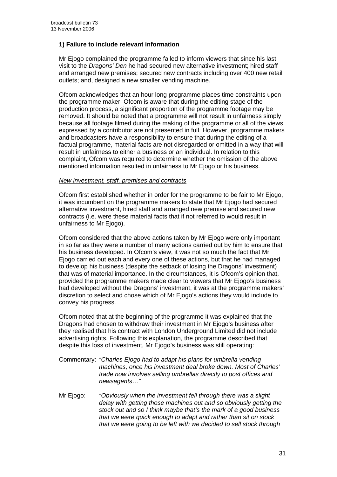#### **1) Failure to include relevant information**

Mr Ejogo complained the programme failed to inform viewers that since his last visit to the *Dragons' Den* he had secured new alternative investment; hired staff and arranged new premises; secured new contracts including over 400 new retail outlets; and, designed a new smaller vending machine.

Ofcom acknowledges that an hour long programme places time constraints upon the programme maker. Ofcom is aware that during the editing stage of the production process, a significant proportion of the programme footage may be removed. It should be noted that a programme will not result in unfairness simply because all footage filmed during the making of the programme or all of the views expressed by a contributor are not presented in full. However, programme makers and broadcasters have a responsibility to ensure that during the editing of a factual programme, material facts are not disregarded or omitted in a way that will result in unfairness to either a business or an individual. In relation to this complaint, Ofcom was required to determine whether the omission of the above mentioned information resulted in unfairness to Mr Ejogo or his business.

#### *New investment, staff, premises and contracts*

Ofcom first established whether in order for the programme to be fair to Mr Ejogo, it was incumbent on the programme makers to state that Mr Ejogo had secured alternative investment, hired staff and arranged new premise and secured new contracts (i.e. were these material facts that if not referred to would result in unfairness to Mr Ejogo).

Ofcom considered that the above actions taken by Mr Ejogo were only important in so far as they were a number of many actions carried out by him to ensure that his business developed. In Ofcom's view, it was not so much the fact that Mr Ejogo carried out each and every one of these actions, but that he had managed to develop his business (despite the setback of losing the Dragons' investment) that was of material importance. In the circumstances, it is Ofcom's opinion that, provided the programme makers made clear to viewers that Mr Ejogo's business had developed without the Dragons' investment, it was at the programme makers' discretion to select and chose which of Mr Ejogo's actions they would include to convey his progress.

Ofcom noted that at the beginning of the programme it was explained that the Dragons had chosen to withdraw their investment in Mr Ejogo's business after they realised that his contract with London Underground Limited did not include advertising rights. Following this explanation, the programme described that despite this loss of investment, Mr Ejogo's business was still operating:

- Commentary: *"Charles Ejogo had to adapt his plans for umbrella vending machines, once his investment deal broke down. Most of Charles' trade now involves selling umbrellas directly to post offices and newsagents…"*
- Mr Ejogo: *"Obviously when the investment fell through there was a slight delay with getting those machines out and so obviously getting the stock out and so I think maybe that's the mark of a good business that we were quick enough to adapt and rather than sit on stock that we were going to be left with we decided to sell stock through*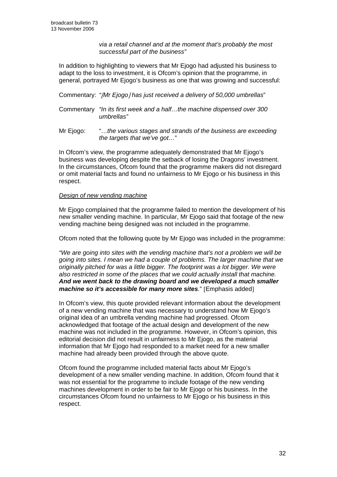*via a retail channel and at the moment that's probably the most successful part of the business"* 

In addition to highlighting to viewers that Mr Ejogo had adjusted his business to adapt to the loss to investment, it is Ofcom's opinion that the programme, in general, portrayed Mr Ejogo's business as one that was growing and successful:

Commentary: *"*[*Mr Ejogo*] *has just received a delivery of 50,000 umbrellas*"

- Commentary *"In its first week and a half…the machine dispensed over 300 umbrellas"*
- Mr Ejogo: "…*the various stages and strands of the business are exceeding the targets that we've got…*"

In Ofcom's view, the programme adequately demonstrated that Mr Ejogo's business was developing despite the setback of losing the Dragons' investment. In the circumstances, Ofcom found that the programme makers did not disregard or omit material facts and found no unfairness to Mr Ejogo or his business in this respect.

#### *Design of new vending machine*

Mr Ejogo complained that the programme failed to mention the development of his new smaller vending machine. In particular, Mr Ejogo said that footage of the new vending machine being designed was not included in the programme.

Ofcom noted that the following quote by Mr Ejogo was included in the programme:

*"We are going into sites with the vending machine that's not a problem we will be going into sites. I mean we had a couple of problems. The larger machine that we originally pitched for was a little bigger. The footprint was a lot bigger. We were also restricted in some of the places that we could actually install that machine. And we went back to the drawing board and we developed a much smaller machine so it's accessible for many more sites.*" [Emphasis added]

In Ofcom's view, this quote provided relevant information about the development of a new vending machine that was necessary to understand how Mr Ejogo's original idea of an umbrella vending machine had progressed. Ofcom acknowledged that footage of the actual design and development of the new machine was not included in the programme. However, in Ofcom's opinion, this editorial decision did not result in unfairness to Mr Ejogo, as the material information that Mr Ejogo had responded to a market need for a new smaller machine had already been provided through the above quote.

Ofcom found the programme included material facts about Mr Ejogo's development of a new smaller vending machine. In addition, Ofcom found that it was not essential for the programme to include footage of the new vending machines development in order to be fair to Mr Ejogo or his business. In the circumstances Ofcom found no unfairness to Mr Ejogo or his business in this respect.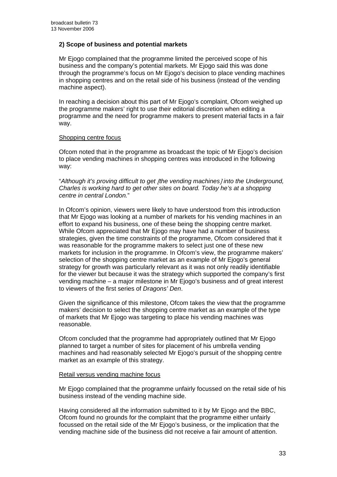#### **2) Scope of business and potential markets**

Mr Ejogo complained that the programme limited the perceived scope of his business and the company's potential markets. Mr Ejogo said this was done through the programme's focus on Mr Ejogo's decision to place vending machines in shopping centres and on the retail side of his business (instead of the vending machine aspect).

In reaching a decision about this part of Mr Ejogo's complaint, Ofcom weighed up the programme makers' right to use their editorial discretion when editing a programme and the need for programme makers to present material facts in a fair way.

#### Shopping centre focus

Ofcom noted that in the programme as broadcast the topic of Mr Ejogo's decision to place vending machines in shopping centres was introduced in the following way:

"*Although it's proving difficult to get* [*the vending machines*] *into the Underground, Charles is working hard to get other sites on board. Today he's at a shopping centre in central London.*"

In Ofcom's opinion, viewers were likely to have understood from this introduction that Mr Ejogo was looking at a number of markets for his vending machines in an effort to expand his business, one of these being the shopping centre market. While Ofcom appreciated that Mr Ejogo may have had a number of business strategies, given the time constraints of the programme, Ofcom considered that it was reasonable for the programme makers to select just one of these new markets for inclusion in the programme. In Ofcom's view, the programme makers' selection of the shopping centre market as an example of Mr Ejogo's general strategy for growth was particularly relevant as it was not only readily identifiable for the viewer but because it was the strategy which supported the company's first vending machine – a major milestone in Mr Ejogo's business and of great interest to viewers of the first series of *Dragons' Den*.

Given the significance of this milestone, Ofcom takes the view that the programme makers' decision to select the shopping centre market as an example of the type of markets that Mr Ejogo was targeting to place his vending machines was reasonable.

Ofcom concluded that the programme had appropriately outlined that Mr Ejogo planned to target a number of sites for placement of his umbrella vending machines and had reasonably selected Mr Ejogo's pursuit of the shopping centre market as an example of this strategy.

#### Retail versus vending machine focus

 Mr Ejogo complained that the programme unfairly focussed on the retail side of his business instead of the vending machine side.

 Having considered all the information submitted to it by Mr Ejogo and the BBC, Ofcom found no grounds for the complaint that the programme either unfairly focussed on the retail side of the Mr Ejogo's business, or the implication that the vending machine side of the business did not receive a fair amount of attention.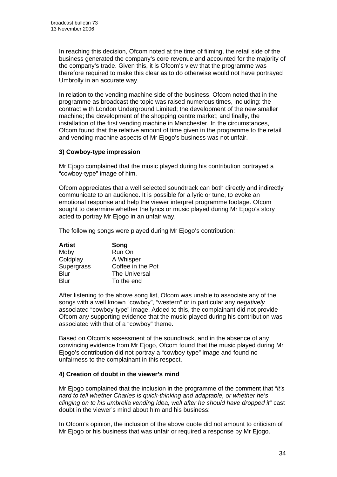In reaching this decision, Ofcom noted at the time of filming, the retail side of the business generated the company's core revenue and accounted for the majority of the company's trade. Given this, it is Ofcom's view that the programme was therefore required to make this clear as to do otherwise would not have portrayed Umbrolly in an accurate way.

In relation to the vending machine side of the business, Ofcom noted that in the programme as broadcast the topic was raised numerous times, including: the contract with London Underground Limited; the development of the new smaller machine; the development of the shopping centre market; and finally, the installation of the first vending machine in Manchester. In the circumstances, Ofcom found that the relative amount of time given in the programme to the retail and vending machine aspects of Mr Ejogo's business was not unfair.

#### **3) Cowboy-type impression**

Mr Ejogo complained that the music played during his contribution portrayed a "cowboy-type" image of him.

 Ofcom appreciates that a well selected soundtrack can both directly and indirectly communicate to an audience. It is possible for a lyric or tune, to evoke an emotional response and help the viewer interpret programme footage. Ofcom sought to determine whether the lyrics or music played during Mr Ejogo's story acted to portray Mr Ejogo in an unfair way.

The following songs were played during Mr Ejogo's contribution:

| <b>Artist</b> | Song              |
|---------------|-------------------|
| Moby          | Run On            |
| Coldplay      | A Whisper         |
| Supergrass    | Coffee in the Pot |
| <b>Blur</b>   | The Universal     |
| Blur          | To the end        |

 After listening to the above song list, Ofcom was unable to associate any of the songs with a well known "cowboy", "western" or in particular any *negatively* associated "cowboy-type" image. Added to this, the complainant did not provide Ofcom any supporting evidence that the music played during his contribution was associated with that of a "cowboy" theme.

Based on Ofcom's assessment of the soundtrack, and in the absence of any convincing evidence from Mr Ejogo, Ofcom found that the music played during Mr Ejogo's contribution did not portray a "cowboy-type" image and found no unfairness to the complainant in this respect.

#### **4) Creation of doubt in the viewer's mind**

Mr Ejogo complained that the inclusion in the programme of the comment that "*it's hard to tell whether Charles is quick-thinking and adaptable, or whether he's clinging on to his umbrella vending idea, well after he should have dropped it*" cast doubt in the viewer's mind about him and his business:

 In Ofcom's opinion, the inclusion of the above quote did not amount to criticism of Mr Ejogo or his business that was unfair or required a response by Mr Ejogo.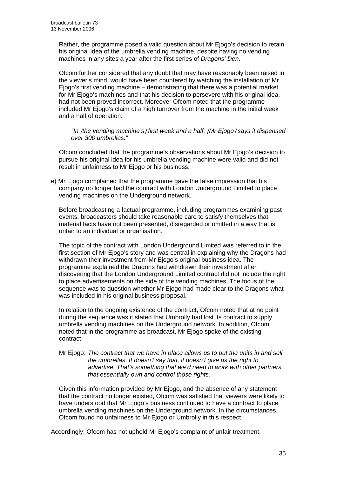Rather, the programme posed a valid question about Mr Ejogo's decision to retain his original idea of the umbrella vending machine, despite having no vending machines in any sites a year after the first series of *Dragons' Den*.

Ofcom further considered that any doubt that may have reasonably been raised in the viewer's mind, would have been countered by watching the installation of Mr Ejogo's first vending machine – demonstrating that there was a potential market for Mr Ejogo's machines and that his decision to persevere with his original idea, had not been proved incorrect. Moreover Ofcom noted that the programme included Mr Ejogo's claim of a high turnover from the machine in the initial week and a half of operation:

*"In* [*the vending machine's*] *first week and a half,* [*Mr Ejogo*] *says it dispensed over 300 umbrellas."* 

 Ofcom concluded that the programme's observations about Mr Ejogo's decision to pursue his original idea for his umbrella vending machine were valid and did not result in unfairness to Mr Ejogo or his business.

e) Mr Ejogo complained that the programme gave the false impression that his company no longer had the contract with London Underground Limited to place vending machines on the Underground network.

Before broadcasting a factual programme, including programmes examining past events, broadcasters should take reasonable care to satisfy themselves that material facts have not been presented, disregarded or omitted in a way that is unfair to an individual or organisation.

The topic of the contract with London Underground Limited was referred to in the first section of Mr Ejogo's story and was central in explaining why the Dragons had withdrawn their investment from Mr Ejogo's original business idea. The programme explained the Dragons had withdrawn their investment after discovering that the London Underground Limited contract did not include the right to place advertisements on the side of the vending machines. The focus of the sequence was to question whether Mr Ejogo had made clear to the Dragons what was included in his original business proposal.

In relation to the ongoing existence of the contract, Ofcom noted that at no point during the sequence was it stated that Umbrolly had lost its contract to supply umbrella vending machines on the Underground network. In addition, Ofcom noted that in the programme as broadcast, Mr Ejogo spoke of the existing contract:

#### Mr Ejogo: *The contract that we have in place allows us to put the units in and sell the umbrellas. It doesn't say that, it doesn't give us the right to advertise. That's something that we'd need to work with other partners that essentially own and control those rights.*

Given this information provided by Mr Ejogo, and the absence of any statement that the contract no longer existed, Ofcom was satisfied that viewers were likely to have understood that Mr Ejogo's business continued to have a contract to place umbrella vending machines on the Underground network. In the circumstances, Ofcom found no unfairness to Mr Ejogo or Umbrolly in this respect.

Accordingly, Ofcom has not upheld Mr Ejogo's complaint of unfair treatment.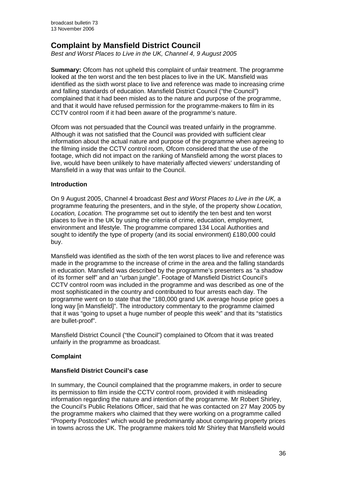# **Complaint by Mansfield District Council**

*Best and Worst Places to Live in the UK, Channel 4, 9 August 2005* 

**Summary:** Ofcom has not upheld this complaint of unfair treatment. The programme looked at the ten worst and the ten best places to live in the UK. Mansfield was identified as the sixth worst place to live and reference was made to increasing crime and falling standards of education. Mansfield District Council ("the Council") complained that it had been misled as to the nature and purpose of the programme, and that it would have refused permission for the programme-makers to film in its CCTV control room if it had been aware of the programme's nature.

Ofcom was not persuaded that the Council was treated unfairly in the programme. Although it was not satisfied that the Council was provided with sufficient clear information about the actual nature and purpose of the programme when agreeing to the filming inside the CCTV control room, Ofcom considered that the use of the footage, which did not impact on the ranking of Mansfield among the worst places to live, would have been unlikely to have materially affected viewers' understanding of Mansfield in a way that was unfair to the Council.

#### **Introduction**

On 9 August 2005, Channel 4 broadcast *Best and Worst Places to Live in the UK,* a programme featuring the presenters, and in the style, of the property show *Location, Location, Location.* The programme set out to identify the ten best and ten worst places to live in the UK by using the criteria of crime, education, employment, environment and lifestyle. The programme compared 134 Local Authorities and sought to identify the type of property (and its social environment) £180,000 could buy.

Mansfield was identified as the sixth of the ten worst places to live and reference was made in the programme to the increase of crime in the area and the falling standards in education. Mansfield was described by the programme's presenters as "a shadow of its former self" and an "urban jungle". Footage of Mansfield District Council's CCTV control room was included in the programme and was described as one of the most sophisticated in the country and contributed to four arrests each day. The programme went on to state that the "180,000 grand UK average house price goes a long way [in Mansfield]". The introductory commentary to the programme claimed that it was "going to upset a huge number of people this week" and that its "statistics are bullet-proof".

Mansfield District Council ("the Council") complained to Ofcom that it was treated unfairly in the programme as broadcast.

#### **Complaint**

#### **Mansfield District Council's case**

In summary, the Council complained that the programme makers, in order to secure its permission to film inside the CCTV control room, provided it with misleading information regarding the nature and intention of the programme. Mr Robert Shirley, the Council's Public Relations Officer, said that he was contacted on 27 May 2005 by the programme makers who claimed that they were working on a programme called "Property Postcodes" which would be predominantly about comparing property prices in towns across the UK. The programme makers told Mr Shirley that Mansfield would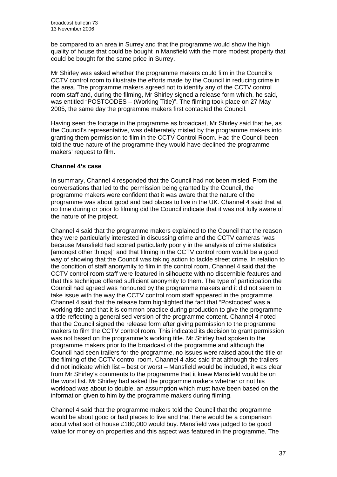be compared to an area in Surrey and that the programme would show the high quality of house that could be bought in Mansfield with the more modest property that could be bought for the same price in Surrey.

Mr Shirley was asked whether the programme makers could film in the Council's CCTV control room to illustrate the efforts made by the Council in reducing crime in the area. The programme makers agreed not to identify any of the CCTV control room staff and, during the filming, Mr Shirley signed a release form which, he said, was entitled "POSTCODES – (Working Title)". The filming took place on 27 May 2005, the same day the programme makers first contacted the Council.

Having seen the footage in the programme as broadcast, Mr Shirley said that he, as the Council's representative, was deliberately misled by the programme makers into granting them permission to film in the CCTV Control Room. Had the Council been told the true nature of the programme they would have declined the programme makers' request to film.

## **Channel 4's case**

In summary, Channel 4 responded that the Council had not been misled. From the conversations that led to the permission being granted by the Council, the programme makers were confident that it was aware that the nature of the programme was about good and bad places to live in the UK. Channel 4 said that at no time during or prior to filming did the Council indicate that it was not fully aware of the nature of the project.

Channel 4 said that the programme makers explained to the Council that the reason they were particularly interested in discussing crime and the CCTV cameras "was because Mansfield had scored particularly poorly in the analysis of crime statistics [amongst other things]" and that filming in the CCTV control room would be a good way of showing that the Council was taking action to tackle street crime. In relation to the condition of staff anonymity to film in the control room, Channel 4 said that the CCTV control room staff were featured in silhouette with no discernible features and that this technique offered sufficient anonymity to them. The type of participation the Council had agreed was honoured by the programme makers and it did not seem to take issue with the way the CCTV control room staff appeared in the programme. Channel 4 said that the release form highlighted the fact that "Postcodes" was a working title and that it is common practice during production to give the programme a title reflecting a generalised version of the programme content. Channel 4 noted that the Council signed the release form after giving permission to the programme makers to film the CCTV control room. This indicated its decision to grant permission was not based on the programme's working title. Mr Shirley had spoken to the programme makers prior to the broadcast of the programme and although the Council had seen trailers for the programme, no issues were raised about the title or the filming of the CCTV control room. Channel 4 also said that although the trailers did not indicate which list – best or worst – Mansfield would be included, it was clear from Mr Shirley's comments to the programme that it knew Mansfield would be on the worst list. Mr Shirley had asked the programme makers whether or not his workload was about to double, an assumption which must have been based on the information given to him by the programme makers during filming.

Channel 4 said that the programme makers told the Council that the programme would be about good or bad places to live and that there would be a comparison about what sort of house £180,000 would buy. Mansfield was judged to be good value for money on properties and this aspect was featured in the programme. The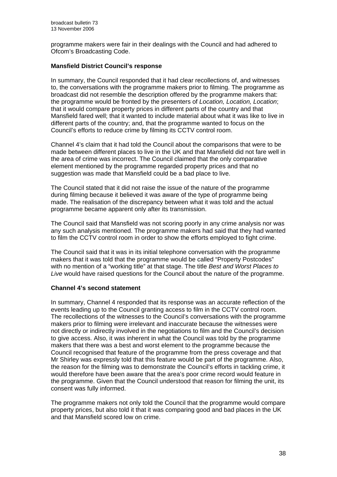programme makers were fair in their dealings with the Council and had adhered to Ofcom's Broadcasting Code.

## **Mansfield District Council's response**

In summary, the Council responded that it had clear recollections of, and witnesses to, the conversations with the programme makers prior to filming. The programme as broadcast did not resemble the description offered by the programme makers that: the programme would be fronted by the presenters of *Location, Location, Location*; that it would compare property prices in different parts of the country and that Mansfield fared well; that it wanted to include material about what it was like to live in different parts of the country; and, that the programme wanted to focus on the Council's efforts to reduce crime by filming its CCTV control room.

Channel 4's claim that it had told the Council about the comparisons that were to be made between different places to live in the UK and that Mansfield did not fare well in the area of crime was incorrect. The Council claimed that the only comparative element mentioned by the programme regarded property prices and that no suggestion was made that Mansfield could be a bad place to live.

The Council stated that it did not raise the issue of the nature of the programme during filming because it believed it was aware of the type of programme being made. The realisation of the discrepancy between what it was told and the actual programme became apparent only after its transmission.

The Council said that Mansfield was not scoring poorly in any crime analysis nor was any such analysis mentioned. The programme makers had said that they had wanted to film the CCTV control room in order to show the efforts employed to fight crime.

The Council said that it was in its initial telephone conversation with the programme makers that it was told that the programme would be called "Property Postcodes" with no mention of a "working title" at that stage. The title *Best and Worst Places to Live* would have raised questions for the Council about the nature of the programme.

## **Channel 4's second statement**

In summary, Channel 4 responded that its response was an accurate reflection of the events leading up to the Council granting access to film in the CCTV control room. The recollections of the witnesses to the Council's conversations with the programme makers prior to filming were irrelevant and inaccurate because the witnesses were not directly or indirectly involved in the negotiations to film and the Council's decision to give access. Also, it was inherent in what the Council was told by the programme makers that there was a best and worst element to the programme because the Council recognised that feature of the programme from the press coverage and that Mr Shirley was expressly told that this feature would be part of the programme. Also, the reason for the filming was to demonstrate the Council's efforts in tackling crime, it would therefore have been aware that the area's poor crime record would feature in the programme. Given that the Council understood that reason for filming the unit, its consent was fully informed.

The programme makers not only told the Council that the programme would compare property prices, but also told it that it was comparing good and bad places in the UK and that Mansfield scored low on crime.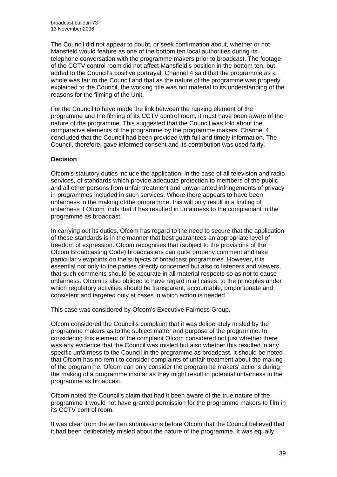The Council did not appear to doubt, or seek confirmation about, whether or not Mansfield would feature as one of the bottom ten local authorities during its telephone conversation with the programme makers prior to broadcast. The footage of the CCTV control room did not affect Mansfield's position in the bottom ten, but added to the Council's positive portrayal. Channel 4 said that the programme as a whole was fair to the Council and that as the nature of the programme was properly explained to the Council, the working title was not material to its understanding of the reasons for the filming of the Unit.

For the Council to have made the link between the ranking element of the programme and the filming of its CCTV control room, it must have been aware of the nature of the programme. This suggested that the Council was told about the comparative elements of the programme by the programme makers. Channel 4 concluded that the Council had been provided with full and timely information. The Council, therefore, gave informed consent and its contribution was used fairly.

## **Decision**

Ofcom's statutory duties include the application, in the case of all television and radio services, of standards which provide adequate protection to members of the public and all other persons from unfair treatment and unwarranted infringements of privacy in programmes included in such services. Where there appears to have been unfairness in the making of the programme, this will only result in a finding of unfairness if Ofcom finds that it has resulted in unfairness to the complainant in the programme as broadcast.

In carrying out its duties, Ofcom has regard to the need to secure that the application of these standards is in the manner that best guarantees an appropriate level of freedom of expression. Ofcom recognises that (subject to the provisions of the Ofcom Broadcasting Code) broadcasters can quite properly comment and take particular viewpoints on the subjects of broadcast programmes. However, it is essential not only to the parties directly concerned but also to listeners and viewers, that such comments should be accurate in all material respects so as not to cause unfairness. Ofcom is also obliged to have regard in all cases, to the principles under which regulatory activities should be transparent, accountable, proportionate and consistent and targeted only at cases in which action is needed.

This case was considered by Ofcom's Executive Fairness Group.

Ofcom considered the Council's complaint that it was deliberately misled by the programme makers as to the subject matter and purpose of the programme. In considering this element of the complaint Ofcom considered not just whether there was any evidence that the Council was misled but also whether this resulted in any specific unfairness to the Council in the programme as broadcast. It should be noted that Ofcom has no remit to consider complaints of unfair treatment about the making of the programme. Ofcom can only consider the programme makers' actions during the making of a programme insofar as they might result in potential unfairness in the programme as broadcast.

Ofcom noted the Council's claim that had it been aware of the true nature of the programme it would not have granted permission for the programme makers to film in its CCTV control room.

It was clear from the written submissions before Ofcom that the Council believed that it had been deliberately misled about the nature of the programme. It was equally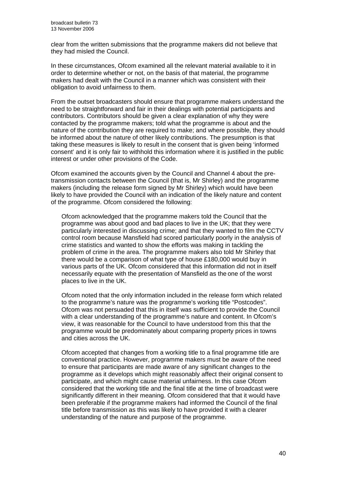clear from the written submissions that the programme makers did not believe that they had misled the Council.

In these circumstances, Ofcom examined all the relevant material available to it in order to determine whether or not, on the basis of that material, the programme makers had dealt with the Council in a manner which was consistent with their obligation to avoid unfairness to them.

From the outset broadcasters should ensure that programme makers understand the need to be straightforward and fair in their dealings with potential participants and contributors. Contributors should be given a clear explanation of why they were contacted by the programme makers; told what the programme is about and the nature of the contribution they are required to make; and where possible, they should be informed about the nature of other likely contributions. The presumption is that taking these measures is likely to result in the consent that is given being 'informed consent' and it is only fair to withhold this information where it is justified in the public interest or under other provisions of the Code.

Ofcom examined the accounts given by the Council and Channel 4 about the pretransmission contacts between the Council (that is, Mr Shirley) and the programme makers (including the release form signed by Mr Shirley) which would have been likely to have provided the Council with an indication of the likely nature and content of the programme. Ofcom considered the following:

Ofcom acknowledged that the programme makers told the Council that the programme was about good and bad places to live in the UK; that they were particularly interested in discussing crime; and that they wanted to film the CCTV control room because Mansfield had scored particularly poorly in the analysis of crime statistics and wanted to show the efforts was making in tackling the problem of crime in the area. The programme makers also told Mr Shirley that there would be a comparison of what type of house £180,000 would buy in various parts of the UK. Ofcom considered that this information did not in itself necessarily equate with the presentation of Mansfield as the one of the worst places to live in the UK.

Ofcom noted that the only information included in the release form which related to the programme's nature was the programme's working title "Postcodes". Ofcom was not persuaded that this in itself was sufficient to provide the Council with a clear understanding of the programme's nature and content. In Ofcom's view, it was reasonable for the Council to have understood from this that the programme would be predominately about comparing property prices in towns and cities across the UK.

Ofcom accepted that changes from a working title to a final programme title are conventional practice. However, programme makers must be aware of the need to ensure that participants are made aware of any significant changes to the programme as it develops which might reasonably affect their original consent to participate, and which might cause material unfairness. In this case Ofcom considered that the working title and the final title at the time of broadcast were significantly different in their meaning. Ofcom considered that that it would have been preferable if the programme makers had informed the Council of the final title before transmission as this was likely to have provided it with a clearer understanding of the nature and purpose of the programme.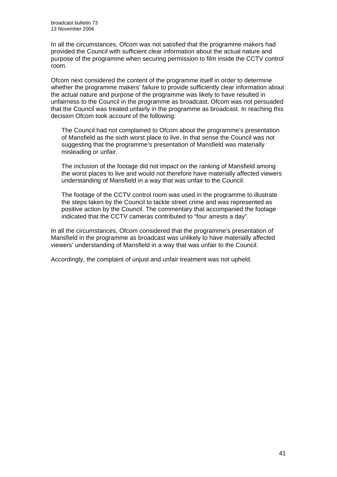In all the circumstances, Ofcom was not satisfied that the programme makers had provided the Council with sufficient clear information about the actual nature and purpose of the programme when securing permission to film inside the CCTV control room.

Ofcom next considered the content of the programme itself in order to determine whether the programme makers' failure to provide sufficiently clear information about the actual nature and purpose of the programme was likely to have resulted in unfairness to the Council in the programme as broadcast. Ofcom was not persuaded that the Council was treated unfairly in the programme as broadcast. In reaching this decision Ofcom took account of the following:

The Council had not complained to Ofcom about the programme's presentation of Mansfield as the sixth worst place to live. In that sense the Council was not suggesting that the programme's presentation of Mansfield was materially misleading or unfair.

The inclusion of the footage did not impact on the ranking of Mansfield among the worst places to live and would not therefore have materially affected viewers understanding of Mansfield in a way that was unfair to the Council.

The footage of the CCTV control room was used in the programme to illustrate the steps taken by the Council to tackle street crime and was represented as positive action by the Council. The commentary that accompanied the footage indicated that the CCTV cameras contributed to "four arrests a day".

In all the circumstances, Ofcom considered that the programme's presentation of Mansfield in the programme as broadcast was unlikely to have materially affected viewers' understanding of Mansfield in a way that was unfair to the Council.

Accordingly, the complaint of unjust and unfair treatment was not upheld.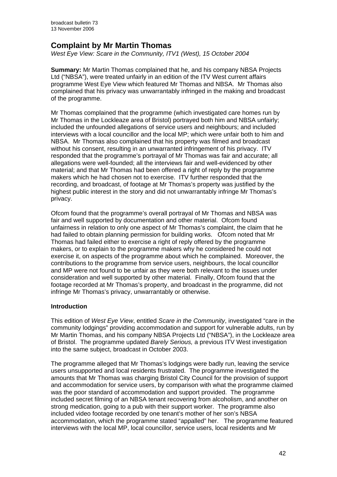# **Complaint by Mr Martin Thomas**

*West Eye View: Scare in the Community, ITV1 (West), 15 October 2004* 

**Summary:** Mr Martin Thomas complained that he, and his company NBSA Projects Ltd ("NBSA"), were treated unfairly in an edition of the ITV West current affairs programme West Eye View which featured Mr Thomas and NBSA. Mr Thomas also complained that his privacy was unwarrantably infringed in the making and broadcast of the programme.

Mr Thomas complained that the programme (which investigated care homes run by Mr Thomas in the Lockleaze area of Bristol) portrayed both him and NBSA unfairly; included the unfounded allegations of service users and neighbours; and included interviews with a local councillor and the local MP; which were unfair both to him and NBSA. Mr Thomas also complained that his property was filmed and broadcast without his consent, resulting in an unwarranted infringement of his privacy. ITV responded that the programme's portrayal of Mr Thomas was fair and accurate; all allegations were well-founded; all the interviews fair and well-evidenced by other material; and that Mr Thomas had been offered a right of reply by the programme makers which he had chosen not to exercise. ITV further responded that the recording, and broadcast, of footage at Mr Thomas's property was justified by the highest public interest in the story and did not unwarrantably infringe Mr Thomas's privacy.

Ofcom found that the programme's overall portrayal of Mr Thomas and NBSA was fair and well supported by documentation and other material. Ofcom found unfairness in relation to only one aspect of Mr Thomas's complaint, the claim that he had failed to obtain planning permission for building works. Ofcom noted that Mr Thomas had failed either to exercise a right of reply offered by the programme makers, or to explain to the programme makers why he considered he could not exercise it, on aspects of the programme about which he complained. Moreover, the contributions to the programme from service users, neighbours, the local councillor and MP were not found to be unfair as they were both relevant to the issues under consideration and well supported by other material. Finally, Ofcom found that the footage recorded at Mr Thomas's property, and broadcast in the programme, did not infringe Mr Thomas's privacy, unwarrantably or otherwise.

## **Introduction**

This edition of *West Eye View*, entitled *Scare in the Community*, investigated "care in the community lodgings" providing accommodation and support for vulnerable adults, run by Mr Martin Thomas, and his company NBSA Projects Ltd ("NBSA"), in the Lockleaze area of Bristol. The programme updated *Barely Serious,* a previous ITV West investigation into the same subject, broadcast in October 2003.

The programme alleged that Mr Thomas's lodgings were badly run, leaving the service users unsupported and local residents frustrated. The programme investigated the amounts that Mr Thomas was charging Bristol City Council for the provision of support and accommodation for service users, by comparison with what the programme claimed was the poor standard of accommodation and support provided. The programme included secret filming of an NBSA tenant recovering from alcoholism, and another on strong medication, going to a pub with their support worker. The programme also included video footage recorded by one tenant's mother of her son's NBSA accommodation, which the programme stated "appalled" her. The programme featured interviews with the local MP, local councillor, service users, local residents and Mr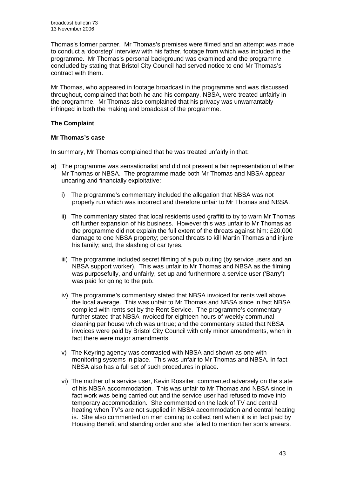Thomas's former partner. Mr Thomas's premises were filmed and an attempt was made to conduct a 'doorstep' interview with his father, footage from which was included in the programme. Mr Thomas's personal background was examined and the programme concluded by stating that Bristol City Council had served notice to end Mr Thomas's contract with them.

Mr Thomas, who appeared in footage broadcast in the programme and was discussed throughout, complained that both he and his company, NBSA, were treated unfairly in the programme. Mr Thomas also complained that his privacy was unwarrantably infringed in both the making and broadcast of the programme.

## **The Complaint**

## **Mr Thomas's case**

In summary, Mr Thomas complained that he was treated unfairly in that:

- a) The programme was sensationalist and did not present a fair representation of either Mr Thomas or NBSA. The programme made both Mr Thomas and NBSA appear uncaring and financially exploitative:
	- i) The programme's commentary included the allegation that NBSA was not properly run which was incorrect and therefore unfair to Mr Thomas and NBSA.
	- ii) The commentary stated that local residents used graffiti to try to warn Mr Thomas off further expansion of his business. However this was unfair to Mr Thomas as the programme did not explain the full extent of the threats against him: £20,000 damage to one NBSA property; personal threats to kill Martin Thomas and injure his family; and, the slashing of car tyres.
	- iii) The programme included secret filming of a pub outing (by service users and an NBSA support worker). This was unfair to Mr Thomas and NBSA as the filming was purposefully, and unfairly, set up and furthermore a service user ('Barry') was paid for going to the pub.
	- iv) The programme's commentary stated that NBSA invoiced for rents well above the local average. This was unfair to Mr Thomas and NBSA since in fact NBSA complied with rents set by the Rent Service. The programme's commentary further stated that NBSA invoiced for eighteen hours of weekly communal cleaning per house which was untrue; and the commentary stated that NBSA invoices were paid by Bristol City Council with only minor amendments, when in fact there were major amendments.
	- v) The Keyring agency was contrasted with NBSA and shown as one with monitoring systems in place. This was unfair to Mr Thomas and NBSA. In fact NBSA also has a full set of such procedures in place.
	- vi) The mother of a service user, Kevin Rossiter, commented adversely on the state of his NBSA accommodation. This was unfair to Mr Thomas and NBSA since in fact work was being carried out and the service user had refused to move into temporary accommodation. She commented on the lack of TV and central heating when TV's are not supplied in NBSA accommodation and central heating is. She also commented on men coming to collect rent when it is in fact paid by Housing Benefit and standing order and she failed to mention her son's arrears.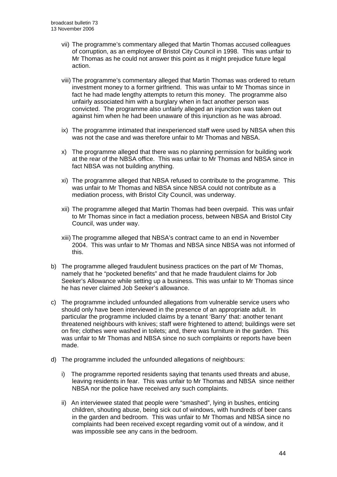- vii) The programme's commentary alleged that Martin Thomas accused colleagues of corruption, as an employee of Bristol City Council in 1998. This was unfair to Mr Thomas as he could not answer this point as it might prejudice future legal action.
- viii) The programme's commentary alleged that Martin Thomas was ordered to return investment money to a former girlfriend. This was unfair to Mr Thomas since in fact he had made lengthy attempts to return this money. The programme also unfairly associated him with a burglary when in fact another person was convicted. The programme also unfairly alleged an injunction was taken out against him when he had been unaware of this injunction as he was abroad.
- ix) The programme intimated that inexperienced staff were used by NBSA when this was not the case and was therefore unfair to Mr Thomas and NBSA.
- x) The programme alleged that there was no planning permission for building work at the rear of the NBSA office. This was unfair to Mr Thomas and NBSA since in fact NBSA was not building anything.
- xi) The programme alleged that NBSA refused to contribute to the programme. This was unfair to Mr Thomas and NBSA since NBSA could not contribute as a mediation process, with Bristol City Council, was underway.
- xii) The programme alleged that Martin Thomas had been overpaid. This was unfair to Mr Thomas since in fact a mediation process, between NBSA and Bristol City Council, was under way.
- xiii) The programme alleged that NBSA's contract came to an end in November 2004. This was unfair to Mr Thomas and NBSA since NBSA was not informed of this.
- b) The programme alleged fraudulent business practices on the part of Mr Thomas, namely that he "pocketed benefits" and that he made fraudulent claims for Job Seeker's Allowance while setting up a business. This was unfair to Mr Thomas since he has never claimed Job Seeker's allowance.
- c) The programme included unfounded allegations from vulnerable service users who should only have been interviewed in the presence of an appropriate adult. In particular the programme included claims by a tenant 'Barry' that: another tenant threatened neighbours with knives; staff were frightened to attend; buildings were set on fire; clothes were washed in toilets; and, there was furniture in the garden. This was unfair to Mr Thomas and NBSA since no such complaints or reports have been made.
- d) The programme included the unfounded allegations of neighbours:
	- i) The programme reported residents saying that tenants used threats and abuse, leaving residents in fear. This was unfair to Mr Thomas and NBSA since neither NBSA nor the police have received any such complaints.
	- ii) An interviewee stated that people were "smashed", lying in bushes, enticing children, shouting abuse, being sick out of windows, with hundreds of beer cans in the garden and bedroom. This was unfair to Mr Thomas and NBSA since no complaints had been received except regarding vomit out of a window, and it was impossible see any cans in the bedroom.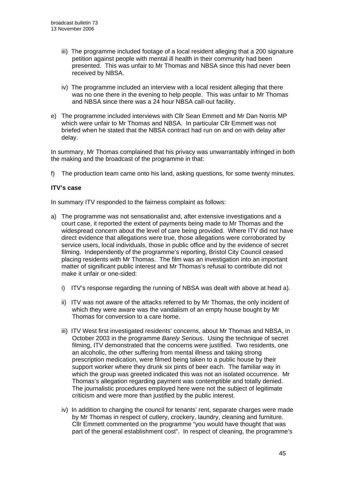- iii) The programme included footage of a local resident alleging that a 200 signature petition against people with mental ill health in their community had been presented. This was unfair to Mr Thomas and NBSA since this had never been received by NBSA.
- iv) The programme included an interview with a local resident alleging that there was no one there in the evening to help people. This was unfair to Mr Thomas and NBSA since there was a 24 hour NBSA call-out facility.
- e) The programme included interviews with Cllr Sean Emmett and Mr Dan Norris MP which were unfair to Mr Thomas and NBSA. In particular Cllr Emmett was not briefed when he stated that the NBSA contract had run on and on with delay after delay.

In summary, Mr Thomas complained that his privacy was unwarrantably infringed in both the making and the broadcast of the programme in that:

f) The production team came onto his land, asking questions, for some twenty minutes.

## **ITV's case**

In summary ITV responded to the fairness complaint as follows:

- a) The programme was not sensationalist and, after extensive investigations and a court case, it reported the extent of payments being made to Mr Thomas and the widespread concern about the level of care being provided. Where ITV did not have direct evidence that allegations were true, those allegations were corroborated by service users, local individuals, those in public office and by the evidence of secret filming. Independently of the programme's reporting, Bristol City Council ceased placing residents with Mr Thomas. The film was an investigation into an important matter of significant public interest and Mr Thomas's refusal to contribute did not make it unfair or one-sided:
	- i) ITV's response regarding the running of NBSA was dealt with above at head a).
	- ii) ITV was not aware of the attacks referred to by Mr Thomas, the only incident of which they were aware was the vandalism of an empty house bought by Mr Thomas for conversion to a care home.
	- iii) ITV West first investigated residents' concerns, about Mr Thomas and NBSA, in October 2003 in the programme *Barely Serious*. Using the technique of secret filming, ITV demonstrated that the concerns were justified. Two residents, one an alcoholic, the other suffering from mental illness and taking strong prescription medication, were filmed being taken to a public house by their support worker where they drunk six pints of beer each. The familiar way in which the group was greeted indicated this was not an isolated occurrence. Mr Thomas's allegation regarding payment was contemptible and totally denied. The journalistic procedures employed here were not the subject of legitimate criticism and were more than justified by the public interest.
	- iv) In addition to charging the council for tenants' rent, separate charges were made by Mr Thomas in respect of cutlery, crockery, laundry, cleaning and furniture. Cllr Emmett commented on the programme "you would have thought that was part of the general establishment cost". In respect of cleaning, the programme's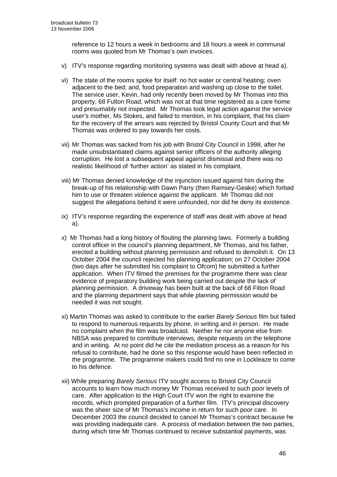reference to 12 hours a week in bedrooms and 18 hours a week in communal rooms was quoted from Mr Thomas's own invoices.

- v) ITV's response regarding monitoring systems was dealt with above at head a).
- vi) The state of the rooms spoke for itself: no hot water or central heating; oven adjacent to the bed; and, food preparation and washing up close to the toilet. The service user, Kevin, had only recently been moved by Mr Thomas into this property, 68 Fulton Road, which was not at that time registered as a care home and presumably not inspected. Mr Thomas took legal action against the service user's mother, Ms Stokes, and failed to mention, in his complaint, that his claim for the recovery of the arrears was rejected by Bristol County Court and that Mr Thomas was ordered to pay towards her costs.
- vii) Mr Thomas was sacked from his job with Bristol City Council in 1998, after he made unsubstantiated claims against senior officers of the authority alleging corruption. He lost a subsequent appeal against dismissal and there was no realistic likelihood of 'further action' as stated in his complaint.
- viii) Mr Thomas denied knowledge of the injunction issued against him during the break-up of his relationship with Dawn Parry (then Ramsey-Geake) which forbad him to use or threaten violence against the applicant. Mr Thomas did not suggest the allegations behind it were unfounded, nor did he deny its existence.
- ix) ITV's response regarding the experience of staff was dealt with above at head a).
- x) Mr Thomas had a long history of flouting the planning laws. Formerly a building control officer in the council's planning department, Mr Thomas, and his father, erected a building without planning permission and refused to demolish it. On 13 October 2004 the council rejected his planning application; on 27 October 2004 (two days after he submitted his complaint to Ofcom) he submitted a further application. When ITV filmed the premises for the programme there was clear evidence of preparatory building work being carried out despite the lack of planning permission. A driveway has been built at the back of 68 Filton Road and the planning department says that while planning permission would be needed it was not sought.
- xi) Martin Thomas was asked to contribute to the earlier *Barely Serious* film but failed to respond to numerous requests by phone, in writing and in person. He made no complaint when the film was broadcast. Neither he nor anyone else from NBSA was prepared to contribute interviews, despite requests on the telephone and in writing. At no point did he cite the mediation process as a reason for his refusal to contribute, had he done so this response would have been reflected in the programme. The programme makers could find no one in Lockleaze to come to his defence.
- xii) While preparing *Barely Serious* ITV sought access to Bristol City Council accounts to learn how much money Mr Thomas received to such poor levels of care. After application to the High Court ITV won the right to examine the records, which prompted preparation of a further film. ITV's principal discovery was the sheer size of Mr Thomas's income in return for such poor care. In December 2003 the council decided to cancel Mr Thomas's contract because he was providing inadequate care. A process of mediation between the two parties, during which time Mr Thomas continued to receive substantial payments, was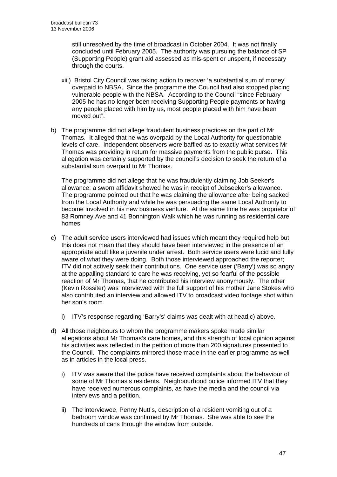still unresolved by the time of broadcast in October 2004. It was not finally concluded until February 2005. The authority was pursuing the balance of SP (Supporting People) grant aid assessed as mis-spent or unspent, if necessary through the courts.

- xiii) Bristol City Council was taking action to recover 'a substantial sum of money' overpaid to NBSA. Since the programme the Council had also stopped placing vulnerable people with the NBSA. According to the Council "since February 2005 he has no longer been receiving Supporting People payments or having any people placed with him by us, most people placed with him have been moved out".
- b) The programme did not allege fraudulent business practices on the part of Mr Thomas. It alleged that he was overpaid by the Local Authority for questionable levels of care. Independent observers were baffled as to exactly what services Mr Thomas was providing in return for massive payments from the public purse. This allegation was certainly supported by the council's decision to seek the return of a substantial sum overpaid to Mr Thomas.

The programme did not allege that he was fraudulently claiming Job Seeker's allowance: a sworn affidavit showed he was in receipt of Jobseeker's allowance. The programme pointed out that he was claiming the allowance after being sacked from the Local Authority and while he was persuading the same Local Authority to become involved in his new business venture. At the same time he was proprietor of 83 Romney Ave and 41 Bonnington Walk which he was running as residential care homes.

- c) The adult service users interviewed had issues which meant they required help but this does not mean that they should have been interviewed in the presence of an appropriate adult like a juvenile under arrest. Both service users were lucid and fully aware of what they were doing. Both those interviewed approached the reporter; ITV did not actively seek their contributions. One service user ('Barry') was so angry at the appalling standard to care he was receiving, yet so fearful of the possible reaction of Mr Thomas, that he contributed his interview anonymously. The other (Kevin Rossiter) was interviewed with the full support of his mother Jane Stokes who also contributed an interview and allowed ITV to broadcast video footage shot within her son's room.
	- i) ITV's response regarding 'Barry's' claims was dealt with at head c) above.
- d) All those neighbours to whom the programme makers spoke made similar allegations about Mr Thomas's care homes, and this strength of local opinion against his activities was reflected in the petition of more than 200 signatures presented to the Council. The complaints mirrored those made in the earlier programme as well as in articles in the local press.
	- i) ITV was aware that the police have received complaints about the behaviour of some of Mr Thomas's residents. Neighbourhood police informed ITV that they have received numerous complaints, as have the media and the council via interviews and a petition.
	- ii) The interviewee, Penny Nutt's, description of a resident vomiting out of a bedroom window was confirmed by Mr Thomas. She was able to see the hundreds of cans through the window from outside.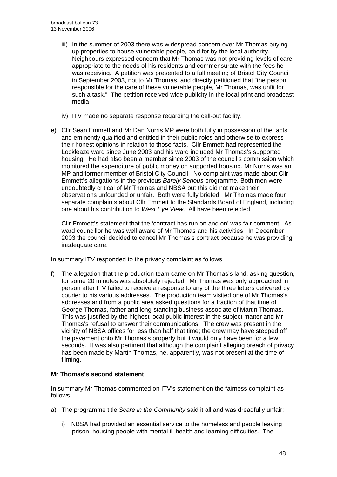- iii) In the summer of 2003 there was widespread concern over Mr Thomas buying up properties to house vulnerable people, paid for by the local authority. Neighbours expressed concern that Mr Thomas was not providing levels of care appropriate to the needs of his residents and commensurate with the fees he was receiving. A petition was presented to a full meeting of Bristol City Council in September 2003, not to Mr Thomas, and directly petitioned that "the person responsible for the care of these vulnerable people, Mr Thomas, was unfit for such a task." The petition received wide publicity in the local print and broadcast media.
- iv) ITV made no separate response regarding the call-out facility.
- e) Cllr Sean Emmett and Mr Dan Norris MP were both fully in possession of the facts and eminently qualified and entitled in their public roles and otherwise to express their honest opinions in relation to those facts. Cllr Emmett had represented the Lockleaze ward since June 2003 and his ward included Mr Thomas's supported housing. He had also been a member since 2003 of the council's commission which monitored the expenditure of public money on supported housing. Mr Norris was an MP and former member of Bristol City Council. No complaint was made about Cllr Emmett's allegations in the previous *Barely Serious* programme. Both men were undoubtedly critical of Mr Thomas and NBSA but this did not make their observations unfounded or unfair. Both were fully briefed. Mr Thomas made four separate complaints about Cllr Emmett to the Standards Board of England, including one about his contribution to *West Eye View*. All have been rejected.

Cllr Emmett's statement that the 'contract has run on and on' was fair comment. As ward councillor he was well aware of Mr Thomas and his activities. In December 2003 the council decided to cancel Mr Thomas's contract because he was providing inadequate care.

In summary ITV responded to the privacy complaint as follows:

f) The allegation that the production team came on Mr Thomas's land, asking question, for some 20 minutes was absolutely rejected. Mr Thomas was only approached in person after ITV failed to receive a response to any of the three letters delivered by courier to his various addresses. The production team visited one of Mr Thomas's addresses and from a public area asked questions for a fraction of that time of George Thomas, father and long-standing business associate of Martin Thomas. This was justified by the highest local public interest in the subject matter and Mr Thomas's refusal to answer their communications. The crew was present in the vicinity of NBSA offices for less than half that time; the crew may have stepped off the pavement onto Mr Thomas's property but it would only have been for a few seconds. It was also pertinent that although the complaint alleging breach of privacy has been made by Martin Thomas, he, apparently, was not present at the time of filming.

## **Mr Thomas's second statement**

In summary Mr Thomas commented on ITV's statement on the fairness complaint as follows:

- a) The programme title *Scare in the Community* said it all and was dreadfully unfair:
	- i) NBSA had provided an essential service to the homeless and people leaving prison, housing people with mental ill health and learning difficulties. The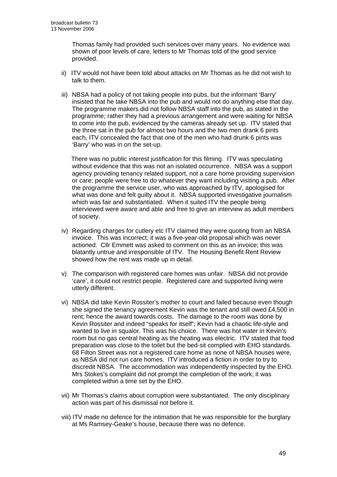Thomas family had provided such services over many years. No evidence was shown of poor levels of care, letters to Mr Thomas told of the good service provided.

- ii) ITV would not have been told about attacks on Mr Thomas as he did not wish to talk to them.
- iii) NBSA had a policy of not taking people into pubs, but the informant 'Barry' insisted that he take NBSA into the pub and would not do anything else that day. The programme makers did not follow NBSA staff into the pub, as stated in the programme; rather they had a previous arrangement and were waiting for NBSA to come into the pub, evidenced by the cameras already set up. ITV stated that the three sat in the pub for almost two hours and the two men drank 6 pints each, ITV concealed the fact that one of the men who had drunk 6 pints was 'Barry' who was in on the set-up.

There was no public interest justification for this filming. ITV was speculating without evidence that this was not an isolated occurrence. NBSA was a support agency providing tenancy related support, not a care home providing supervision or care; people were free to do whatever they want including visiting a pub. After the programme the service user, who was approached by ITV, apologised for what was done and felt guilty about it. NBSA supported investigative journalism which was fair and substantiated. When it suited ITV the people being interviewed were aware and able and free to give an interview as adult members of society.

- iv) Regarding charges for cutlery etc ITV claimed they were quoting from an NBSA invoice. This was incorrect; it was a five-year-old proposal which was never actioned. Cllr Emmett was asked to comment on this as an invoice; this was blatantly untrue and irresponsible of ITV. The Housing Benefit Rent Review showed how the rent was made up in detail.
- v) The comparison with registered care homes was unfair. NBSA did not provide 'care', it could not restrict people. Registered care and supported living were utterly different.
- vi) NBSA did take Kevin Rossiter's mother to court and failed because even though she signed the tenancy agreement Kevin was the tenant and still owed £4,500 in rent; hence the award towards costs. The damage to the room was done by Kevin Rossiter and indeed "speaks for itself"; Kevin had a chaotic life-style and wanted to live in squalor. This was his choice. There was hot water in Kevin's room but no gas central heating as the heating was electric. ITV stated that food preparation was close to the toilet but the bed-sit complied with EHO standards. 68 Filton Street was not a registered care home as none of NBSA houses were, as NBSA did not run care homes. ITV introduced a fiction in order to try to discredit NBSA. The accommodation was independently inspected by the EHO. Mrs Stokes's complaint did not prompt the completion of the work; it was completed within a time set by the EHO.
- vii) Mr Thomas's claims about corruption were substantiated. The only disciplinary action was part of his dismissal not before it.
- viii) ITV made no defence for the intimation that he was responsible for the burglary at Ms Ramsey-Geake's house, because there was no defence.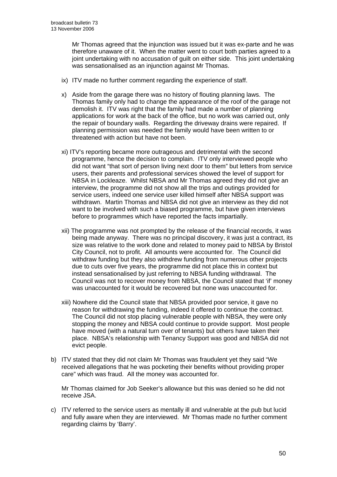Mr Thomas agreed that the injunction was issued but it was ex-parte and he was therefore unaware of it. When the matter went to court both parties agreed to a joint undertaking with no accusation of guilt on either side. This joint undertaking was sensationalised as an injunction against Mr Thomas.

- ix) ITV made no further comment regarding the experience of staff.
- x) Aside from the garage there was no history of flouting planning laws. The Thomas family only had to change the appearance of the roof of the garage not demolish it. ITV was right that the family had made a number of planning applications for work at the back of the office, but no work was carried out, only the repair of boundary walls. Regarding the driveway drains were repaired. If planning permission was needed the family would have been written to or threatened with action but have not been.
- xi) ITV's reporting became more outrageous and detrimental with the second programme, hence the decision to complain. ITV only interviewed people who did not want "that sort of person living next door to them" but letters from service users, their parents and professional services showed the level of support for NBSA in Lockleaze. Whilst NBSA and Mr Thomas agreed they did not give an interview, the programme did not show all the trips and outings provided for service users, indeed one service user killed himself after NBSA support was withdrawn. Martin Thomas and NBSA did not give an interview as they did not want to be involved with such a biased programme, but have given interviews before to programmes which have reported the facts impartially.
- xii) The programme was not prompted by the release of the financial records, it was being made anyway. There was no principal discovery, it was just a contract, its size was relative to the work done and related to money paid to NBSA by Bristol City Council, not to profit. All amounts were accounted for. The Council did withdraw funding but they also withdrew funding from numerous other projects due to cuts over five years, the programme did not place this in context but instead sensationalised by just referring to NBSA funding withdrawal. The Council was not to recover money from NBSA, the Council stated that 'if' money was unaccounted for it would be recovered but none was unaccounted for.
- xiii) Nowhere did the Council state that NBSA provided poor service, it gave no reason for withdrawing the funding, indeed it offered to continue the contract. The Council did not stop placing vulnerable people with NBSA, they were only stopping the money and NBSA could continue to provide support. Most people have moved (with a natural turn over of tenants) but others have taken their place. NBSA's relationship with Tenancy Support was good and NBSA did not evict people.
- b) ITV stated that they did not claim Mr Thomas was fraudulent yet they said "We received allegations that he was pocketing their benefits without providing proper care" which was fraud. All the money was accounted for.

Mr Thomas claimed for Job Seeker's allowance but this was denied so he did not receive JSA.

c) ITV referred to the service users as mentally ill and vulnerable at the pub but lucid and fully aware when they are interviewed. Mr Thomas made no further comment regarding claims by 'Barry'.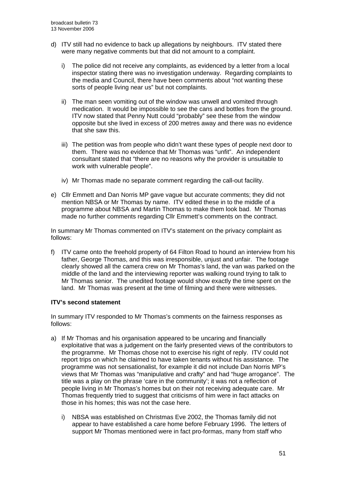- d) ITV still had no evidence to back up allegations by neighbours. ITV stated there were many negative comments but that did not amount to a complaint.
	- i) The police did not receive any complaints, as evidenced by a letter from a local inspector stating there was no investigation underway. Regarding complaints to the media and Council, there have been comments about "not wanting these sorts of people living near us" but not complaints.
	- ii) The man seen vomiting out of the window was unwell and vomited through medication. It would be impossible to see the cans and bottles from the ground. ITV now stated that Penny Nutt could "probably" see these from the window opposite but she lived in excess of 200 metres away and there was no evidence that she saw this.
	- iii) The petition was from people who didn't want these types of people next door to them. There was no evidence that Mr Thomas was "unfit". An independent consultant stated that "there are no reasons why the provider is unsuitable to work with vulnerable people".
	- iv) Mr Thomas made no separate comment regarding the call-out facility.
- e) Cllr Emmett and Dan Norris MP gave vague but accurate comments; they did not mention NBSA or Mr Thomas by name. ITV edited these in to the middle of a programme about NBSA and Martin Thomas to make them look bad. Mr Thomas made no further comments regarding Cllr Emmett's comments on the contract.

In summary Mr Thomas commented on ITV's statement on the privacy complaint as follows:

f) ITV came onto the freehold property of 64 Filton Road to hound an interview from his father, George Thomas, and this was irresponsible, unjust and unfair. The footage clearly showed all the camera crew on Mr Thomas's land, the van was parked on the middle of the land and the interviewing reporter was walking round trying to talk to Mr Thomas senior. The unedited footage would show exactly the time spent on the land. Mr Thomas was present at the time of filming and there were witnesses.

## **ITV's second statement**

In summary ITV responded to Mr Thomas's comments on the fairness responses as follows:

- a) If Mr Thomas and his organisation appeared to be uncaring and financially exploitative that was a judgement on the fairly presented views of the contributors to the programme. Mr Thomas chose not to exercise his right of reply. ITV could not report trips on which he claimed to have taken tenants without his assistance. The programme was not sensationalist, for example it did not include Dan Norris MP's views that Mr Thomas was "manipulative and crafty" and had "huge arrogance". The title was a play on the phrase 'care in the community'; it was not a reflection of people living in Mr Thomas's homes but on their not receiving adequate care. Mr Thomas frequently tried to suggest that criticisms of him were in fact attacks on those in his homes; this was not the case here.
	- i) NBSA was established on Christmas Eve 2002, the Thomas family did not appear to have established a care home before February 1996. The letters of support Mr Thomas mentioned were in fact pro-formas, many from staff who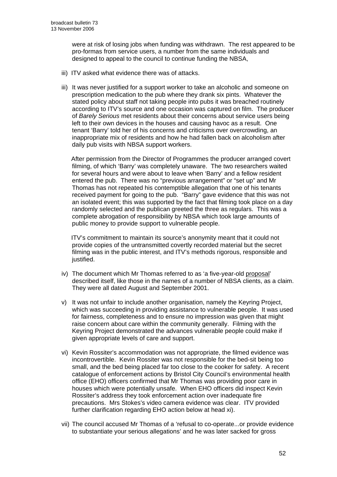were at risk of losing jobs when funding was withdrawn. The rest appeared to be pro-formas from service users, a number from the same individuals and designed to appeal to the council to continue funding the NBSA,

- iii) ITV asked what evidence there was of attacks.
- iii) It was never justified for a support worker to take an alcoholic and someone on prescription medication to the pub where they drank six pints. Whatever the stated policy about staff not taking people into pubs it was breached routinely according to ITV's source and one occasion was captured on film. The producer of *Barely Serious* met residents about their concerns about service users being left to their own devices in the houses and causing havoc as a result. One tenant 'Barry' told her of his concerns and criticisms over overcrowding, an inappropriate mix of residents and how he had fallen back on alcoholism after daily pub visits with NBSA support workers.

After permission from the Director of Programmes the producer arranged covert filming, of which 'Barry' was completely unaware. The two researchers waited for several hours and were about to leave when 'Barry' and a fellow resident entered the pub. There was no "previous arrangement" or "set up" and Mr Thomas has not repeated his contemptible allegation that one of his tenants received payment for going to the pub. "Barry" gave evidence that this was not an isolated event; this was supported by the fact that filming took place on a day randomly selected and the publican greeted the three as regulars. This was a complete abrogation of responsibility by NBSA which took large amounts of public money to provide support to vulnerable people.

ITV's commitment to maintain its source's anonymity meant that it could not provide copies of the untransmitted covertly recorded material but the secret filming was in the public interest, and ITV's methods rigorous, responsible and justified.

- iv) The document which Mr Thomas referred to as 'a five-year-old proposal' described itself, like those in the names of a number of NBSA clients, as a claim. They were all dated August and September 2001.
- v) It was not unfair to include another organisation, namely the Keyring Project, which was succeeding in providing assistance to vulnerable people. It was used for fairness, completeness and to ensure no impression was given that might raise concern about care within the community generally. Filming with the Keyring Project demonstrated the advances vulnerable people could make if given appropriate levels of care and support.
- vi) Kevin Rossiter's accommodation was not appropriate, the filmed evidence was incontrovertible. Kevin Rossiter was not responsible for the bed-sit being too small, and the bed being placed far too close to the cooker for safety. A recent catalogue of enforcement actions by Bristol City Council's environmental health office (EHO) officers confirmed that Mr Thomas was providing poor care in houses which were potentially unsafe. When EHO officers did inspect Kevin Rossiter's address they took enforcement action over inadequate fire precautions. Mrs Stokes's video camera evidence was clear. ITV provided further clarification regarding EHO action below at head xi).
- vii) The council accused Mr Thomas of a 'refusal to co-operate...or provide evidence to substantiate your serious allegations' and he was later sacked for gross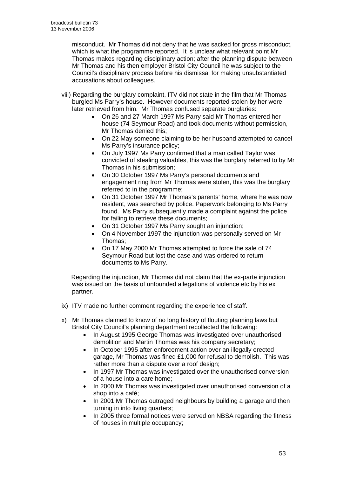misconduct. Mr Thomas did not deny that he was sacked for gross misconduct, which is what the programme reported. It is unclear what relevant point Mr Thomas makes regarding disciplinary action; after the planning dispute between Mr Thomas and his then employer Bristol City Council he was subject to the Council's disciplinary process before his dismissal for making unsubstantiated accusations about colleagues.

- viii) Regarding the burglary complaint, ITV did not state in the film that Mr Thomas burgled Ms Parry's house. However documents reported stolen by her were later retrieved from him. Mr Thomas confused separate burglaries:
	- On 26 and 27 March 1997 Ms Parry said Mr Thomas entered her house (74 Seymour Road) and took documents without permission, Mr Thomas denied this;
	- On 22 May someone claiming to be her husband attempted to cancel Ms Parry's insurance policy;
	- On July 1997 Ms Parry confirmed that a man called Taylor was convicted of stealing valuables, this was the burglary referred to by Mr Thomas in his submission;
	- On 30 October 1997 Ms Parry's personal documents and engagement ring from Mr Thomas were stolen, this was the burglary referred to in the programme;
	- On 31 October 1997 Mr Thomas's parents' home, where he was now resident, was searched by police. Paperwork belonging to Ms Parry found. Ms Parry subsequently made a complaint against the police for failing to retrieve these documents;
	- On 31 October 1997 Ms Parry sought an injunction;
	- On 4 November 1997 the injunction was personally served on Mr Thomas;
	- On 17 May 2000 Mr Thomas attempted to force the sale of 74 Seymour Road but lost the case and was ordered to return documents to Ms Parry.

Regarding the injunction, Mr Thomas did not claim that the ex-parte injunction was issued on the basis of unfounded allegations of violence etc by his ex partner.

- ix) ITV made no further comment regarding the experience of staff.
- x) Mr Thomas claimed to know of no long history of flouting planning laws but Bristol City Council's planning department recollected the following:
	- In August 1995 George Thomas was investigated over unauthorised demolition and Martin Thomas was his company secretary;
	- In October 1995 after enforcement action over an illegally erected garage, Mr Thomas was fined £1,000 for refusal to demolish. This was rather more than a dispute over a roof design;
	- In 1997 Mr Thomas was investigated over the unauthorised conversion of a house into a care home;
	- In 2000 Mr Thomas was investigated over unauthorised conversion of a shop into a café;
	- In 2001 Mr Thomas outraged neighbours by building a garage and then turning in into living quarters;
	- In 2005 three formal notices were served on NBSA regarding the fitness of houses in multiple occupancy;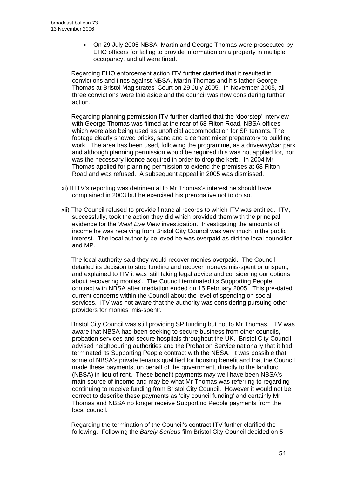• On 29 July 2005 NBSA, Martin and George Thomas were prosecuted by EHO officers for failing to provide information on a property in multiple occupancy, and all were fined.

Regarding EHO enforcement action ITV further clarified that it resulted in convictions and fines against NBSA, Martin Thomas and his father George Thomas at Bristol Magistrates' Court on 29 July 2005. In November 2005, all three convictions were laid aside and the council was now considering further action.

Regarding planning permission ITV further clarified that the 'doorstep' interview with George Thomas was filmed at the rear of 68 Filton Road, NBSA offices which were also being used as unofficial accommodation for SP tenants. The footage clearly showed bricks, sand and a cement mixer preparatory to building work. The area has been used, following the programme, as a driveway/car park and although planning permission would be required this was not applied for, nor was the necessary licence acquired in order to drop the kerb. In 2004 Mr Thomas applied for planning permission to extend the premises at 68 Filton Road and was refused. A subsequent appeal in 2005 was dismissed.

- xi) If ITV's reporting was detrimental to Mr Thomas's interest he should have complained in 2003 but he exercised his prerogative not to do so.
- xii) The Council refused to provide financial records to which ITV was entitled. ITV, successfully, took the action they did which provided them with the principal evidence for the *West Eye View* investigation. Investigating the amounts of income he was receiving from Bristol City Council was very much in the public interest. The local authority believed he was overpaid as did the local councillor and MP.

The local authority said they would recover monies overpaid. The Council detailed its decision to stop funding and recover moneys mis-spent or unspent, and explained to ITV it was 'still taking legal advice and considering our options about recovering monies'. The Council terminated its Supporting People contract with NBSA after mediation ended on 15 February 2005. This pre-dated current concerns within the Council about the level of spending on social services. ITV was not aware that the authority was considering pursuing other providers for monies 'mis-spent'.

Bristol City Council was still providing SP funding but not to Mr Thomas. ITV was aware that NBSA had been seeking to secure business from other councils, probation services and secure hospitals throughout the UK. Bristol City Council advised neighbouring authorities and the Probation Service nationally that it had terminated its Supporting People contract with the NBSA. It was possible that some of NBSA's private tenants qualified for housing benefit and that the Council made these payments, on behalf of the government, directly to the landlord (NBSA) in lieu of rent. These benefit payments may well have been NBSA's main source of income and may be what Mr Thomas was referring to regarding continuing to receive funding from Bristol City Council. However it would not be correct to describe these payments as 'city council funding' and certainly Mr Thomas and NBSA no longer receive Supporting People payments from the local council.

Regarding the termination of the Council's contract ITV further clarified the following. Following the *Barely Serious* film Bristol City Council decided on 5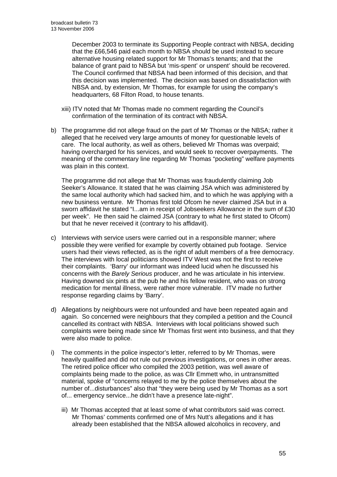December 2003 to terminate its Supporting People contract with NBSA, deciding that the £66,546 paid each month to NBSA should be used instead to secure alternative housing related support for Mr Thomas's tenants; and that the balance of grant paid to NBSA but 'mis-spent' or unspent' should be recovered. The Council confirmed that NBSA had been informed of this decision, and that this decision was implemented. The decision was based on dissatisfaction with NBSA and, by extension, Mr Thomas, for example for using the company's headquarters, 68 Filton Road, to house tenants.

- xiii) ITV noted that Mr Thomas made no comment regarding the Council's confirmation of the termination of its contract with NBSA.
- b) The programme did not allege fraud on the part of Mr Thomas or the NBSA; rather it alleged that he received very large amounts of money for questionable levels of care. The local authority, as well as others, believed Mr Thomas was overpaid; having overcharged for his services, and would seek to recover overpayments. The meaning of the commentary line regarding Mr Thomas "pocketing" welfare payments was plain in this context.

The programme did not allege that Mr Thomas was fraudulently claiming Job Seeker's Allowance. It stated that he was claiming JSA which was administered by the same local authority which had sacked him, and to which he was applying with a new business venture. Mr Thomas first told Ofcom he never claimed JSA but in a sworn affidavit he stated "I...am in receipt of Jobseekers Allowance in the sum of £30 per week". He then said he claimed JSA (contrary to what he first stated to Ofcom) but that he never received it (contrary to his affidavit).

- c) Interviews with service users were carried out in a responsible manner; where possible they were verified for example by covertly obtained pub footage. Service users had their views reflected, as is the right of adult members of a free democracy. The interviews with local politicians showed ITV West was not the first to receive their complaints. 'Barry' our informant was indeed lucid when he discussed his concerns with the *Barely Serious* producer, and he was articulate in his interview. Having downed six pints at the pub he and his fellow resident, who was on strong medication for mental illness, were rather more vulnerable. ITV made no further response regarding claims by 'Barry'.
- d) Allegations by neighbours were not unfounded and have been repeated again and again. So concerned were neighbours that they compiled a petition and the Council cancelled its contract with NBSA. Interviews with local politicians showed such complaints were being made since Mr Thomas first went into business, and that they were also made to police.
- i) The comments in the police inspector's letter, referred to by Mr Thomas, were heavily qualified and did not rule out previous investigations, or ones in other areas. The retired police officer who compiled the 2003 petition, was well aware of complaints being made to the police, as was Cllr Emmett who, in untransmitted material, spoke of "concerns relayed to me by the police themselves about the number of...disturbances" also that "they were being used by Mr Thomas as a sort of... emergency service...he didn't have a presence late-night".
	- iii) Mr Thomas accepted that at least some of what contributors said was correct. Mr Thomas' comments confirmed one of Mrs Nutt's allegations and it has already been established that the NBSA allowed alcoholics in recovery, and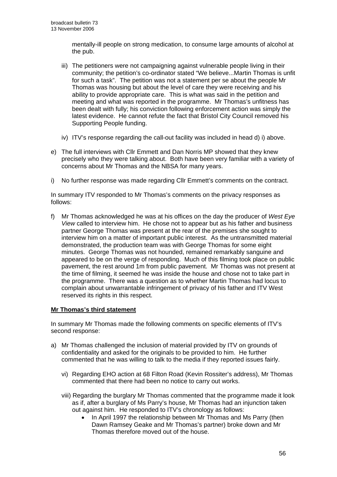mentally-ill people on strong medication, to consume large amounts of alcohol at the pub.

- iii) The petitioners were not campaigning against vulnerable people living in their community; the petition's co-ordinator stated "We believe...Martin Thomas is unfit for such a task". The petition was not a statement per se about the people Mr Thomas was housing but about the level of care they were receiving and his ability to provide appropriate care. This is what was said in the petition and meeting and what was reported in the programme. Mr Thomas's unfitness has been dealt with fully; his conviction following enforcement action was simply the latest evidence. He cannot refute the fact that Bristol City Council removed his Supporting People funding.
- iv) ITV's response regarding the call-out facility was included in head d) i) above.
- e) The full interviews with Cllr Emmett and Dan Norris MP showed that they knew precisely who they were talking about. Both have been very familiar with a variety of concerns about Mr Thomas and the NBSA for many years.
- i) No further response was made regarding Cllr Emmett's comments on the contract.

In summary ITV responded to Mr Thomas's comments on the privacy responses as follows:

f) Mr Thomas acknowledged he was at his offices on the day the producer of *West Eye View* called to interview him. He chose not to appear but as his father and business partner George Thomas was present at the rear of the premises she sought to interview him on a matter of important public interest. As the untransmitted material demonstrated, the production team was with George Thomas for some eight minutes. George Thomas was not hounded, remained remarkably sanguine and appeared to be on the verge of responding. Much of this filming took place on public pavement, the rest around 1m from public pavement. Mr Thomas was not present at the time of filming, it seemed he was inside the house and chose not to take part in the programme. There was a question as to whether Martin Thomas had locus to complain about unwarrantable infringement of privacy of his father and ITV West reserved its rights in this respect.

## **Mr Thomas's third statement**

In summary Mr Thomas made the following comments on specific elements of ITV's second response:

- a) Mr Thomas challenged the inclusion of material provided by ITV on grounds of confidentiality and asked for the originals to be provided to him. He further commented that he was willing to talk to the media if they reported issues fairly.
	- vi) Regarding EHO action at 68 Filton Road (Kevin Rossiter's address), Mr Thomas commented that there had been no notice to carry out works.
	- viii) Regarding the burglary Mr Thomas commented that the programme made it look as if, after a burglary of Ms Parry's house, Mr Thomas had an injunction taken out against him. He responded to ITV's chronology as follows:
		- In April 1997 the relationship between Mr Thomas and Ms Parry (then Dawn Ramsey Geake and Mr Thomas's partner) broke down and Mr Thomas therefore moved out of the house.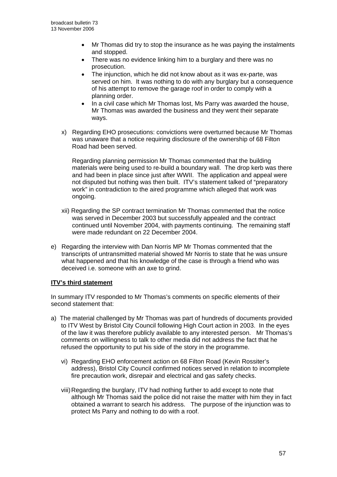- Mr Thomas did try to stop the insurance as he was paying the instalments and stopped.
- There was no evidence linking him to a burglary and there was no prosecution.
- The injunction, which he did not know about as it was ex-parte, was served on him. It was nothing to do with any burglary but a consequence of his attempt to remove the garage roof in order to comply with a planning order.
- In a civil case which Mr Thomas lost, Ms Parry was awarded the house, Mr Thomas was awarded the business and they went their separate ways.
- x) Regarding EHO prosecutions: convictions were overturned because Mr Thomas was unaware that a notice requiring disclosure of the ownership of 68 Filton Road had been served.

 Regarding planning permission Mr Thomas commented that the building materials were being used to re-build a boundary wall. The drop kerb was there and had been in place since just after WWII. The application and appeal were not disputed but nothing was then built. ITV's statement talked of "preparatory work" in contradiction to the aired programme which alleged that work was ongoing.

- xii) Regarding the SP contract termination Mr Thomas commented that the notice was served in December 2003 but successfully appealed and the contract continued until November 2004, with payments continuing. The remaining staff were made redundant on 22 December 2004.
- e) Regarding the interview with Dan Norris MP Mr Thomas commented that the transcripts of untransmitted material showed Mr Norris to state that he was unsure what happened and that his knowledge of the case is through a friend who was deceived i.e. someone with an axe to grind.

## **ITV's third statement**

In summary ITV responded to Mr Thomas's comments on specific elements of their second statement that:

- a) The material challenged by Mr Thomas was part of hundreds of documents provided to ITV West by Bristol City Council following High Court action in 2003. In the eyes of the law it was therefore publicly available to any interested person. Mr Thomas's comments on willingness to talk to other media did not address the fact that he refused the opportunity to put his side of the story in the programme.
	- vi) Regarding EHO enforcement action on 68 Filton Road (Kevin Rossiter's address), Bristol City Council confirmed notices served in relation to incomplete fire precaution work, disrepair and electrical and gas safety checks.
	- viii) Regarding the burglary, ITV had nothing further to add except to note that although Mr Thomas said the police did not raise the matter with him they in fact obtained a warrant to search his address. The purpose of the injunction was to protect Ms Parry and nothing to do with a roof.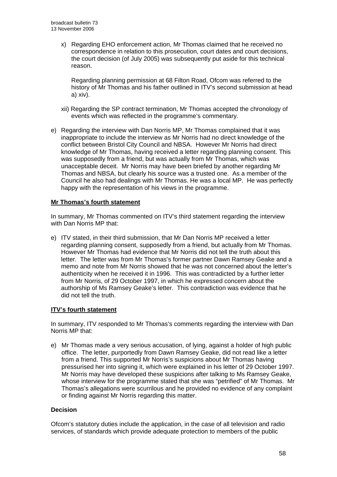x) Regarding EHO enforcement action, Mr Thomas claimed that he received no correspondence in relation to this prosecution, court dates and court decisions, the court decision (of July 2005) was subsequently put aside for this technical reason.

 Regarding planning permission at 68 Filton Road, Ofcom was referred to the history of Mr Thomas and his father outlined in ITV's second submission at head a) xiv).

- xii) Regarding the SP contract termination, Mr Thomas accepted the chronology of events which was reflected in the programme's commentary.
- e) Regarding the interview with Dan Norris MP, Mr Thomas complained that it was inappropriate to include the interview as Mr Norris had no direct knowledge of the conflict between Bristol City Council and NBSA. However Mr Norris had direct knowledge of Mr Thomas, having received a letter regarding planning consent. This was supposedly from a friend, but was actually from Mr Thomas, which was unacceptable deceit. Mr Norris may have been briefed by another regarding Mr Thomas and NBSA, but clearly his source was a trusted one. As a member of the Council he also had dealings with Mr Thomas. He was a local MP. He was perfectly happy with the representation of his views in the programme.

## **Mr Thomas's fourth statement**

In summary, Mr Thomas commented on ITV's third statement regarding the interview with Dan Norris MP that:

e) ITV stated, in their third submission, that Mr Dan Norris MP received a letter regarding planning consent, supposedly from a friend, but actually from Mr Thomas. However Mr Thomas had evidence that Mr Norris did not tell the truth about this letter. The letter was from Mr Thomas's former partner Dawn Ramsey Geake and a memo and note from Mr Norris showed that he was not concerned about the letter's authenticity when he received it in 1996. This was contradicted by a further letter from Mr Norris, of 29 October 1997, in which he expressed concern about the authorship of Ms Ramsey Geake's letter. This contradiction was evidence that he did not tell the truth.

## **ITV's fourth statement**

In summary, ITV responded to Mr Thomas's comments regarding the interview with Dan Norris MP that:

e) Mr Thomas made a very serious accusation, of lying, against a holder of high public office. The letter, purportedly from Dawn Ramsey Geake, did not read like a letter from a friend. This supported Mr Norris's suspicions about Mr Thomas having pressurised her into signing it, which were explained in his letter of 29 October 1997. Mr Norris may have developed these suspicions after talking to Ms Ramsey Geake, whose interview for the programme stated that she was "petrified" of Mr Thomas. Mr Thomas's allegations were scurrilous and he provided no evidence of any complaint or finding against Mr Norris regarding this matter.

## **Decision**

Ofcom's statutory duties include the application, in the case of all television and radio services, of standards which provide adequate protection to members of the public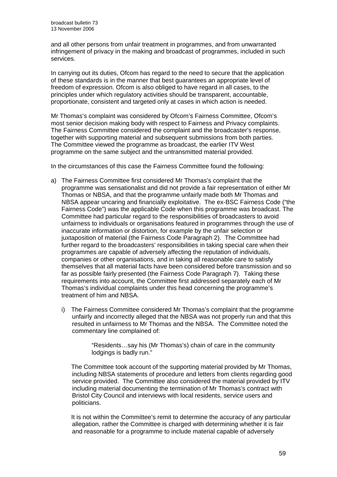and all other persons from unfair treatment in programmes, and from unwarranted infringement of privacy in the making and broadcast of programmes, included in such services.

In carrying out its duties, Ofcom has regard to the need to secure that the application of these standards is in the manner that best guarantees an appropriate level of freedom of expression. Ofcom is also obliged to have regard in all cases, to the principles under which regulatory activities should be transparent, accountable, proportionate, consistent and targeted only at cases in which action is needed.

Mr Thomas's complaint was considered by Ofcom's Fairness Committee, Ofcom's most senior decision making body with respect to Fairness and Privacy complaints. The Fairness Committee considered the complaint and the broadcaster's response, together with supporting material and subsequent submissions from both parties. The Committee viewed the programme as broadcast, the earlier ITV West programme on the same subject and the untransmitted material provided.

In the circumstances of this case the Fairness Committee found the following:

- a) The Fairness Committee first considered Mr Thomas's complaint that the programme was sensationalist and did not provide a fair representation of either Mr Thomas or NBSA, and that the programme unfairly made both Mr Thomas and NBSA appear uncaring and financially exploitative. The ex-BSC Fairness Code ("the Fairness Code") was the applicable Code when this programme was broadcast. The Committee had particular regard to the responsibilities of broadcasters to avoid unfairness to individuals or organisations featured in programmes through the use of inaccurate information or distortion, for example by the unfair selection or juxtaposition of material (the Fairness Code Paragraph 2). The Committee had further regard to the broadcasters' responsibilities in taking special care when their programmes are capable of adversely affecting the reputation of individuals, companies or other organisations, and in taking all reasonable care to satisfy themselves that all material facts have been considered before transmission and so far as possible fairly presented (the Fairness Code Paragraph 7). Taking these requirements into account, the Committee first addressed separately each of Mr Thomas's individual complaints under this head concerning the programme's treatment of him and NBSA.
	- i) The Fairness Committee considered Mr Thomas's complaint that the programme unfairly and incorrectly alleged that the NBSA was not properly run and that this resulted in unfairness to Mr Thomas and the NBSA. The Committee noted the commentary line complained of:

"Residents…say his (Mr Thomas's) chain of care in the community lodgings is badly run."

The Committee took account of the supporting material provided by Mr Thomas, including NBSA statements of procedure and letters from clients regarding good service provided. The Committee also considered the material provided by ITV including material documenting the termination of Mr Thomas's contract with Bristol City Council and interviews with local residents, service users and politicians.

It is not within the Committee's remit to determine the accuracy of any particular allegation, rather the Committee is charged with determining whether it is fair and reasonable for a programme to include material capable of adversely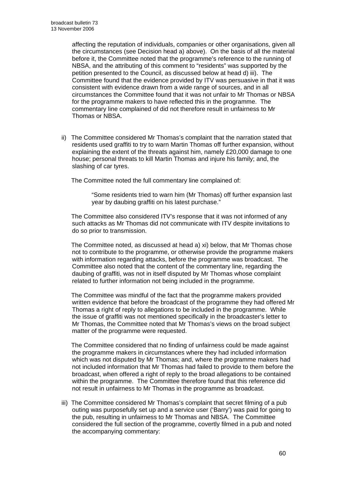affecting the reputation of individuals, companies or other organisations, given all the circumstances (see Decision head a) above). On the basis of all the material before it, the Committee noted that the programme's reference to the running of NBSA, and the attributing of this comment to "residents" was supported by the petition presented to the Council, as discussed below at head d) iii). The Committee found that the evidence provided by ITV was persuasive in that it was consistent with evidence drawn from a wide range of sources, and in all circumstances the Committee found that it was not unfair to Mr Thomas or NBSA for the programme makers to have reflected this in the programme. The commentary line complained of did not therefore result in unfairness to Mr Thomas or NBSA.

ii) The Committee considered Mr Thomas's complaint that the narration stated that residents used graffiti to try to warn Martin Thomas off further expansion, without explaining the extent of the threats against him, namely £20,000 damage to one house; personal threats to kill Martin Thomas and injure his family; and, the slashing of car tyres.

The Committee noted the full commentary line complained of:

"Some residents tried to warn him (Mr Thomas) off further expansion last year by daubing graffiti on his latest purchase."

The Committee also considered ITV's response that it was not informed of any such attacks as Mr Thomas did not communicate with ITV despite invitations to do so prior to transmission.

The Committee noted, as discussed at head a) xi) below, that Mr Thomas chose not to contribute to the programme, or otherwise provide the programme makers with information regarding attacks, before the programme was broadcast. The Committee also noted that the content of the commentary line, regarding the daubing of graffiti, was not in itself disputed by Mr Thomas whose complaint related to further information not being included in the programme.

The Committee was mindful of the fact that the programme makers provided written evidence that before the broadcast of the programme they had offered Mr Thomas a right of reply to allegations to be included in the programme. While the issue of graffiti was not mentioned specifically in the broadcaster's letter to Mr Thomas, the Committee noted that Mr Thomas's views on the broad subject matter of the programme were requested.

The Committee considered that no finding of unfairness could be made against the programme makers in circumstances where they had included information which was not disputed by Mr Thomas; and, where the programme makers had not included information that Mr Thomas had failed to provide to them before the broadcast, when offered a right of reply to the broad allegations to be contained within the programme. The Committee therefore found that this reference did not result in unfairness to Mr Thomas in the programme as broadcast.

iii) The Committee considered Mr Thomas's complaint that secret filming of a pub outing was purposefully set up and a service user ('Barry') was paid for going to the pub, resulting in unfairness to Mr Thomas and NBSA. The Committee considered the full section of the programme, covertly filmed in a pub and noted the accompanying commentary: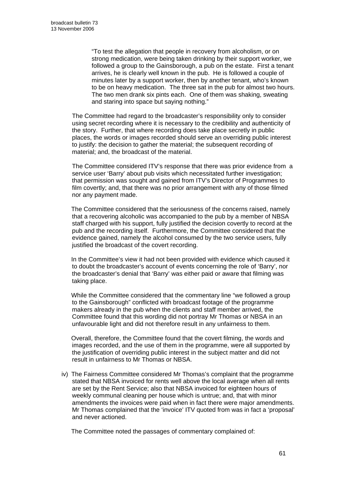"To test the allegation that people in recovery from alcoholism, or on strong medication, were being taken drinking by their support worker, we followed a group to the Gainsborough, a pub on the estate. First a tenant arrives, he is clearly well known in the pub. He is followed a couple of minutes later by a support worker, then by another tenant, who's known to be on heavy medication. The three sat in the pub for almost two hours. The two men drank six pints each. One of them was shaking, sweating and staring into space but saying nothing."

 The Committee had regard to the broadcaster's responsibility only to consider using secret recording where it is necessary to the credibility and authenticity of the story. Further, that where recording does take place secretly in public places, the words or images recorded should serve an overriding public interest to justify: the decision to gather the material; the subsequent recording of material; and, the broadcast of the material.

 The Committee considered ITV's response that there was prior evidence from a service user 'Barry' about pub visits which necessitated further investigation; that permission was sought and gained from ITV's Director of Programmes to film covertly; and, that there was no prior arrangement with any of those filmed nor any payment made.

The Committee considered that the seriousness of the concerns raised, namely that a recovering alcoholic was accompanied to the pub by a member of NBSA staff charged with his support, fully justified the decision covertly to record at the pub and the recording itself. Furthermore, the Committee considered that the evidence gained, namely the alcohol consumed by the two service users, fully justified the broadcast of the covert recording.

In the Committee's view it had not been provided with evidence which caused it to doubt the broadcaster's account of events concerning the role of 'Barry', nor the broadcaster's denial that 'Barry' was either paid or aware that filming was taking place.

While the Committee considered that the commentary line "we followed a group to the Gainsborough" conflicted with broadcast footage of the programme makers already in the pub when the clients and staff member arrived, the Committee found that this wording did not portray Mr Thomas or NBSA in an unfavourable light and did not therefore result in any unfairness to them.

Overall, therefore, the Committee found that the covert filming, the words and images recorded, and the use of them in the programme, were all supported by the justification of overriding public interest in the subject matter and did not result in unfairness to Mr Thomas or NBSA.

iv) The Fairness Committee considered Mr Thomas's complaint that the programme stated that NBSA invoiced for rents well above the local average when all rents are set by the Rent Service; also that NBSA invoiced for eighteen hours of weekly communal cleaning per house which is untrue; and, that with minor amendments the invoices were paid when in fact there were major amendments. Mr Thomas complained that the 'invoice' ITV quoted from was in fact a 'proposal' and never actioned.

The Committee noted the passages of commentary complained of: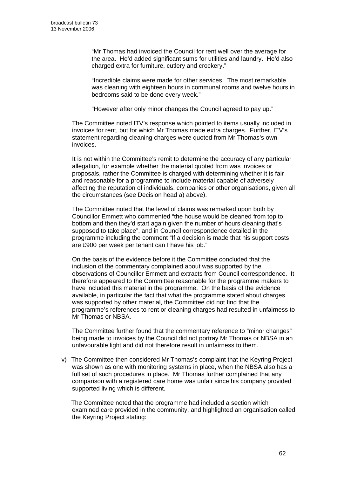"Mr Thomas had invoiced the Council for rent well over the average for the area. He'd added significant sums for utilities and laundry. He'd also charged extra for furniture, cutlery and crockery."

 "Incredible claims were made for other services. The most remarkable was cleaning with eighteen hours in communal rooms and twelve hours in bedrooms said to be done every week."

"However after only minor changes the Council agreed to pay up."

 The Committee noted ITV's response which pointed to items usually included in invoices for rent, but for which Mr Thomas made extra charges. Further, ITV's statement regarding cleaning charges were quoted from Mr Thomas's own invoices.

 It is not within the Committee's remit to determine the accuracy of any particular allegation, for example whether the material quoted from was invoices or proposals, rather the Committee is charged with determining whether it is fair and reasonable for a programme to include material capable of adversely affecting the reputation of individuals, companies or other organisations, given all the circumstances (see Decision head a) above).

 The Committee noted that the level of claims was remarked upon both by Councillor Emmett who commented "the house would be cleaned from top to bottom and then they'd start again given the number of hours cleaning that's supposed to take place", and in Council correspondence detailed in the programme including the comment "If a decision is made that his support costs are £900 per week per tenant can I have his job."

 On the basis of the evidence before it the Committee concluded that the inclusion of the commentary complained about was supported by the observations of Councillor Emmett and extracts from Council correspondence. It therefore appeared to the Committee reasonable for the programme makers to have included this material in the programme. On the basis of the evidence available, in particular the fact that what the programme stated about charges was supported by other material, the Committee did not find that the programme's references to rent or cleaning charges had resulted in unfairness to Mr Thomas or NBSA.

 The Committee further found that the commentary reference to "minor changes" being made to invoices by the Council did not portray Mr Thomas or NBSA in an unfavourable light and did not therefore result in unfairness to them.

v) The Committee then considered Mr Thomas's complaint that the Keyring Project was shown as one with monitoring systems in place, when the NBSA also has a full set of such procedures in place. Mr Thomas further complained that any comparison with a registered care home was unfair since his company provided supported living which is different.

The Committee noted that the programme had included a section which examined care provided in the community, and highlighted an organisation called the Keyring Project stating: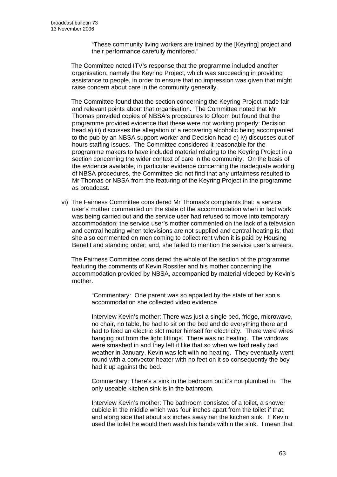"These community living workers are trained by the [Keyring] project and their performance carefully monitored."

The Committee noted ITV's response that the programme included another organisation, namely the Keyring Project, which was succeeding in providing assistance to people, in order to ensure that no impression was given that might raise concern about care in the community generally.

The Committee found that the section concerning the Keyring Project made fair and relevant points about that organisation. The Committee noted that Mr Thomas provided copies of NBSA's procedures to Ofcom but found that the programme provided evidence that these were not working properly: Decision head a) iii) discusses the allegation of a recovering alcoholic being accompanied to the pub by an NBSA support worker and Decision head d) iv) discusses out of hours staffing issues. The Committee considered it reasonable for the programme makers to have included material relating to the Keyring Project in a section concerning the wider context of care in the community. On the basis of the evidence available, in particular evidence concerning the inadequate working of NBSA procedures, the Committee did not find that any unfairness resulted to Mr Thomas or NBSA from the featuring of the Keyring Project in the programme as broadcast.

vi) The Fairness Committee considered Mr Thomas's complaints that: a service user's mother commented on the state of the accommodation when in fact work was being carried out and the service user had refused to move into temporary accommodation; the service user's mother commented on the lack of a television and central heating when televisions are not supplied and central heating is; that she also commented on men coming to collect rent when it is paid by Housing Benefit and standing order; and, she failed to mention the service user's arrears.

The Fairness Committee considered the whole of the section of the programme featuring the comments of Kevin Rossiter and his mother concerning the accommodation provided by NBSA, accompanied by material videoed by Kevin's mother.

"Commentary: One parent was so appalled by the state of her son's accommodation she collected video evidence.

Interview Kevin's mother: There was just a single bed, fridge, microwave, no chair, no table, he had to sit on the bed and do everything there and had to feed an electric slot meter himself for electricity. There were wires hanging out from the light fittings. There was no heating. The windows were smashed in and they left it like that so when we had really bad weather in January, Kevin was left with no heating. They eventually went round with a convector heater with no feet on it so consequently the boy had it up against the bed.

Commentary: There's a sink in the bedroom but it's not plumbed in. The only useable kitchen sink is in the bathroom.

Interview Kevin's mother: The bathroom consisted of a toilet, a shower cubicle in the middle which was four inches apart from the toilet if that, and along side that about six inches away ran the kitchen sink. If Kevin used the toilet he would then wash his hands within the sink. I mean that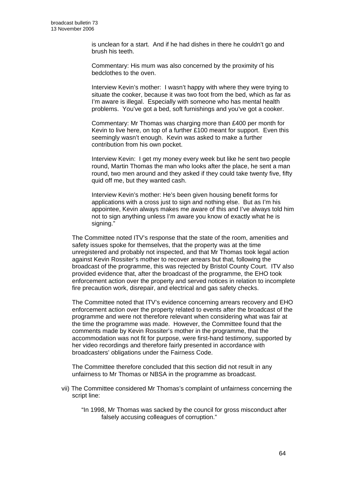is unclean for a start. And if he had dishes in there he couldn't go and brush his teeth.

Commentary: His mum was also concerned by the proximity of his bedclothes to the oven.

Interview Kevin's mother: I wasn't happy with where they were trying to situate the cooker, because it was two foot from the bed, which as far as I'm aware is illegal. Especially with someone who has mental health problems. You've got a bed, soft furnishings and you've got a cooker.

Commentary: Mr Thomas was charging more than £400 per month for Kevin to live here, on top of a further £100 meant for support. Even this seemingly wasn't enough. Kevin was asked to make a further contribution from his own pocket.

Interview Kevin: I get my money every week but like he sent two people round, Martin Thomas the man who looks after the place, he sent a man round, two men around and they asked if they could take twenty five, fifty quid off me, but they wanted cash.

Interview Kevin's mother: He's been given housing benefit forms for applications with a cross just to sign and nothing else. But as I'm his appointee, Kevin always makes me aware of this and I've always told him not to sign anything unless I'm aware you know of exactly what he is signing."

The Committee noted ITV's response that the state of the room, amenities and safety issues spoke for themselves, that the property was at the time unregistered and probably not inspected, and that Mr Thomas took legal action against Kevin Rossiter's mother to recover arrears but that, following the broadcast of the programme, this was rejected by Bristol County Court. ITV also provided evidence that, after the broadcast of the programme, the EHO took enforcement action over the property and served notices in relation to incomplete fire precaution work, disrepair, and electrical and gas safety checks.

The Committee noted that ITV's evidence concerning arrears recovery and EHO enforcement action over the property related to events after the broadcast of the programme and were not therefore relevant when considering what was fair at the time the programme was made. However, the Committee found that the comments made by Kevin Rossiter's mother in the programme, that the accommodation was not fit for purpose, were first-hand testimony, supported by her video recordings and therefore fairly presented in accordance with broadcasters' obligations under the Fairness Code.

The Committee therefore concluded that this section did not result in any unfairness to Mr Thomas or NBSA in the programme as broadcast.

- vii) The Committee considered Mr Thomas's complaint of unfairness concerning the script line:
	- "In 1998, Mr Thomas was sacked by the council for gross misconduct after falsely accusing colleagues of corruption."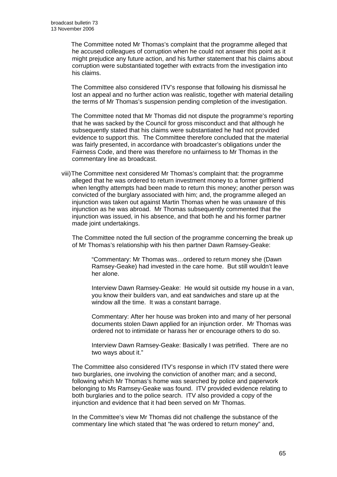The Committee noted Mr Thomas's complaint that the programme alleged that he accused colleagues of corruption when he could not answer this point as it might prejudice any future action, and his further statement that his claims about corruption were substantiated together with extracts from the investigation into his claims.

The Committee also considered ITV's response that following his dismissal he lost an appeal and no further action was realistic, together with material detailing the terms of Mr Thomas's suspension pending completion of the investigation.

The Committee noted that Mr Thomas did not dispute the programme's reporting that he was sacked by the Council for gross misconduct and that although he subsequently stated that his claims were substantiated he had not provided evidence to support this. The Committee therefore concluded that the material was fairly presented, in accordance with broadcaster's obligations under the Fairness Code, and there was therefore no unfairness to Mr Thomas in the commentary line as broadcast.

viii) The Committee next considered Mr Thomas's complaint that: the programme alleged that he was ordered to return investment money to a former girlfriend when lengthy attempts had been made to return this money; another person was convicted of the burglary associated with him; and, the programme alleged an injunction was taken out against Martin Thomas when he was unaware of this injunction as he was abroad. Mr Thomas subsequently commented that the injunction was issued, in his absence, and that both he and his former partner made joint undertakings.

The Committee noted the full section of the programme concerning the break up of Mr Thomas's relationship with his then partner Dawn Ramsey-Geake:

"Commentary: Mr Thomas was…ordered to return money she (Dawn Ramsey-Geake) had invested in the care home. But still wouldn't leave her alone.

Interview Dawn Ramsey-Geake: He would sit outside my house in a van, you know their builders van, and eat sandwiches and stare up at the window all the time. It was a constant barrage.

Commentary: After her house was broken into and many of her personal documents stolen Dawn applied for an injunction order. Mr Thomas was ordered not to intimidate or harass her or encourage others to do so.

Interview Dawn Ramsey-Geake: Basically I was petrified. There are no two ways about it."

 The Committee also considered ITV's response in which ITV stated there were two burglaries, one involving the conviction of another man; and a second, following which Mr Thomas's home was searched by police and paperwork belonging to Ms Ramsey-Geake was found. ITV provided evidence relating to both burglaries and to the police search. ITV also provided a copy of the injunction and evidence that it had been served on Mr Thomas.

 In the Committee's view Mr Thomas did not challenge the substance of the commentary line which stated that "he was ordered to return money" and,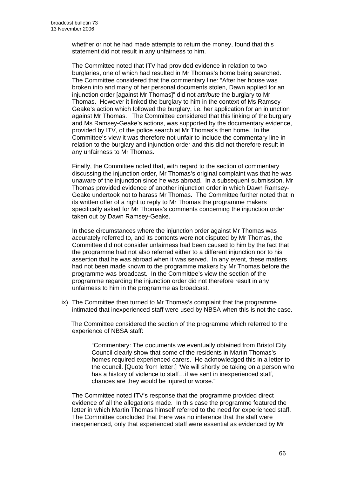whether or not he had made attempts to return the money, found that this statement did not result in any unfairness to him.

 The Committee noted that ITV had provided evidence in relation to two burglaries, one of which had resulted in Mr Thomas's home being searched. The Committee considered that the commentary line: "After her house was broken into and many of her personal documents stolen, Dawn applied for an injunction order [against Mr Thomas]" did not *attribute* the burglary to Mr Thomas. However it linked the burglary to him in the context of Ms Ramsey-Geake's action which followed the burglary, i.e. her application for an injunction against Mr Thomas. The Committee considered that this linking of the burglary and Ms Ramsey-Geake's actions, was supported by the documentary evidence, provided by ITV, of the police search at Mr Thomas's then home. In the Committee's view it was therefore not unfair to include the commentary line in relation to the burglary and injunction order and this did not therefore result in any unfairness to Mr Thomas.

 Finally, the Committee noted that, with regard to the section of commentary discussing the injunction order, Mr Thomas's original complaint was that he was unaware of the injunction since he was abroad. In a subsequent submission, Mr Thomas provided evidence of another injunction order in which Dawn Ramsey-Geake undertook not to harass Mr Thomas. The Committee further noted that in its written offer of a right to reply to Mr Thomas the programme makers specifically asked for Mr Thomas's comments concerning the injunction order taken out by Dawn Ramsey-Geake.

 In these circumstances where the injunction order against Mr Thomas was accurately referred to, and its contents were not disputed by Mr Thomas, the Committee did not consider unfairness had been caused to him by the fact that the programme had not also referred either to a different injunction nor to his assertion that he was abroad when it was served. In any event, these matters had not been made known to the programme makers by Mr Thomas before the programme was broadcast. In the Committee's view the section of the programme regarding the injunction order did not therefore result in any unfairness to him in the programme as broadcast.

ix) The Committee then turned to Mr Thomas's complaint that the programme intimated that inexperienced staff were used by NBSA when this is not the case.

The Committee considered the section of the programme which referred to the experience of NBSA staff:

"Commentary: The documents we eventually obtained from Bristol City Council clearly show that some of the residents in Martin Thomas's homes required experienced carers. He acknowledged this in a letter to the council. [Quote from letter:] 'We will shortly be taking on a person who has a history of violence to staff...if we sent in inexperienced staff, chances are they would be injured or worse."

The Committee noted ITV's response that the programme provided direct evidence of all the allegations made. In this case the programme featured the letter in which Martin Thomas himself referred to the need for experienced staff. The Committee concluded that there was no inference that the staff were inexperienced, only that experienced staff were essential as evidenced by Mr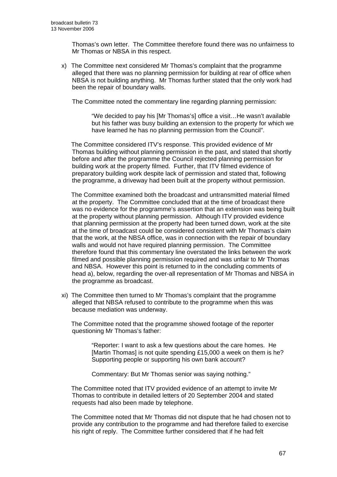Thomas's own letter. The Committee therefore found there was no unfairness to Mr Thomas or NBSA in this respect.

x) The Committee next considered Mr Thomas's complaint that the programme alleged that there was no planning permission for building at rear of office when NBSA is not building anything. Mr Thomas further stated that the only work had been the repair of boundary walls.

The Committee noted the commentary line regarding planning permission:

"We decided to pay his [Mr Thomas's] office a visit…He wasn't available but his father was busy building an extension to the property for which we have learned he has no planning permission from the Council".

The Committee considered ITV's response. This provided evidence of Mr Thomas building without planning permission in the past, and stated that shortly before and after the programme the Council rejected planning permission for building work at the property filmed. Further, that ITV filmed evidence of preparatory building work despite lack of permission and stated that, following the programme, a driveway had been built at the property without permission.

The Committee examined both the broadcast and untransmitted material filmed at the property. The Committee concluded that at the time of broadcast there was no evidence for the programme's assertion that an extension was being built at the property without planning permission. Although ITV provided evidence that planning permission at the property had been turned down, work at the site at the time of broadcast could be considered consistent with Mr Thomas's claim that the work, at the NBSA office, was in connection with the repair of boundary walls and would not have required planning permission. The Committee therefore found that this commentary line overstated the links between the work filmed and possible planning permission required and was unfair to Mr Thomas and NBSA. However this point is returned to in the concluding comments of head a), below, regarding the over-all representation of Mr Thomas and NBSA in the programme as broadcast.

xi) The Committee then turned to Mr Thomas's complaint that the programme alleged that NBSA refused to contribute to the programme when this was because mediation was underway.

The Committee noted that the programme showed footage of the reporter questioning Mr Thomas's father:

> "Reporter: I want to ask a few questions about the care homes. He [Martin Thomas] is not quite spending £15,000 a week on them is he? Supporting people or supporting his own bank account?

Commentary: But Mr Thomas senior was saying nothing."

The Committee noted that ITV provided evidence of an attempt to invite Mr Thomas to contribute in detailed letters of 20 September 2004 and stated requests had also been made by telephone.

The Committee noted that Mr Thomas did not dispute that he had chosen not to provide any contribution to the programme and had therefore failed to exercise his right of reply. The Committee further considered that if he had felt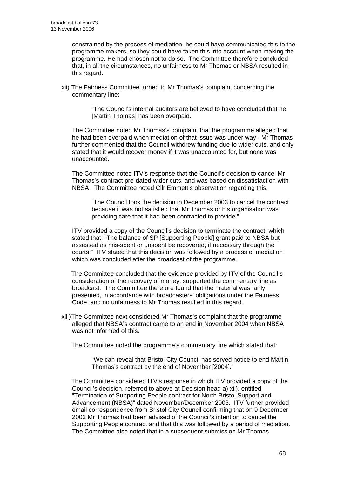constrained by the process of mediation, he could have communicated this to the programme makers, so they could have taken this into account when making the programme. He had chosen not to do so. The Committee therefore concluded that, in all the circumstances, no unfairness to Mr Thomas or NBSA resulted in this regard.

xii) The Fairness Committee turned to Mr Thomas's complaint concerning the commentary line:

> "The Council's internal auditors are believed to have concluded that he [Martin Thomas] has been overpaid.

The Committee noted Mr Thomas's complaint that the programme alleged that he had been overpaid when mediation of that issue was under way. Mr Thomas further commented that the Council withdrew funding due to wider cuts, and only stated that it would recover money if it was unaccounted for, but none was unaccounted.

The Committee noted ITV's response that the Council's decision to cancel Mr Thomas's contract pre-dated wider cuts, and was based on dissatisfaction with NBSA. The Committee noted Cllr Emmett's observation regarding this:

 "The Council took the decision in December 2003 to cancel the contract because it was not satisfied that Mr Thomas or his organisation was providing care that it had been contracted to provide."

 ITV provided a copy of the Council's decision to terminate the contract, which stated that: "The balance of SP [Supporting People] grant paid to NBSA but assessed as mis-spent or unspent be recovered, if necessary through the courts." ITV stated that this decision was followed by a process of mediation which was concluded after the broadcast of the programme.

The Committee concluded that the evidence provided by ITV of the Council's consideration of the recovery of money, supported the commentary line as broadcast. The Committee therefore found that the material was fairly presented, in accordance with broadcasters' obligations under the Fairness Code, and no unfairness to Mr Thomas resulted in this regard.

xiii) The Committee next considered Mr Thomas's complaint that the programme alleged that NBSA's contract came to an end in November 2004 when NBSA was not informed of this.

The Committee noted the programme's commentary line which stated that:

"We can reveal that Bristol City Council has served notice to end Martin Thomas's contract by the end of November [2004]."

The Committee considered ITV's response in which ITV provided a copy of the Council's decision, referred to above at Decision head a) xii), entitled "Termination of Supporting People contract for North Bristol Support and Advancement (NBSA)" dated November/December 2003. ITV further provided email correspondence from Bristol City Council confirming that on 9 December 2003 Mr Thomas had been advised of the Council's intention to cancel the Supporting People contract and that this was followed by a period of mediation. The Committee also noted that in a subsequent submission Mr Thomas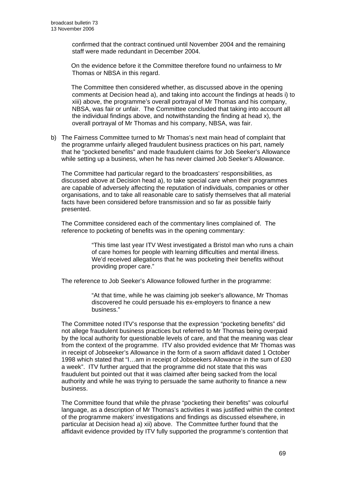confirmed that the contract continued until November 2004 and the remaining staff were made redundant in December 2004.

On the evidence before it the Committee therefore found no unfairness to Mr Thomas or NBSA in this regard.

The Committee then considered whether, as discussed above in the opening comments at Decision head a), and taking into account the findings at heads i) to xiii) above, the programme's overall portrayal of Mr Thomas and his company, NBSA, was fair or unfair. The Committee concluded that taking into account all the individual findings above, and notwithstanding the finding at head x), the overall portrayal of Mr Thomas and his company, NBSA, was fair.

b) The Fairness Committee turned to Mr Thomas's next main head of complaint that the programme unfairly alleged fraudulent business practices on his part, namely that he "pocketed benefits" and made fraudulent claims for Job Seeker's Allowance while setting up a business, when he has never claimed Job Seeker's Allowance.

The Committee had particular regard to the broadcasters' responsibilities, as discussed above at Decision head a), to take special care when their programmes are capable of adversely affecting the reputation of individuals, companies or other organisations, and to take all reasonable care to satisfy themselves that all material facts have been considered before transmission and so far as possible fairly presented.

The Committee considered each of the commentary lines complained of. The reference to pocketing of benefits was in the opening commentary:

> "This time last year ITV West investigated a Bristol man who runs a chain of care homes for people with learning difficulties and mental illness. We'd received allegations that he was pocketing their benefits without providing proper care."

The reference to Job Seeker's Allowance followed further in the programme:

"At that time, while he was claiming job seeker's allowance, Mr Thomas discovered he could persuade his ex-employers to finance a new business."

The Committee noted ITV's response that the expression "pocketing benefits" did not allege fraudulent business practices but referred to Mr Thomas being overpaid by the local authority for questionable levels of care, and that the meaning was clear from the context of the programme. ITV also provided evidence that Mr Thomas was in receipt of Jobseeker's Allowance in the form of a sworn affidavit dated 1 October 1998 which stated that "I…am in receipt of Jobseekers Allowance in the sum of £30 a week". ITV further argued that the programme did not state that this was fraudulent but pointed out that it was claimed after being sacked from the local authority and while he was trying to persuade the same authority to finance a new business.

The Committee found that while the phrase "pocketing their benefits" was colourful language, as a description of Mr Thomas's activities it was justified within the context of the programme makers' investigations and findings as discussed elsewhere, in particular at Decision head a) xii) above. The Committee further found that the affidavit evidence provided by ITV fully supported the programme's contention that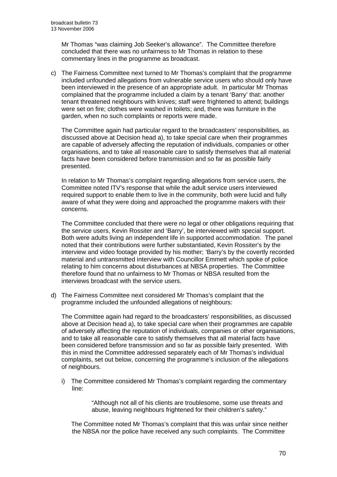Mr Thomas "was claiming Job Seeker's allowance". The Committee therefore concluded that there was no unfairness to Mr Thomas in relation to these commentary lines in the programme as broadcast.

c) The Fairness Committee next turned to Mr Thomas's complaint that the programme included unfounded allegations from vulnerable service users who should only have been interviewed in the presence of an appropriate adult. In particular Mr Thomas complained that the programme included a claim by a tenant 'Barry' that: another tenant threatened neighbours with knives; staff were frightened to attend; buildings were set on fire; clothes were washed in toilets; and, there was furniture in the garden, when no such complaints or reports were made.

The Committee again had particular regard to the broadcasters' responsibilities, as discussed above at Decision head a), to take special care when their programmes are capable of adversely affecting the reputation of individuals, companies or other organisations, and to take all reasonable care to satisfy themselves that all material facts have been considered before transmission and so far as possible fairly presented.

 In relation to Mr Thomas's complaint regarding allegations from service users, the Committee noted ITV's response that while the adult service users interviewed required support to enable them to live in the community, both were lucid and fully aware of what they were doing and approached the programme makers with their concerns.

 The Committee concluded that there were no legal or other obligations requiring that the service users, Kevin Rossiter and 'Barry', be interviewed with special support. Both were adults living an independent life in supported accommodation. The panel noted that their contributions were further substantiated, Kevin Rossiter's by the interview and video footage provided by his mother; 'Barry's by the covertly recorded material and untransmitted interview with Councillor Emmett which spoke of police relating to him concerns about disturbances at NBSA properties. The Committee therefore found that no unfairness to Mr Thomas or NBSA resulted from the interviews broadcast with the service users.

d) The Fairness Committee next considered Mr Thomas's complaint that the programme included the unfounded allegations of neighbours:

The Committee again had regard to the broadcasters' responsibilities, as discussed above at Decision head a), to take special care when their programmes are capable of adversely affecting the reputation of individuals, companies or other organisations, and to take all reasonable care to satisfy themselves that all material facts have been considered before transmission and so far as possible fairly presented. With this in mind the Committee addressed separately each of Mr Thomas's individual complaints, set out below, concerning the programme's inclusion of the allegations of neighbours.

i) The Committee considered Mr Thomas's complaint regarding the commentary line:

> "Although not all of his clients are troublesome, some use threats and abuse, leaving neighbours frightened for their children's safety."

The Committee noted Mr Thomas's complaint that this was unfair since neither the NBSA nor the police have received any such complaints. The Committee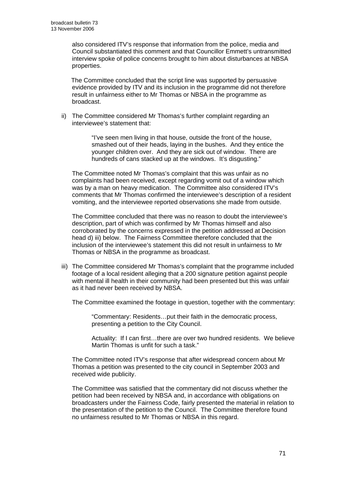also considered ITV's response that information from the police, media and Council substantiated this comment and that Councillor Emmett's untransmitted interview spoke of police concerns brought to him about disturbances at NBSA properties.

The Committee concluded that the script line was supported by persuasive evidence provided by ITV and its inclusion in the programme did not therefore result in unfairness either to Mr Thomas or NBSA in the programme as broadcast.

ii) The Committee considered Mr Thomas's further complaint regarding an interviewee's statement that:

> "I've seen men living in that house, outside the front of the house, smashed out of their heads, laying in the bushes. And they entice the younger children over. And they are sick out of window. There are hundreds of cans stacked up at the windows. It's disgusting."

 The Committee noted Mr Thomas's complaint that this was unfair as no complaints had been received, except regarding vomit out of a window which was by a man on heavy medication. The Committee also considered ITV's comments that Mr Thomas confirmed the interviewee's description of a resident vomiting, and the interviewee reported observations she made from outside.

 The Committee concluded that there was no reason to doubt the interviewee's description, part of which was confirmed by Mr Thomas himself and also corroborated by the concerns expressed in the petition addressed at Decision head d) iii) below. The Fairness Committee therefore concluded that the inclusion of the interviewee's statement this did not result in unfairness to Mr Thomas or NBSA in the programme as broadcast.

iii) The Committee considered Mr Thomas's complaint that the programme included footage of a local resident alleging that a 200 signature petition against people with mental ill health in their community had been presented but this was unfair as it had never been received by NBSA.

The Committee examined the footage in question, together with the commentary:

 "Commentary: Residents…put their faith in the democratic process, presenting a petition to the City Council.

Actuality: If I can first…there are over two hundred residents. We believe Martin Thomas is unfit for such a task."

 The Committee noted ITV's response that after widespread concern about Mr Thomas a petition was presented to the city council in September 2003 and received wide publicity.

 The Committee was satisfied that the commentary did not discuss whether the petition had been received by NBSA and, in accordance with obligations on broadcasters under the Fairness Code, fairly presented the material in relation to the presentation of the petition to the Council. The Committee therefore found no unfairness resulted to Mr Thomas or NBSA in this regard.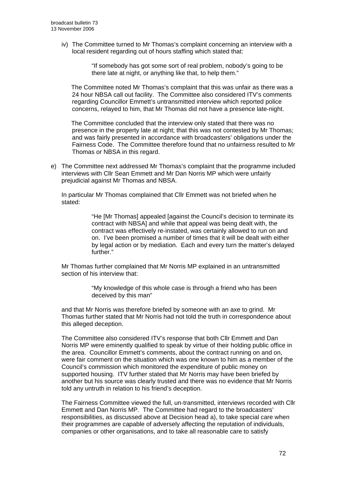iv) The Committee turned to Mr Thomas's complaint concerning an interview with a local resident regarding out of hours staffing which stated that:

> "If somebody has got some sort of real problem, nobody's going to be there late at night, or anything like that, to help them."

The Committee noted Mr Thomas's complaint that this was unfair as there was a 24 hour NBSA call out facility. The Committee also considered ITV's comments regarding Councillor Emmett's untransmitted interview which reported police concerns, relayed to him, that Mr Thomas did not have a presence late-night.

The Committee concluded that the interview only stated that there was no presence in the property late at night; that this was not contested by Mr Thomas; and was fairly presented in accordance with broadcasters' obligations under the Fairness Code. The Committee therefore found that no unfairness resulted to Mr Thomas or NBSA in this regard.

e) The Committee next addressed Mr Thomas's complaint that the programme included interviews with Cllr Sean Emmett and Mr Dan Norris MP which were unfairly prejudicial against Mr Thomas and NBSA.

In particular Mr Thomas complained that Cllr Emmett was not briefed when he stated:

> "He [Mr Thomas] appealed [against the Council's decision to terminate its contract with NBSA] and while that appeal was being dealt with, the contract was effectively re-instated, was certainly allowed to run on and on. I've been promised a number of times that it will be dealt with either by legal action or by mediation. Each and every turn the matter's delayed further."

Mr Thomas further complained that Mr Norris MP explained in an untransmitted section of his interview that:

> "My knowledge of this whole case is through a friend who has been deceived by this man"

and that Mr Norris was therefore briefed by someone with an axe to grind. Mr Thomas further stated that Mr Norris had not told the truth in correspondence about this alleged deception.

The Committee also considered ITV's response that both Cllr Emmett and Dan Norris MP were eminently qualified to speak by virtue of their holding public office in the area. Councillor Emmett's comments, about the contract running on and on, were fair comment on the situation which was one known to him as a member of the Council's commission which monitored the expenditure of public money on supported housing. ITV further stated that Mr Norris may have been briefed by another but his source was clearly trusted and there was no evidence that Mr Norris told any untruth in relation to his friend's deception.

The Fairness Committee viewed the full, un-transmitted, interviews recorded with Cllr Emmett and Dan Norris MP. The Committee had regard to the broadcasters' responsibilities, as discussed above at Decision head a), to take special care when their programmes are capable of adversely affecting the reputation of individuals, companies or other organisations, and to take all reasonable care to satisfy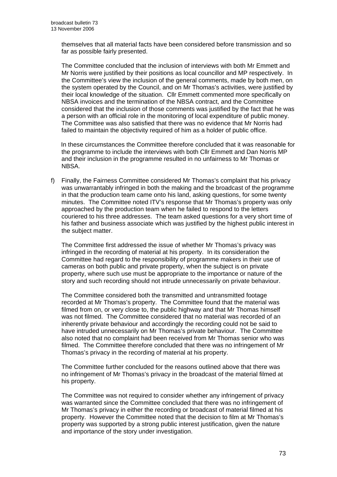themselves that all material facts have been considered before transmission and so far as possible fairly presented.

 The Committee concluded that the inclusion of interviews with both Mr Emmett and Mr Norris were justified by their positions as local councillor and MP respectively. In the Committee's view the inclusion of the general comments, made by both men, on the system operated by the Council, and on Mr Thomas's activities, were justified by their local knowledge of the situation. Cllr Emmett commented more specifically on NBSA invoices and the termination of the NBSA contract, and the Committee considered that the inclusion of those comments was justified by the fact that he was a person with an official role in the monitoring of local expenditure of public money. The Committee was also satisfied that there was no evidence that Mr Norris had failed to maintain the objectivity required of him as a holder of public office.

In these circumstances the Committee therefore concluded that it was reasonable for the programme to include the interviews with both Cllr Emmett and Dan Norris MP and their inclusion in the programme resulted in no unfairness to Mr Thomas or NBSA.

f) Finally, the Fairness Committee considered Mr Thomas's complaint that his privacy was unwarrantably infringed in both the making and the broadcast of the programme in that the production team came onto his land, asking questions, for some twenty minutes. The Committee noted ITV's response that Mr Thomas's property was only approached by the production team when he failed to respond to the letters couriered to his three addresses. The team asked questions for a very short time of his father and business associate which was justified by the highest public interest in the subject matter.

The Committee first addressed the issue of whether Mr Thomas's privacy was infringed in the recording of material at his property. In its consideration the Committee had regard to the responsibility of programme makers in their use of cameras on both public and private property, when the subject is on private property, where such use must be appropriate to the importance or nature of the story and such recording should not intrude unnecessarily on private behaviour.

The Committee considered both the transmitted and untransmitted footage recorded at Mr Thomas's property. The Committee found that the material was filmed from on, or very close to, the public highway and that Mr Thomas himself was not filmed. The Committee considered that no material was recorded of an inherently private behaviour and accordingly the recording could not be said to have intruded unnecessarily on Mr Thomas's private behaviour. The Committee also noted that no complaint had been received from Mr Thomas senior who was filmed. The Committee therefore concluded that there was no infringement of Mr Thomas's privacy in the recording of material at his property.

The Committee further concluded for the reasons outlined above that there was no infringement of Mr Thomas's privacy in the broadcast of the material filmed at his property.

The Committee was not required to consider whether any infringement of privacy was warranted since the Committee concluded that there was no infringement of Mr Thomas's privacy in either the recording or broadcast of material filmed at his property. However the Committee noted that the decision to film at Mr Thomas's property was supported by a strong public interest justification, given the nature and importance of the story under investigation.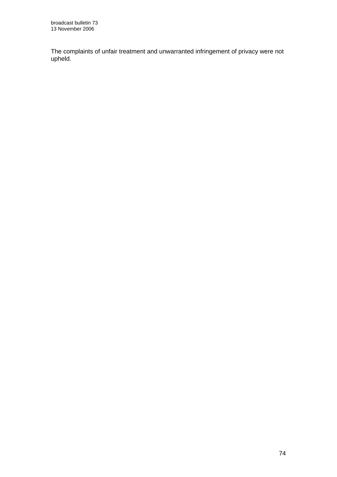The complaints of unfair treatment and unwarranted infringement of privacy were not upheld.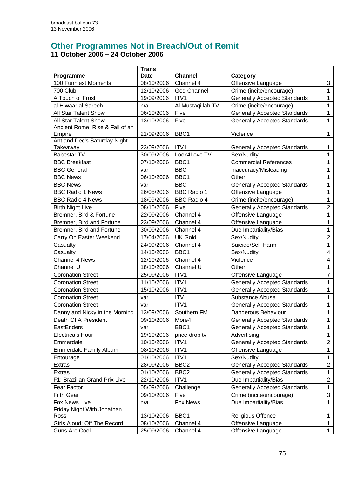## **Other Programmes Not in Breach/Out of Remit 11 October 2006 – 24 October 2006**

| Programme                       | <b>Trans</b><br><b>Date</b> | <b>Channel</b>     | Category                            |                |
|---------------------------------|-----------------------------|--------------------|-------------------------------------|----------------|
| 100 Funniest Moments            | 08/10/2006                  | Channel 4          | Offensive Language                  | 3              |
| 700 Club                        | 12/10/2006                  | <b>God Channel</b> | Crime (incite/encourage)            | $\mathbf{1}$   |
| A Touch of Frost                | 19/09/2006                  | ITV1               | <b>Generally Accepted Standards</b> | $\mathbf{1}$   |
| al Hiwaar al Sareeh             | n/a                         | Al Mustaqillah TV  | Crime (incite/encourage)            | $\mathbf{1}$   |
| All Star Talent Show            | 06/10/2006                  | Five               | <b>Generally Accepted Standards</b> | $\mathbf{1}$   |
| All Star Talent Show            | 13/10/2006                  | Five               | <b>Generally Accepted Standards</b> | $\mathbf 1$    |
| Ancient Rome: Rise & Fall of an |                             |                    |                                     |                |
| Empire                          | 21/09/2006                  | BBC1               | Violence                            | $\mathbf{1}$   |
| Ant and Dec's Saturday Night    |                             |                    |                                     |                |
| <b>Takeaway</b>                 | 23/09/2006                  | ITV1               | <b>Generally Accepted Standards</b> | 1              |
| <b>Babestar TV</b>              | 30/09/2006                  | Look4Love TV       | Sex/Nudity                          | $\mathbf{1}$   |
| <b>BBC Breakfast</b>            | 07/10/2006                  | BBC1               | <b>Commercial References</b>        | $\mathbf{1}$   |
| <b>BBC General</b>              | var                         | <b>BBC</b>         | Inaccuracy/Misleading               | $\mathbf{1}$   |
| <b>BBC News</b>                 | 06/10/2006                  | BBC1               | Other                               | $\mathbf 1$    |
| <b>BBC News</b>                 | var                         | <b>BBC</b>         | <b>Generally Accepted Standards</b> | 1              |
| <b>BBC Radio 1 News</b>         | 26/05/2006                  | <b>BBC Radio 1</b> | Offensive Language                  | 1              |
| <b>BBC Radio 4 News</b>         | 18/09/2006                  | <b>BBC Radio 4</b> | Crime (incite/encourage)            | $\mathbf{1}$   |
| <b>Birth Night Live</b>         | 08/10/2006                  | Five               | <b>Generally Accepted Standards</b> | $\overline{2}$ |
| Bremner, Bird & Fortune         | 22/09/2006                  | Channel 4          | Offensive Language                  | 1              |
| Bremner, Bird and Fortune       | 23/09/2006                  | Channel 4          | Offensive Language                  | $\mathbf 1$    |
| Bremner, Bird and Fortune       | 30/09/2006                  | Channel 4          | Due Impartiality/Bias               | $\mathbf{1}$   |
| Carry On Easter Weekend         | 17/04/2006                  | <b>UK Gold</b>     | Sex/Nudity                          | $\overline{2}$ |
| Casualty                        | 24/09/2006                  | Channel 4          | Suicide/Self Harm                   | $\mathbf{1}$   |
| Casualty                        | 14/10/2006                  | BBC1               | Sex/Nudity                          | 4              |
| Channel 4 News                  | 12/10/2006                  | Channel 4          | Violence                            | 4              |
| Channel U                       | 18/10/2006                  | Channel U          | Other                               | $\mathbf{1}$   |
| <b>Coronation Street</b>        | 25/09/2006                  | ITV1               | Offensive Language                  | $\overline{7}$ |
| <b>Coronation Street</b>        | 11/10/2006                  | ITV1               | <b>Generally Accepted Standards</b> | $\mathbf{1}$   |
| <b>Coronation Street</b>        | 15/10/2006                  | ITV1               | <b>Generally Accepted Standards</b> | 1              |
| <b>Coronation Street</b>        | var                         | <b>ITV</b>         | Substance Abuse                     | $\mathbf{1}$   |
| <b>Coronation Street</b>        | var                         | ITV1               | <b>Generally Accepted Standards</b> | 1              |
| Danny and Nicky in the Morning  | 13/09/2006                  | Southern FM        | Dangerous Behaviour                 | $\mathbf{1}$   |
| Death Of A President            | 09/10/2006                  | More4              | <b>Generally Accepted Standards</b> | $\mathbf{1}$   |
| EastEnders                      | var                         | BBC1               | <b>Generally Accepted Standards</b> | $\mathbf{1}$   |
| <b>Electricals Hour</b>         | 19/10/2006                  | price-drop tv      | Advertising                         | $\mathbf{1}$   |
| Emmerdale                       | 10/10/2006                  | ITV1               | <b>Generally Accepted Standards</b> | $\overline{a}$ |
| <b>Emmerdale Family Album</b>   | 08/10/2006                  | ITV1               | Offensive Language                  | $\mathbf{1}$   |
| Entourage                       | 01/10/2006                  | ITV1               | Sex/Nudity                          | $\mathbf{1}$   |
| Extras                          | 28/09/2006                  | BBC <sub>2</sub>   | <b>Generally Accepted Standards</b> | $\overline{2}$ |
| Extras                          | 01/10/2006                  | BBC <sub>2</sub>   | <b>Generally Accepted Standards</b> | $\mathbf 1$    |
| F1: Brazilian Grand Prix Live   | 22/10/2006                  | ITV1               | Due Impartiality/Bias               | $\overline{a}$ |
| Fear Factor                     | 05/09/2006                  | Challenge          | <b>Generally Accepted Standards</b> | $\mathbf{1}$   |
| <b>Fifth Gear</b>               | 09/10/2006                  | Five               | Crime (incite/encourage)            | 3              |
| Fox News Live                   | n/a                         | Fox News           | Due Impartiality/Bias               | $\mathbf{1}$   |
| Friday Night With Jonathan      |                             |                    |                                     |                |
| Ross                            | 13/10/2006                  | BBC1               | <b>Religious Offence</b>            | 1              |
| Girls Aloud: Off The Record     | 08/10/2006                  | Channel 4          | Offensive Language                  | $\mathbf{1}$   |
| Guns Are Cool                   | 25/09/2006                  | Channel 4          | Offensive Language                  | $\mathbf 1$    |
|                                 |                             |                    |                                     |                |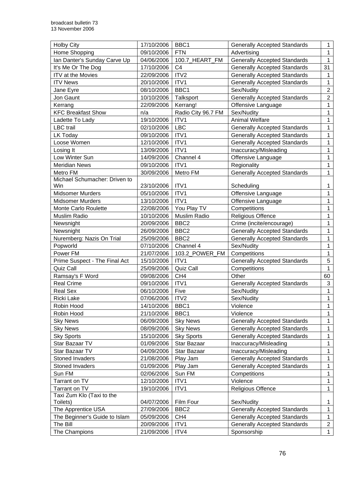| <b>Holby City</b>             | 17/10/2006 | BBC1               | <b>Generally Accepted Standards</b> | $\mathbf{1}$   |
|-------------------------------|------------|--------------------|-------------------------------------|----------------|
| Home Shopping                 | 09/10/2006 | <b>FTN</b>         | Advertising                         | $\mathbf 1$    |
| Ian Danter's Sunday Carve Up  | 04/06/2006 | 100.7_HEART_FM     | <b>Generally Accepted Standards</b> | $\mathbf{1}$   |
| It's Me Or The Dog            | 17/10/2006 | C <sub>4</sub>     | <b>Generally Accepted Standards</b> | 31             |
| ITV at the Movies             | 22/09/2006 | ITV2               | <b>Generally Accepted Standards</b> | $\mathbf{1}$   |
| <b>ITV News</b>               | 20/10/2006 | ITV1               | <b>Generally Accepted Standards</b> | $\mathbf 1$    |
| Jane Eyre                     | 08/10/2006 | BBC1               | Sex/Nudity                          | $\overline{2}$ |
| Jon Gaunt                     | 10/10/2006 | Talksport          | <b>Generally Accepted Standards</b> | $\overline{2}$ |
| Kerrang                       | 22/09/2006 | Kerrang!           | Offensive Language                  | 1              |
| <b>KFC Breakfast Show</b>     | n/a        | Radio City 96.7 FM | Sex/Nudity                          | 1              |
| Ladette To Lady               | 19/10/2006 | ITV1               | <b>Animal Welfare</b>               | $\mathbf 1$    |
| <b>LBC</b> trail              | 02/10/2006 | <b>LBC</b>         | <b>Generally Accepted Standards</b> | $\mathbf{1}$   |
| LK Today                      | 09/10/2006 | ITV1               | <b>Generally Accepted Standards</b> | $\mathbf{1}$   |
| Loose Women                   | 12/10/2006 | ITV1               | <b>Generally Accepted Standards</b> | 1              |
| Losing It                     | 13/09/2006 | ITV1               | Inaccuracy/Misleading               | $\mathbf{1}$   |
| Low Winter Sun                | 14/09/2006 | Channel 4          | Offensive Language                  | 1              |
| <b>Meridian News</b>          | 09/10/2006 | ITV1               | Regionality                         | $\mathbf{1}$   |
| Metro FM                      | 30/09/2006 | Metro FM           | <b>Generally Accepted Standards</b> | $\mathbf{1}$   |
| Michael Schumacher: Driven to |            |                    |                                     |                |
| Win                           | 23/10/2006 | ITV1               | Scheduling                          | $\mathbf{1}$   |
| <b>Midsomer Murders</b>       | 05/10/2006 | ITV1               | Offensive Language                  | 1              |
| <b>Midsomer Murders</b>       | 13/10/2006 | ITV1               | Offensive Language                  | 1              |
| Monte Carlo Roulette          | 22/08/2006 | You Play TV        | Competitions                        | $\mathbf{1}$   |
| Muslim Radio                  | 10/10/2006 | Muslim Radio       | <b>Religious Offence</b>            | 1              |
| Newsnight                     | 20/09/2006 | BBC <sub>2</sub>   | Crime (incite/encourage)            | 1              |
| Newsnight                     | 26/09/2006 | BBC <sub>2</sub>   | <b>Generally Accepted Standards</b> | 1              |
| Nuremberg: Nazis On Trial     | 25/09/2006 | BBC <sub>2</sub>   | <b>Generally Accepted Standards</b> | $\mathbf{1}$   |
| Popworld                      | 07/10/2006 | Channel 4          | Sex/Nudity                          | 1              |
| Power FM                      | 21/07/2006 | 103.2_POWER_FM     | Competitions                        | $\mathbf 1$    |
| Prime Suspect - The Final Act | 15/10/2006 | ITV1               | <b>Generally Accepted Standards</b> | 5              |
| Quiz Call                     | 25/09/2006 | Quiz Call          | Competitions                        | $\mathbf{1}$   |
| Ramsay's F Word               | 09/08/2006 | CH <sub>4</sub>    | Other                               | 60             |
| <b>Real Crime</b>             | 09/10/2006 | ITV1               | <b>Generally Accepted Standards</b> | 3              |
| <b>Real Sex</b>               | 06/10/2006 | Five               | Sex/Nudity                          | $\mathbf 1$    |
| Ricki Lake                    | 07/06/2006 | ITV <sub>2</sub>   | Sex/Nudity                          | 1              |
| Robin Hood                    | 14/10/2006 | BBC1               | Violence                            | 1              |
| Robin Hood                    | 21/10/2006 | BBC1               | Violence                            | $\mathbf{1}$   |
| <b>Sky News</b>               | 06/09/2006 | <b>Sky News</b>    | <b>Generally Accepted Standards</b> | $\mathbf{1}$   |
| <b>Sky News</b>               | 08/09/2006 | <b>Sky News</b>    | <b>Generally Accepted Standards</b> | $\mathbf{1}$   |
| <b>Sky Sports</b>             | 15/10/2006 | <b>Sky Sports</b>  | <b>Generally Accepted Standards</b> | 1              |
| Star Bazaar TV                | 01/09/2006 | Star Bazaar        | Inaccuracy/Misleading               | $\mathbf 1$    |
| Star Bazaar TV                | 04/09/2006 | Star Bazaar        | Inaccuracy/Misleading               | $\mathbf 1$    |
| Stoned Invaders               | 21/08/2006 | Play Jam           | <b>Generally Accepted Standards</b> | $\mathbf 1$    |
| Stoned Invaders               | 01/09/2006 | Play Jam           | <b>Generally Accepted Standards</b> | $\mathbf{1}$   |
| Sun FM                        | 02/06/2006 | Sun FM             | Competitions                        | 1              |
| Tarrant on TV                 | 12/10/2006 | ITV1               | Violence                            | 1              |
| Tarrant on TV                 | 19/10/2006 | ITV1               | Religious Offence                   | $\mathbf{1}$   |
| Taxi Zum Klo (Taxi to the     |            |                    |                                     |                |
| Toilets)                      | 04/07/2006 | Film Four          | Sex/Nudity                          | $\mathbf 1$    |
| The Apprentice USA            | 27/09/2006 | BBC <sub>2</sub>   | <b>Generally Accepted Standards</b> | $\mathbf{1}$   |
| The Beginner's Guide to Islam | 05/09/2006 | CH <sub>4</sub>    | <b>Generally Accepted Standards</b> | $\mathbf{1}$   |
| The Bill                      | 20/09/2006 | ITV1               | <b>Generally Accepted Standards</b> | $\overline{2}$ |
| The Champions                 | 21/09/2006 | ITV4               | Sponsorship                         | $\mathbf{1}$   |
|                               |            |                    |                                     |                |